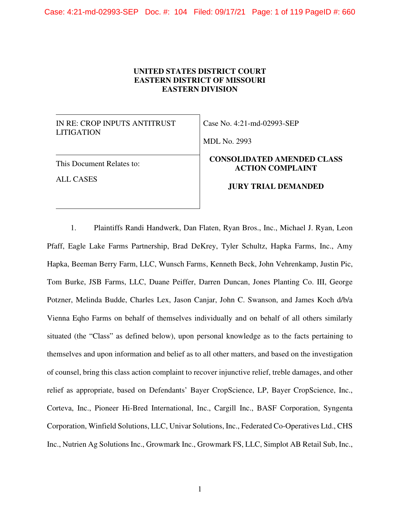# **UNITED STATES DISTRICT COURT EASTERN DISTRICT OF MISSOURI EASTERN DIVISION**

IN RE: CROP INPUTS ANTITRUST LITIGATION

Case No. 4:21-md-02993-SEP

MDL No. 2993

# This Document Relates to:

ALL CASES

# **CONSOLIDATED AMENDED CLASS ACTION COMPLAINT**

### **JURY TRIAL DEMANDED**

1. Plaintiffs Randi Handwerk, Dan Flaten, Ryan Bros., Inc., Michael J. Ryan, Leon Pfaff, Eagle Lake Farms Partnership, Brad DeKrey, Tyler Schultz, Hapka Farms, Inc., Amy Hapka, Beeman Berry Farm, LLC, Wunsch Farms, Kenneth Beck, John Vehrenkamp, Justin Pic, Tom Burke, JSB Farms, LLC, Duane Peiffer, Darren Duncan, Jones Planting Co. III, George Potzner, Melinda Budde, Charles Lex, Jason Canjar, John C. Swanson, and James Koch d/b/a Vienna Eqho Farms on behalf of themselves individually and on behalf of all others similarly situated (the "Class" as defined below), upon personal knowledge as to the facts pertaining to themselves and upon information and belief as to all other matters, and based on the investigation of counsel, bring this class action complaint to recover injunctive relief, treble damages, and other relief as appropriate, based on Defendants' Bayer CropScience, LP, Bayer CropScience, Inc., Corteva, Inc., Pioneer Hi-Bred International, Inc., Cargill Inc., BASF Corporation, Syngenta Corporation, Winfield Solutions, LLC, Univar Solutions, Inc., Federated Co-Operatives Ltd., CHS Inc., Nutrien Ag Solutions Inc., Growmark Inc., Growmark FS, LLC, Simplot AB Retail Sub, Inc.,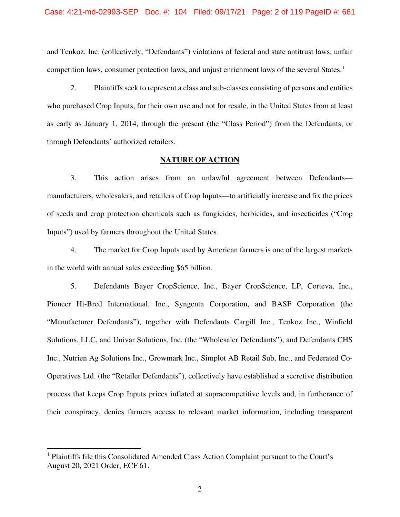### Case: 4:21-md-02993-SEP Doc. #: 104 Filed: 09/17/21 Page: 2 of 119 PageID #: 661

and Tenkoz, Inc. (collectively, "Defendants") violations of federal and state antitrust laws, unfair competition laws, consumer protection laws, and unjust enrichment laws of the several States.<sup>1</sup>

2. Plaintiffs seek to represent a class and sub-classes consisting of persons and entities who purchased Crop Inputs, for their own use and not for resale, in the United States from at least as early as January 1, 2014, through the present (the "Class Period") from the Defendants, or through Defendants' authorized retailers.

### **NATURE OF ACTION**

3. This action arises from an unlawful agreement between Defendants manufacturers, wholesalers, and retailers of Crop Inputs—to artificially increase and fix the prices of seeds and crop protection chemicals such as fungicides, herbicides, and insecticides ("Crop Inputs") used by farmers throughout the United States.

4. The market for Crop Inputs used by American farmers is one of the largest markets in the world with annual sales exceeding \$65 billion.

5. Defendants Bayer CropScience, Inc., Bayer CropScience, LP, Corteva, Inc., Pioneer Hi-Bred International, Inc., Syngenta Corporation, and BASF Corporation (the "Manufacturer Defendants"), together with Defendants Cargill Inc., Tenkoz Inc., Winfield Solutions, LLC, and Univar Solutions, Inc. (the "Wholesaler Defendants"), and Defendants CHS Inc., Nutrien Ag Solutions Inc., Growmark Inc., Simplot AB Retail Sub, Inc., and Federated Co-Operatives Ltd. (the "Retailer Defendants"), collectively have established a secretive distribution process that keeps Crop Inputs prices inflated at supracompetitive levels and, in furtherance of their conspiracy, denies farmers access to relevant market information, including transparent

<sup>&</sup>lt;sup>1</sup> Plaintiffs file this Consolidated Amended Class Action Complaint pursuant to the Court's August 20, 2021 Order, ECF 61.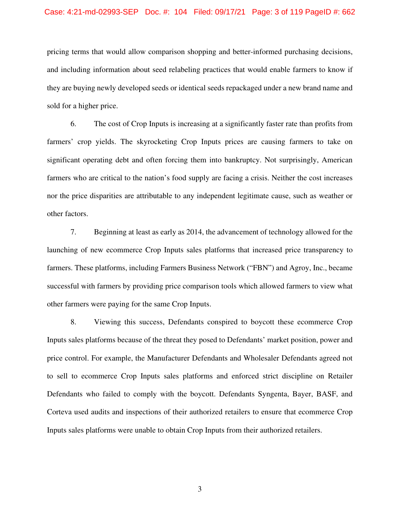### Case: 4:21-md-02993-SEP Doc. #: 104 Filed: 09/17/21 Page: 3 of 119 PageID #: 662

pricing terms that would allow comparison shopping and better-informed purchasing decisions, and including information about seed relabeling practices that would enable farmers to know if they are buying newly developed seeds or identical seeds repackaged under a new brand name and sold for a higher price.

6. The cost of Crop Inputs is increasing at a significantly faster rate than profits from farmers' crop yields. The skyrocketing Crop Inputs prices are causing farmers to take on significant operating debt and often forcing them into bankruptcy. Not surprisingly, American farmers who are critical to the nation's food supply are facing a crisis. Neither the cost increases nor the price disparities are attributable to any independent legitimate cause, such as weather or other factors.

7. Beginning at least as early as 2014, the advancement of technology allowed for the launching of new ecommerce Crop Inputs sales platforms that increased price transparency to farmers. These platforms, including Farmers Business Network ("FBN") and Agroy, Inc., became successful with farmers by providing price comparison tools which allowed farmers to view what other farmers were paying for the same Crop Inputs.

8. Viewing this success, Defendants conspired to boycott these ecommerce Crop Inputs sales platforms because of the threat they posed to Defendants' market position, power and price control. For example, the Manufacturer Defendants and Wholesaler Defendants agreed not to sell to ecommerce Crop Inputs sales platforms and enforced strict discipline on Retailer Defendants who failed to comply with the boycott. Defendants Syngenta, Bayer, BASF, and Corteva used audits and inspections of their authorized retailers to ensure that ecommerce Crop Inputs sales platforms were unable to obtain Crop Inputs from their authorized retailers.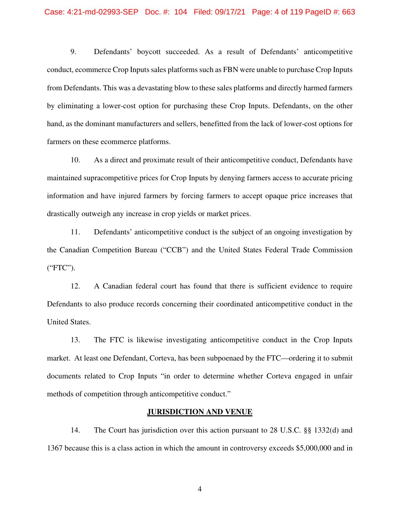9. Defendants' boycott succeeded. As a result of Defendants' anticompetitive conduct, ecommerce Crop Inputs sales platforms such as FBN were unable to purchase Crop Inputs from Defendants. This was a devastating blow to these sales platforms and directly harmed farmers by eliminating a lower-cost option for purchasing these Crop Inputs. Defendants, on the other hand, as the dominant manufacturers and sellers, benefitted from the lack of lower-cost options for farmers on these ecommerce platforms.

10. As a direct and proximate result of their anticompetitive conduct, Defendants have maintained supracompetitive prices for Crop Inputs by denying farmers access to accurate pricing information and have injured farmers by forcing farmers to accept opaque price increases that drastically outweigh any increase in crop yields or market prices.

11. Defendants' anticompetitive conduct is the subject of an ongoing investigation by the Canadian Competition Bureau ("CCB") and the United States Federal Trade Commission ("FTC").

12. A Canadian federal court has found that there is sufficient evidence to require Defendants to also produce records concerning their coordinated anticompetitive conduct in the United States.

13. The FTC is likewise investigating anticompetitive conduct in the Crop Inputs market. At least one Defendant, Corteva, has been subpoenaed by the FTC—ordering it to submit documents related to Crop Inputs "in order to determine whether Corteva engaged in unfair methods of competition through anticompetitive conduct."

### **JURISDICTION AND VENUE**

14. The Court has jurisdiction over this action pursuant to 28 U.S.C. §§ 1332(d) and 1367 because this is a class action in which the amount in controversy exceeds \$5,000,000 and in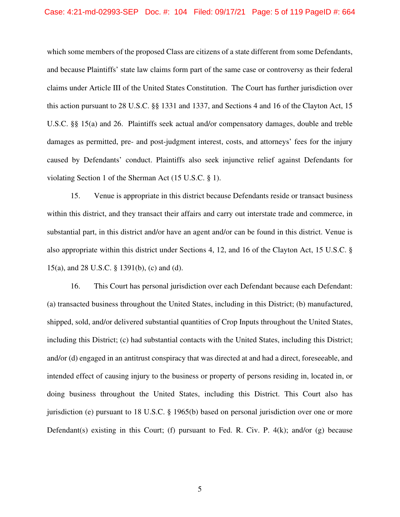### Case: 4:21-md-02993-SEP Doc. #: 104 Filed: 09/17/21 Page: 5 of 119 PageID #: 664

which some members of the proposed Class are citizens of a state different from some Defendants, and because Plaintiffs' state law claims form part of the same case or controversy as their federal claims under Article III of the United States Constitution. The Court has further jurisdiction over this action pursuant to 28 U.S.C. §§ 1331 and 1337, and Sections 4 and 16 of the Clayton Act, 15 U.S.C. §§ 15(a) and 26. Plaintiffs seek actual and/or compensatory damages, double and treble damages as permitted, pre- and post-judgment interest, costs, and attorneys' fees for the injury caused by Defendants' conduct. Plaintiffs also seek injunctive relief against Defendants for violating Section 1 of the Sherman Act (15 U.S.C. § 1).

15. Venue is appropriate in this district because Defendants reside or transact business within this district, and they transact their affairs and carry out interstate trade and commerce, in substantial part, in this district and/or have an agent and/or can be found in this district. Venue is also appropriate within this district under Sections 4, 12, and 16 of the Clayton Act, 15 U.S.C. § 15(a), and 28 U.S.C. § 1391(b), (c) and (d).

16. This Court has personal jurisdiction over each Defendant because each Defendant: (a) transacted business throughout the United States, including in this District; (b) manufactured, shipped, sold, and/or delivered substantial quantities of Crop Inputs throughout the United States, including this District; (c) had substantial contacts with the United States, including this District; and/or (d) engaged in an antitrust conspiracy that was directed at and had a direct, foreseeable, and intended effect of causing injury to the business or property of persons residing in, located in, or doing business throughout the United States, including this District. This Court also has jurisdiction (e) pursuant to 18 U.S.C. § 1965(b) based on personal jurisdiction over one or more Defendant(s) existing in this Court; (f) pursuant to Fed. R. Civ. P.  $4(k)$ ; and/or (g) because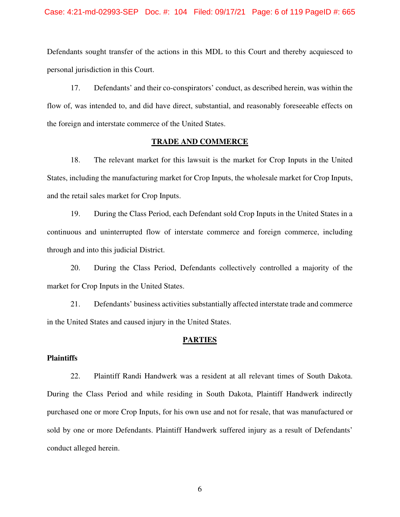### Case: 4:21-md-02993-SEP Doc. #: 104 Filed: 09/17/21 Page: 6 of 119 PageID #: 665

Defendants sought transfer of the actions in this MDL to this Court and thereby acquiesced to personal jurisdiction in this Court.

17. Defendants' and their co-conspirators' conduct, as described herein, was within the flow of, was intended to, and did have direct, substantial, and reasonably foreseeable effects on the foreign and interstate commerce of the United States.

## **TRADE AND COMMERCE**

18. The relevant market for this lawsuit is the market for Crop Inputs in the United States, including the manufacturing market for Crop Inputs, the wholesale market for Crop Inputs, and the retail sales market for Crop Inputs.

19. During the Class Period, each Defendant sold Crop Inputs in the United States in a continuous and uninterrupted flow of interstate commerce and foreign commerce, including through and into this judicial District.

20. During the Class Period, Defendants collectively controlled a majority of the market for Crop Inputs in the United States.

21. Defendants' business activities substantially affected interstate trade and commerce in the United States and caused injury in the United States.

### **PARTIES**

### **Plaintiffs**

22. Plaintiff Randi Handwerk was a resident at all relevant times of South Dakota. During the Class Period and while residing in South Dakota, Plaintiff Handwerk indirectly purchased one or more Crop Inputs, for his own use and not for resale, that was manufactured or sold by one or more Defendants. Plaintiff Handwerk suffered injury as a result of Defendants' conduct alleged herein.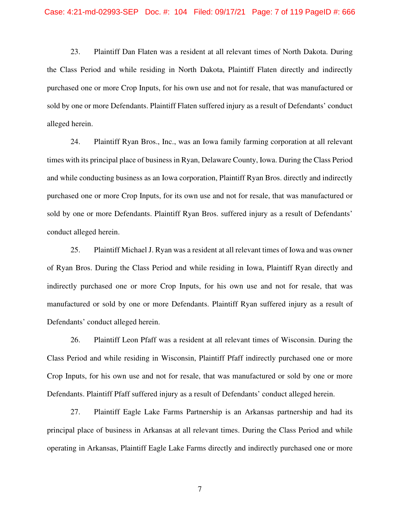23. Plaintiff Dan Flaten was a resident at all relevant times of North Dakota. During the Class Period and while residing in North Dakota, Plaintiff Flaten directly and indirectly purchased one or more Crop Inputs, for his own use and not for resale, that was manufactured or sold by one or more Defendants. Plaintiff Flaten suffered injury as a result of Defendants' conduct alleged herein.

24. Plaintiff Ryan Bros., Inc., was an Iowa family farming corporation at all relevant times with its principal place of business in Ryan, Delaware County, Iowa. During the Class Period and while conducting business as an Iowa corporation, Plaintiff Ryan Bros. directly and indirectly purchased one or more Crop Inputs, for its own use and not for resale, that was manufactured or sold by one or more Defendants. Plaintiff Ryan Bros. suffered injury as a result of Defendants' conduct alleged herein.

25. Plaintiff Michael J. Ryan was a resident at all relevant times of Iowa and was owner of Ryan Bros. During the Class Period and while residing in Iowa, Plaintiff Ryan directly and indirectly purchased one or more Crop Inputs, for his own use and not for resale, that was manufactured or sold by one or more Defendants. Plaintiff Ryan suffered injury as a result of Defendants' conduct alleged herein.

26. Plaintiff Leon Pfaff was a resident at all relevant times of Wisconsin. During the Class Period and while residing in Wisconsin, Plaintiff Pfaff indirectly purchased one or more Crop Inputs, for his own use and not for resale, that was manufactured or sold by one or more Defendants. Plaintiff Pfaff suffered injury as a result of Defendants' conduct alleged herein.

27. Plaintiff Eagle Lake Farms Partnership is an Arkansas partnership and had its principal place of business in Arkansas at all relevant times. During the Class Period and while operating in Arkansas, Plaintiff Eagle Lake Farms directly and indirectly purchased one or more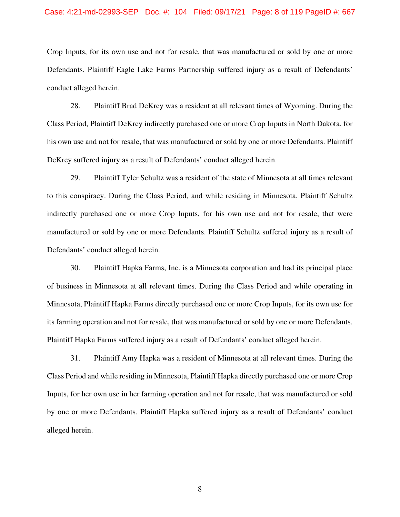### Case: 4:21-md-02993-SEP Doc. #: 104 Filed: 09/17/21 Page: 8 of 119 PageID #: 667

Crop Inputs, for its own use and not for resale, that was manufactured or sold by one or more Defendants. Plaintiff Eagle Lake Farms Partnership suffered injury as a result of Defendants' conduct alleged herein.

28. Plaintiff Brad DeKrey was a resident at all relevant times of Wyoming. During the Class Period, Plaintiff DeKrey indirectly purchased one or more Crop Inputs in North Dakota, for his own use and not for resale, that was manufactured or sold by one or more Defendants. Plaintiff DeKrey suffered injury as a result of Defendants' conduct alleged herein.

29. Plaintiff Tyler Schultz was a resident of the state of Minnesota at all times relevant to this conspiracy. During the Class Period, and while residing in Minnesota, Plaintiff Schultz indirectly purchased one or more Crop Inputs, for his own use and not for resale, that were manufactured or sold by one or more Defendants. Plaintiff Schultz suffered injury as a result of Defendants' conduct alleged herein.

30. Plaintiff Hapka Farms, Inc. is a Minnesota corporation and had its principal place of business in Minnesota at all relevant times. During the Class Period and while operating in Minnesota, Plaintiff Hapka Farms directly purchased one or more Crop Inputs, for its own use for its farming operation and not for resale, that was manufactured or sold by one or more Defendants. Plaintiff Hapka Farms suffered injury as a result of Defendants' conduct alleged herein.

31. Plaintiff Amy Hapka was a resident of Minnesota at all relevant times. During the Class Period and while residing in Minnesota, Plaintiff Hapka directly purchased one or more Crop Inputs, for her own use in her farming operation and not for resale, that was manufactured or sold by one or more Defendants. Plaintiff Hapka suffered injury as a result of Defendants' conduct alleged herein.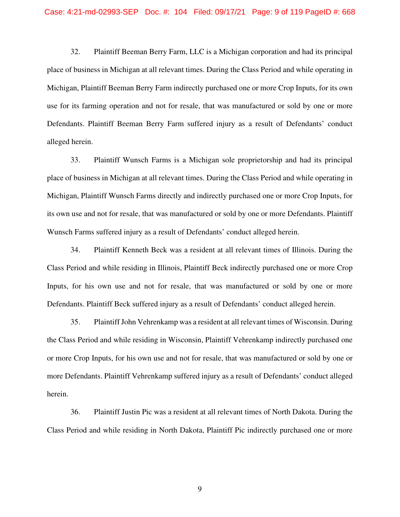32. Plaintiff Beeman Berry Farm, LLC is a Michigan corporation and had its principal place of business in Michigan at all relevant times. During the Class Period and while operating in Michigan, Plaintiff Beeman Berry Farm indirectly purchased one or more Crop Inputs, for its own use for its farming operation and not for resale, that was manufactured or sold by one or more Defendants. Plaintiff Beeman Berry Farm suffered injury as a result of Defendants' conduct alleged herein.

33. Plaintiff Wunsch Farms is a Michigan sole proprietorship and had its principal place of business in Michigan at all relevant times. During the Class Period and while operating in Michigan, Plaintiff Wunsch Farms directly and indirectly purchased one or more Crop Inputs, for its own use and not for resale, that was manufactured or sold by one or more Defendants. Plaintiff Wunsch Farms suffered injury as a result of Defendants' conduct alleged herein.

34. Plaintiff Kenneth Beck was a resident at all relevant times of Illinois. During the Class Period and while residing in Illinois, Plaintiff Beck indirectly purchased one or more Crop Inputs, for his own use and not for resale, that was manufactured or sold by one or more Defendants. Plaintiff Beck suffered injury as a result of Defendants' conduct alleged herein.

35. Plaintiff John Vehrenkamp was a resident at all relevant times of Wisconsin. During the Class Period and while residing in Wisconsin, Plaintiff Vehrenkamp indirectly purchased one or more Crop Inputs, for his own use and not for resale, that was manufactured or sold by one or more Defendants. Plaintiff Vehrenkamp suffered injury as a result of Defendants' conduct alleged herein.

36. Plaintiff Justin Pic was a resident at all relevant times of North Dakota. During the Class Period and while residing in North Dakota, Plaintiff Pic indirectly purchased one or more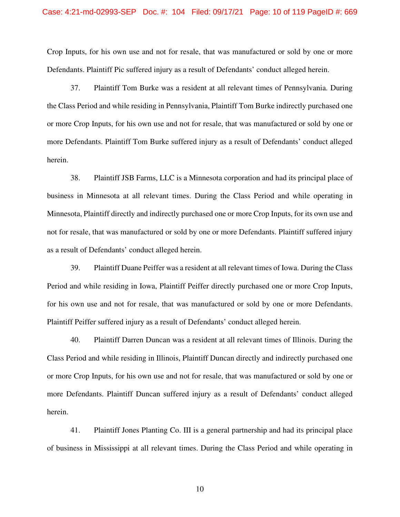### Case: 4:21-md-02993-SEP Doc. #: 104 Filed: 09/17/21 Page: 10 of 119 PageID #: 669

Crop Inputs, for his own use and not for resale, that was manufactured or sold by one or more Defendants. Plaintiff Pic suffered injury as a result of Defendants' conduct alleged herein.

37. Plaintiff Tom Burke was a resident at all relevant times of Pennsylvania. During the Class Period and while residing in Pennsylvania, Plaintiff Tom Burke indirectly purchased one or more Crop Inputs, for his own use and not for resale, that was manufactured or sold by one or more Defendants. Plaintiff Tom Burke suffered injury as a result of Defendants' conduct alleged herein.

38. Plaintiff JSB Farms, LLC is a Minnesota corporation and had its principal place of business in Minnesota at all relevant times. During the Class Period and while operating in Minnesota, Plaintiff directly and indirectly purchased one or more Crop Inputs, for its own use and not for resale, that was manufactured or sold by one or more Defendants. Plaintiff suffered injury as a result of Defendants' conduct alleged herein.

39. Plaintiff Duane Peiffer was a resident at all relevant times of Iowa. During the Class Period and while residing in Iowa, Plaintiff Peiffer directly purchased one or more Crop Inputs, for his own use and not for resale, that was manufactured or sold by one or more Defendants. Plaintiff Peiffer suffered injury as a result of Defendants' conduct alleged herein.

40. Plaintiff Darren Duncan was a resident at all relevant times of Illinois. During the Class Period and while residing in Illinois, Plaintiff Duncan directly and indirectly purchased one or more Crop Inputs, for his own use and not for resale, that was manufactured or sold by one or more Defendants. Plaintiff Duncan suffered injury as a result of Defendants' conduct alleged herein.

41. Plaintiff Jones Planting Co. III is a general partnership and had its principal place of business in Mississippi at all relevant times. During the Class Period and while operating in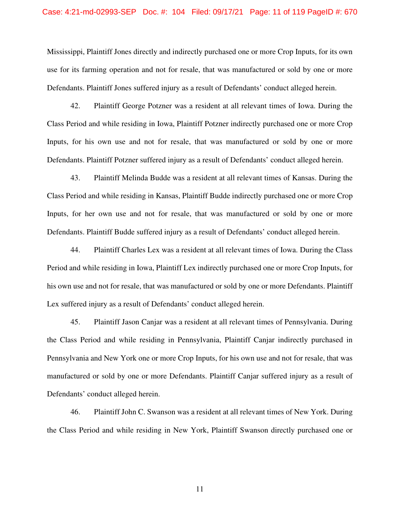### Case: 4:21-md-02993-SEP Doc. #: 104 Filed: 09/17/21 Page: 11 of 119 PageID #: 670

Mississippi, Plaintiff Jones directly and indirectly purchased one or more Crop Inputs, for its own use for its farming operation and not for resale, that was manufactured or sold by one or more Defendants. Plaintiff Jones suffered injury as a result of Defendants' conduct alleged herein.

42. Plaintiff George Potzner was a resident at all relevant times of Iowa. During the Class Period and while residing in Iowa, Plaintiff Potzner indirectly purchased one or more Crop Inputs, for his own use and not for resale, that was manufactured or sold by one or more Defendants. Plaintiff Potzner suffered injury as a result of Defendants' conduct alleged herein.

43. Plaintiff Melinda Budde was a resident at all relevant times of Kansas. During the Class Period and while residing in Kansas, Plaintiff Budde indirectly purchased one or more Crop Inputs, for her own use and not for resale, that was manufactured or sold by one or more Defendants. Plaintiff Budde suffered injury as a result of Defendants' conduct alleged herein.

44. Plaintiff Charles Lex was a resident at all relevant times of Iowa. During the Class Period and while residing in Iowa, Plaintiff Lex indirectly purchased one or more Crop Inputs, for his own use and not for resale, that was manufactured or sold by one or more Defendants. Plaintiff Lex suffered injury as a result of Defendants' conduct alleged herein.

45. Plaintiff Jason Canjar was a resident at all relevant times of Pennsylvania. During the Class Period and while residing in Pennsylvania, Plaintiff Canjar indirectly purchased in Pennsylvania and New York one or more Crop Inputs, for his own use and not for resale, that was manufactured or sold by one or more Defendants. Plaintiff Canjar suffered injury as a result of Defendants' conduct alleged herein.

46. Plaintiff John C. Swanson was a resident at all relevant times of New York. During the Class Period and while residing in New York, Plaintiff Swanson directly purchased one or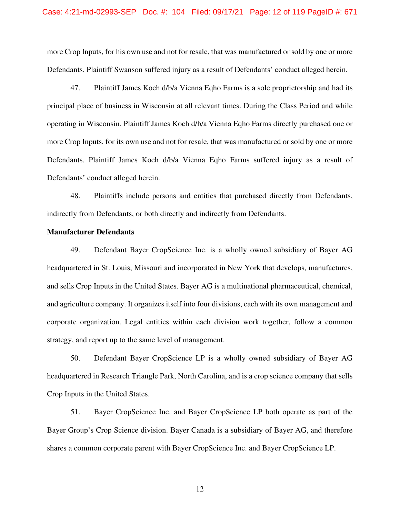### Case: 4:21-md-02993-SEP Doc. #: 104 Filed: 09/17/21 Page: 12 of 119 PageID #: 671

more Crop Inputs, for his own use and not for resale, that was manufactured or sold by one or more Defendants. Plaintiff Swanson suffered injury as a result of Defendants' conduct alleged herein.

47. Plaintiff James Koch d/b/a Vienna Eqho Farms is a sole proprietorship and had its principal place of business in Wisconsin at all relevant times. During the Class Period and while operating in Wisconsin, Plaintiff James Koch d/b/a Vienna Eqho Farms directly purchased one or more Crop Inputs, for its own use and not for resale, that was manufactured or sold by one or more Defendants. Plaintiff James Koch d/b/a Vienna Eqho Farms suffered injury as a result of Defendants' conduct alleged herein.

48. Plaintiffs include persons and entities that purchased directly from Defendants, indirectly from Defendants, or both directly and indirectly from Defendants.

### **Manufacturer Defendants**

49. Defendant Bayer CropScience Inc. is a wholly owned subsidiary of Bayer AG headquartered in St. Louis, Missouri and incorporated in New York that develops, manufactures, and sells Crop Inputs in the United States. Bayer AG is a multinational pharmaceutical, chemical, and agriculture company. It organizes itself into four divisions, each with its own management and corporate organization. Legal entities within each division work together, follow a common strategy, and report up to the same level of management.

50. Defendant Bayer CropScience LP is a wholly owned subsidiary of Bayer AG headquartered in Research Triangle Park, North Carolina, and is a crop science company that sells Crop Inputs in the United States.

51. Bayer CropScience Inc. and Bayer CropScience LP both operate as part of the Bayer Group's Crop Science division. Bayer Canada is a subsidiary of Bayer AG, and therefore shares a common corporate parent with Bayer CropScience Inc. and Bayer CropScience LP.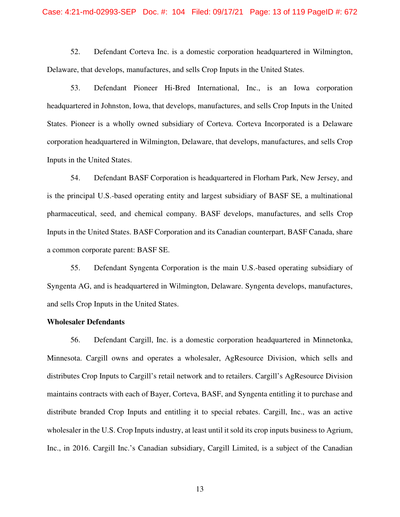### Case: 4:21-md-02993-SEP Doc. #: 104 Filed: 09/17/21 Page: 13 of 119 PageID #: 672

52. Defendant Corteva Inc. is a domestic corporation headquartered in Wilmington, Delaware, that develops, manufactures, and sells Crop Inputs in the United States.

53. Defendant Pioneer Hi-Bred International, Inc., is an Iowa corporation headquartered in Johnston, Iowa, that develops, manufactures, and sells Crop Inputs in the United States. Pioneer is a wholly owned subsidiary of Corteva. Corteva Incorporated is a Delaware corporation headquartered in Wilmington, Delaware, that develops, manufactures, and sells Crop Inputs in the United States.

54. Defendant BASF Corporation is headquartered in Florham Park, New Jersey, and is the principal U.S.-based operating entity and largest subsidiary of BASF SE, a multinational pharmaceutical, seed, and chemical company. BASF develops, manufactures, and sells Crop Inputs in the United States. BASF Corporation and its Canadian counterpart, BASF Canada, share a common corporate parent: BASF SE.

55. Defendant Syngenta Corporation is the main U.S.-based operating subsidiary of Syngenta AG, and is headquartered in Wilmington, Delaware. Syngenta develops, manufactures, and sells Crop Inputs in the United States.

### **Wholesaler Defendants**

56. Defendant Cargill, Inc. is a domestic corporation headquartered in Minnetonka, Minnesota. Cargill owns and operates a wholesaler, AgResource Division, which sells and distributes Crop Inputs to Cargill's retail network and to retailers. Cargill's AgResource Division maintains contracts with each of Bayer, Corteva, BASF, and Syngenta entitling it to purchase and distribute branded Crop Inputs and entitling it to special rebates. Cargill, Inc., was an active wholesaler in the U.S. Crop Inputs industry, at least until it sold its crop inputs business to Agrium, Inc., in 2016. Cargill Inc.'s Canadian subsidiary, Cargill Limited, is a subject of the Canadian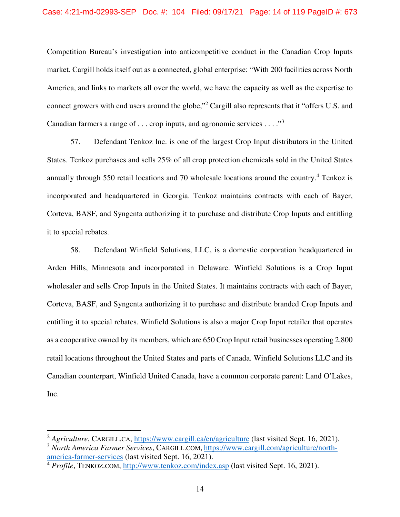Competition Bureau's investigation into anticompetitive conduct in the Canadian Crop Inputs market. Cargill holds itself out as a connected, global enterprise: "With 200 facilities across North America, and links to markets all over the world, we have the capacity as well as the expertise to connect growers with end users around the globe,"<sup>2</sup> Cargill also represents that it "offers U.S. and Canadian farmers a range of . . . crop inputs, and agronomic services . . . ."<sup>3</sup>

57. Defendant Tenkoz Inc. is one of the largest Crop Input distributors in the United States. Tenkoz purchases and sells 25% of all crop protection chemicals sold in the United States annually through 550 retail locations and 70 wholesale locations around the country.<sup>4</sup> Tenkoz is incorporated and headquartered in Georgia. Tenkoz maintains contracts with each of Bayer, Corteva, BASF, and Syngenta authorizing it to purchase and distribute Crop Inputs and entitling it to special rebates.

58. Defendant Winfield Solutions, LLC, is a domestic corporation headquartered in Arden Hills, Minnesota and incorporated in Delaware. Winfield Solutions is a Crop Input wholesaler and sells Crop Inputs in the United States. It maintains contracts with each of Bayer, Corteva, BASF, and Syngenta authorizing it to purchase and distribute branded Crop Inputs and entitling it to special rebates. Winfield Solutions is also a major Crop Input retailer that operates as a cooperative owned by its members, which are 650 Crop Input retail businesses operating 2,800 retail locations throughout the United States and parts of Canada. Winfield Solutions LLC and its Canadian counterpart, Winfield United Canada, have a common corporate parent: Land O'Lakes, Inc.

<sup>&</sup>lt;sup>2</sup> Agriculture, CARGILL.CA, https://www.cargill.ca/en/agriculture (last visited Sept. 16, 2021).

<sup>3</sup> *North America Farmer Services*, CARGILL.COM, https://www.cargill.com/agriculture/northamerica-farmer-services (last visited Sept. 16, 2021).

<sup>4</sup> *Profile*, TENKOZ.COM, http://www.tenkoz.com/index.asp (last visited Sept. 16, 2021).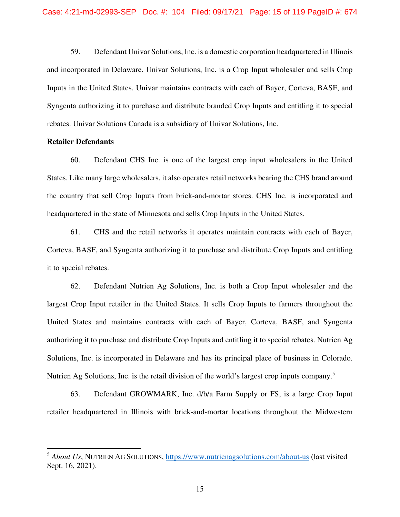59. Defendant Univar Solutions, Inc. is a domestic corporation headquartered in Illinois and incorporated in Delaware. Univar Solutions, Inc. is a Crop Input wholesaler and sells Crop Inputs in the United States. Univar maintains contracts with each of Bayer, Corteva, BASF, and Syngenta authorizing it to purchase and distribute branded Crop Inputs and entitling it to special rebates. Univar Solutions Canada is a subsidiary of Univar Solutions, Inc.

### **Retailer Defendants**

60. Defendant CHS Inc. is one of the largest crop input wholesalers in the United States. Like many large wholesalers, it also operates retail networks bearing the CHS brand around the country that sell Crop Inputs from brick-and-mortar stores. CHS Inc. is incorporated and headquartered in the state of Minnesota and sells Crop Inputs in the United States.

61. CHS and the retail networks it operates maintain contracts with each of Bayer, Corteva, BASF, and Syngenta authorizing it to purchase and distribute Crop Inputs and entitling it to special rebates.

62. Defendant Nutrien Ag Solutions, Inc. is both a Crop Input wholesaler and the largest Crop Input retailer in the United States. It sells Crop Inputs to farmers throughout the United States and maintains contracts with each of Bayer, Corteva, BASF, and Syngenta authorizing it to purchase and distribute Crop Inputs and entitling it to special rebates. Nutrien Ag Solutions, Inc. is incorporated in Delaware and has its principal place of business in Colorado. Nutrien Ag Solutions, Inc. is the retail division of the world's largest crop inputs company.<sup>5</sup>

63. Defendant GROWMARK, Inc. d/b/a Farm Supply or FS, is a large Crop Input retailer headquartered in Illinois with brick-and-mortar locations throughout the Midwestern

<sup>5</sup> *About Us*, NUTRIEN AG SOLUTIONS, https://www.nutrienagsolutions.com/about-us (last visited Sept. 16, 2021).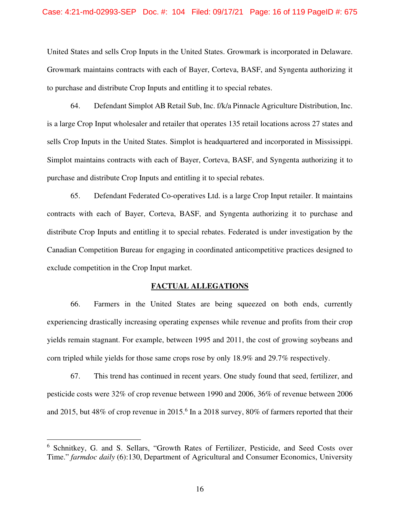### Case: 4:21-md-02993-SEP Doc. #: 104 Filed: 09/17/21 Page: 16 of 119 PageID #: 675

United States and sells Crop Inputs in the United States. Growmark is incorporated in Delaware. Growmark maintains contracts with each of Bayer, Corteva, BASF, and Syngenta authorizing it to purchase and distribute Crop Inputs and entitling it to special rebates.

64. Defendant Simplot AB Retail Sub, Inc. f/k/a Pinnacle Agriculture Distribution, Inc. is a large Crop Input wholesaler and retailer that operates 135 retail locations across 27 states and sells Crop Inputs in the United States. Simplot is headquartered and incorporated in Mississippi. Simplot maintains contracts with each of Bayer, Corteva, BASF, and Syngenta authorizing it to purchase and distribute Crop Inputs and entitling it to special rebates.

65. Defendant Federated Co-operatives Ltd. is a large Crop Input retailer. It maintains contracts with each of Bayer, Corteva, BASF, and Syngenta authorizing it to purchase and distribute Crop Inputs and entitling it to special rebates. Federated is under investigation by the Canadian Competition Bureau for engaging in coordinated anticompetitive practices designed to exclude competition in the Crop Input market.

#### **FACTUAL ALLEGATIONS**

66. Farmers in the United States are being squeezed on both ends, currently experiencing drastically increasing operating expenses while revenue and profits from their crop yields remain stagnant. For example, between 1995 and 2011, the cost of growing soybeans and corn tripled while yields for those same crops rose by only 18.9% and 29.7% respectively.

67. This trend has continued in recent years. One study found that seed, fertilizer, and pesticide costs were 32% of crop revenue between 1990 and 2006, 36% of revenue between 2006 and 2015, but 48% of crop revenue in 2015.<sup>6</sup> In a 2018 survey, 80% of farmers reported that their

<sup>&</sup>lt;sup>6</sup> Schnitkey, G. and S. Sellars, "Growth Rates of Fertilizer, Pesticide, and Seed Costs over Time." *farmdoc daily* (6):130, Department of Agricultural and Consumer Economics, University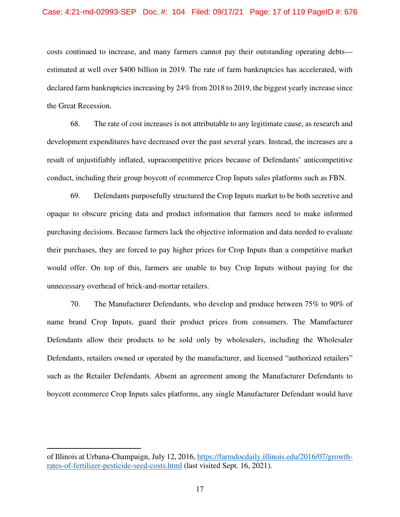### Case: 4:21-md-02993-SEP Doc. #: 104 Filed: 09/17/21 Page: 17 of 119 PageID #: 676

costs continued to increase, and many farmers cannot pay their outstanding operating debts estimated at well over \$400 billion in 2019. The rate of farm bankruptcies has accelerated, with declared farm bankruptcies increasing by 24% from 2018 to 2019, the biggest yearly increase since the Great Recession.

68. The rate of cost increases is not attributable to any legitimate cause, as research and development expenditures have decreased over the past several years. Instead, the increases are a result of unjustifiably inflated, supracompetitive prices because of Defendants' anticompetitive conduct, including their group boycott of ecommerce Crop Inputs sales platforms such as FBN.

69. Defendants purposefully structured the Crop Inputs market to be both secretive and opaque to obscure pricing data and product information that farmers need to make informed purchasing decisions. Because farmers lack the objective information and data needed to evaluate their purchases, they are forced to pay higher prices for Crop Inputs than a competitive market would offer. On top of this, farmers are unable to buy Crop Inputs without paying for the unnecessary overhead of brick-and-mortar retailers.

70. The Manufacturer Defendants, who develop and produce between 75% to 90% of name brand Crop Inputs, guard their product prices from consumers. The Manufacturer Defendants allow their products to be sold only by wholesalers, including the Wholesaler Defendants, retailers owned or operated by the manufacturer, and licensed "authorized retailers" such as the Retailer Defendants. Absent an agreement among the Manufacturer Defendants to boycott ecommerce Crop Inputs sales platforms, any single Manufacturer Defendant would have

of Illinois at Urbana-Champaign, July 12, 2016, https://farmdocdaily.illinois.edu/2016/07/growthrates-of-fertilizer-pesticide-seed-costs.html (last visited Sept. 16, 2021).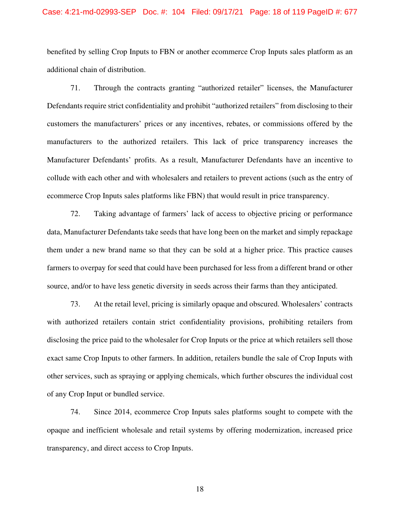### Case: 4:21-md-02993-SEP Doc. #: 104 Filed: 09/17/21 Page: 18 of 119 PageID #: 677

benefited by selling Crop Inputs to FBN or another ecommerce Crop Inputs sales platform as an additional chain of distribution.

71. Through the contracts granting "authorized retailer" licenses, the Manufacturer Defendants require strict confidentiality and prohibit "authorized retailers" from disclosing to their customers the manufacturers' prices or any incentives, rebates, or commissions offered by the manufacturers to the authorized retailers. This lack of price transparency increases the Manufacturer Defendants' profits. As a result, Manufacturer Defendants have an incentive to collude with each other and with wholesalers and retailers to prevent actions (such as the entry of ecommerce Crop Inputs sales platforms like FBN) that would result in price transparency.

72. Taking advantage of farmers' lack of access to objective pricing or performance data, Manufacturer Defendants take seeds that have long been on the market and simply repackage them under a new brand name so that they can be sold at a higher price. This practice causes farmers to overpay for seed that could have been purchased for less from a different brand or other source, and/or to have less genetic diversity in seeds across their farms than they anticipated.

73. At the retail level, pricing is similarly opaque and obscured. Wholesalers' contracts with authorized retailers contain strict confidentiality provisions, prohibiting retailers from disclosing the price paid to the wholesaler for Crop Inputs or the price at which retailers sell those exact same Crop Inputs to other farmers. In addition, retailers bundle the sale of Crop Inputs with other services, such as spraying or applying chemicals, which further obscures the individual cost of any Crop Input or bundled service.

74. Since 2014, ecommerce Crop Inputs sales platforms sought to compete with the opaque and inefficient wholesale and retail systems by offering modernization, increased price transparency, and direct access to Crop Inputs.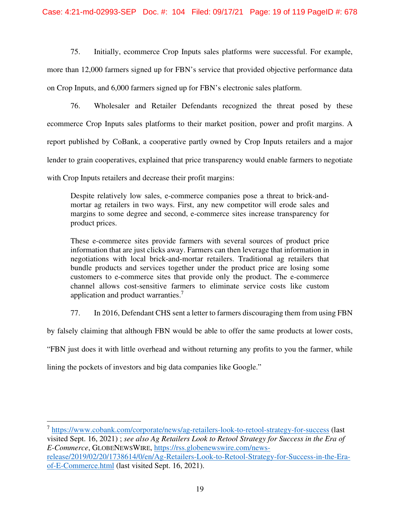75. Initially, ecommerce Crop Inputs sales platforms were successful. For example,

more than 12,000 farmers signed up for FBN's service that provided objective performance data on Crop Inputs, and 6,000 farmers signed up for FBN's electronic sales platform.

76. Wholesaler and Retailer Defendants recognized the threat posed by these ecommerce Crop Inputs sales platforms to their market position, power and profit margins. A report published by CoBank, a cooperative partly owned by Crop Inputs retailers and a major lender to grain cooperatives, explained that price transparency would enable farmers to negotiate with Crop Inputs retailers and decrease their profit margins:

Despite relatively low sales, e-commerce companies pose a threat to brick-andmortar ag retailers in two ways. First, any new competitor will erode sales and margins to some degree and second, e-commerce sites increase transparency for product prices.

These e-commerce sites provide farmers with several sources of product price information that are just clicks away. Farmers can then leverage that information in negotiations with local brick-and-mortar retailers. Traditional ag retailers that bundle products and services together under the product price are losing some customers to e-commerce sites that provide only the product. The e-commerce channel allows cost-sensitive farmers to eliminate service costs like custom application and product warranties.<sup>7</sup>

77. In 2016, Defendant CHS sent a letter to farmers discouraging them from using FBN

by falsely claiming that although FBN would be able to offer the same products at lower costs,

"FBN just does it with little overhead and without returning any profits to you the farmer, while

lining the pockets of investors and big data companies like Google."

<sup>7</sup> https://www.cobank.com/corporate/news/ag-retailers-look-to-retool-strategy-for-success (last visited Sept. 16, 2021) ; *see also Ag Retailers Look to Retool Strategy for Success in the Era of E-Commerce*, GLOBENEWSWIRE, https://rss.globenewswire.com/newsrelease/2019/02/20/1738614/0/en/Ag-Retailers-Look-to-Retool-Strategy-for-Success-in-the-Eraof-E-Commerce.html (last visited Sept. 16, 2021).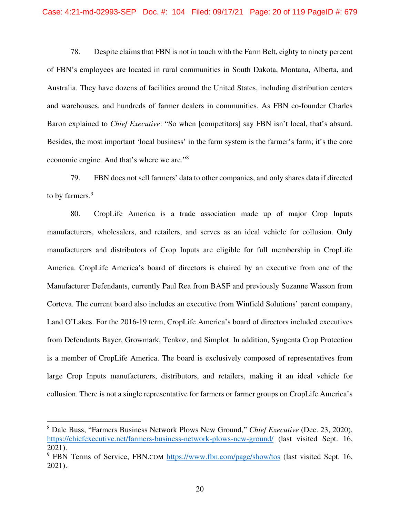78. Despite claims that FBN is not in touch with the Farm Belt, eighty to ninety percent of FBN's employees are located in rural communities in South Dakota, Montana, Alberta, and Australia. They have dozens of facilities around the United States, including distribution centers and warehouses, and hundreds of farmer dealers in communities. As FBN co-founder Charles Baron explained to *Chief Executive*: "So when [competitors] say FBN isn't local, that's absurd. Besides, the most important 'local business' in the farm system is the farmer's farm; it's the core economic engine. And that's where we are."<sup>8</sup>

79. FBN does not sell farmers' data to other companies, and only shares data if directed to by farmers.<sup>9</sup>

80. CropLife America is a trade association made up of major Crop Inputs manufacturers, wholesalers, and retailers, and serves as an ideal vehicle for collusion. Only manufacturers and distributors of Crop Inputs are eligible for full membership in CropLife America. CropLife America's board of directors is chaired by an executive from one of the Manufacturer Defendants, currently Paul Rea from BASF and previously Suzanne Wasson from Corteva. The current board also includes an executive from Winfield Solutions' parent company, Land O'Lakes. For the 2016-19 term, CropLife America's board of directors included executives from Defendants Bayer, Growmark, Tenkoz, and Simplot. In addition, Syngenta Crop Protection is a member of CropLife America. The board is exclusively composed of representatives from large Crop Inputs manufacturers, distributors, and retailers, making it an ideal vehicle for collusion. There is not a single representative for farmers or farmer groups on CropLife America's

<sup>8</sup> Dale Buss, "Farmers Business Network Plows New Ground," *Chief Executive* (Dec. 23, 2020), https://chiefexecutive.net/farmers-business-network-plows-new-ground/ (last visited Sept. 16, 2021).

<sup>&</sup>lt;sup>9</sup> FBN Terms of Service, FBN.COM https://www.fbn.com/page/show/tos (last visited Sept. 16, 2021).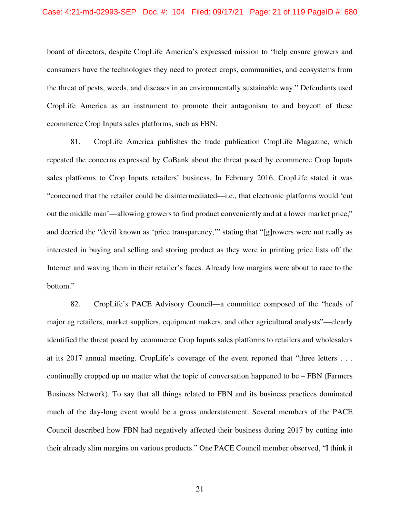### Case: 4:21-md-02993-SEP Doc. #: 104 Filed: 09/17/21 Page: 21 of 119 PageID #: 680

board of directors, despite CropLife America's expressed mission to "help ensure growers and consumers have the technologies they need to protect crops, communities, and ecosystems from the threat of pests, weeds, and diseases in an environmentally sustainable way." Defendants used CropLife America as an instrument to promote their antagonism to and boycott of these ecommerce Crop Inputs sales platforms, such as FBN.

81. CropLife America publishes the trade publication CropLife Magazine, which repeated the concerns expressed by CoBank about the threat posed by ecommerce Crop Inputs sales platforms to Crop Inputs retailers' business. In February 2016, CropLife stated it was "concerned that the retailer could be disintermediated—i.e., that electronic platforms would 'cut out the middle man'—allowing growers to find product conveniently and at a lower market price," and decried the "devil known as 'price transparency,'" stating that "[g]rowers were not really as interested in buying and selling and storing product as they were in printing price lists off the Internet and waving them in their retailer's faces. Already low margins were about to race to the bottom."

82. CropLife's PACE Advisory Council—a committee composed of the "heads of major ag retailers, market suppliers, equipment makers, and other agricultural analysts"—clearly identified the threat posed by ecommerce Crop Inputs sales platforms to retailers and wholesalers at its 2017 annual meeting. CropLife's coverage of the event reported that "three letters . . . continually cropped up no matter what the topic of conversation happened to be – FBN (Farmers Business Network). To say that all things related to FBN and its business practices dominated much of the day-long event would be a gross understatement. Several members of the PACE Council described how FBN had negatively affected their business during 2017 by cutting into their already slim margins on various products." One PACE Council member observed, "I think it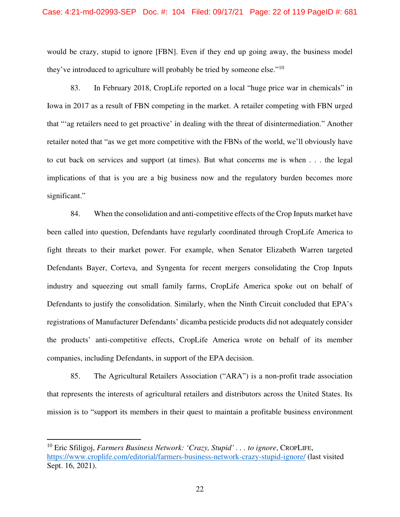would be crazy, stupid to ignore [FBN]. Even if they end up going away, the business model they've introduced to agriculture will probably be tried by someone else."<sup>10</sup>

83. In February 2018, CropLife reported on a local "huge price war in chemicals" in Iowa in 2017 as a result of FBN competing in the market. A retailer competing with FBN urged that "'ag retailers need to get proactive' in dealing with the threat of disintermediation." Another retailer noted that "as we get more competitive with the FBNs of the world, we'll obviously have to cut back on services and support (at times). But what concerns me is when . . . the legal implications of that is you are a big business now and the regulatory burden becomes more significant."

84. When the consolidation and anti-competitive effects of the Crop Inputs market have been called into question, Defendants have regularly coordinated through CropLife America to fight threats to their market power. For example, when Senator Elizabeth Warren targeted Defendants Bayer, Corteva, and Syngenta for recent mergers consolidating the Crop Inputs industry and squeezing out small family farms, CropLife America spoke out on behalf of Defendants to justify the consolidation. Similarly, when the Ninth Circuit concluded that EPA's registrations of Manufacturer Defendants' dicamba pesticide products did not adequately consider the products' anti-competitive effects, CropLife America wrote on behalf of its member companies, including Defendants, in support of the EPA decision.

85. The Agricultural Retailers Association ("ARA") is a non-profit trade association that represents the interests of agricultural retailers and distributors across the United States. Its mission is to "support its members in their quest to maintain a profitable business environment

<sup>10</sup> Eric Sfiligoj, *Farmers Business Network: 'Crazy, Stupid' . . . to ignore*, CROPLIFE, https://www.croplife.com/editorial/farmers-business-network-crazy-stupid-ignore/ (last visited Sept. 16, 2021).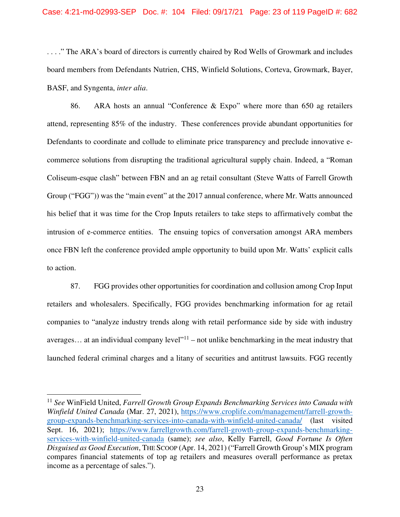. . . ." The ARA's board of directors is currently chaired by Rod Wells of Growmark and includes board members from Defendants Nutrien, CHS, Winfield Solutions, Corteva, Growmark, Bayer, BASF, and Syngenta, *inter alia*.

86. ARA hosts an annual "Conference & Expo" where more than 650 ag retailers attend, representing 85% of the industry. These conferences provide abundant opportunities for Defendants to coordinate and collude to eliminate price transparency and preclude innovative ecommerce solutions from disrupting the traditional agricultural supply chain. Indeed, a "Roman Coliseum-esque clash" between FBN and an ag retail consultant (Steve Watts of Farrell Growth Group ("FGG")) was the "main event" at the 2017 annual conference, where Mr. Watts announced his belief that it was time for the Crop Inputs retailers to take steps to affirmatively combat the intrusion of e-commerce entities. The ensuing topics of conversation amongst ARA members once FBN left the conference provided ample opportunity to build upon Mr. Watts' explicit calls to action.

87. FGG provides other opportunities for coordination and collusion among Crop Input retailers and wholesalers. Specifically, FGG provides benchmarking information for ag retail companies to "analyze industry trends along with retail performance side by side with industry averages... at an individual company level<sup> $11$ </sup> – not unlike benchmarking in the meat industry that launched federal criminal charges and a litany of securities and antitrust lawsuits. FGG recently

<sup>11</sup> *See* WinField United, *Farrell Growth Group Expands Benchmarking Services into Canada with Winfield United Canada* (Mar. 27, 2021), https://www.croplife.com/management/farrell-growthgroup-expands-benchmarking-services-into-canada-with-winfield-united-canada/ (last visited Sept. 16, 2021); https://www.farrellgrowth.com/farrell-growth-group-expands-benchmarkingservices-with-winfield-united-canada (same); *see also*, Kelly Farrell, *Good Fortune Is Often Disguised as Good Execution*, THE SCOOP (Apr. 14, 2021) ("Farrell Growth Group's MIX program compares financial statements of top ag retailers and measures overall performance as pretax income as a percentage of sales.").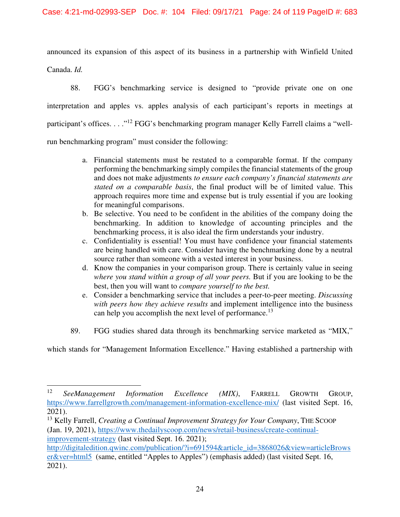announced its expansion of this aspect of its business in a partnership with Winfield United Canada. *Id.*

88. FGG's benchmarking service is designed to "provide private one on one interpretation and apples vs. apples analysis of each participant's reports in meetings at participant's offices. . . .<sup>"12</sup> FGG's benchmarking program manager Kelly Farrell claims a "wellrun benchmarking program" must consider the following:

- a. Financial statements must be restated to a comparable format. If the company performing the benchmarking simply compiles the financial statements of the group and does not make adjustments *to ensure each company's financial statements are stated on a comparable basis*, the final product will be of limited value. This approach requires more time and expense but is truly essential if you are looking for meaningful comparisons.
- b. Be selective. You need to be confident in the abilities of the company doing the benchmarking. In addition to knowledge of accounting principles and the benchmarking process, it is also ideal the firm understands your industry.
- c. Confidentiality is essential! You must have confidence your financial statements are being handled with care. Consider having the benchmarking done by a neutral source rather than someone with a vested interest in your business.
- d. Know the companies in your comparison group. There is certainly value in seeing *where you stand within a group of all your peers.* But if you are looking to be the best, then you will want to *compare yourself to the best.*
- e. Consider a benchmarking service that includes a peer-to-peer meeting. *Discussing with peers how they achieve results* and implement intelligence into the business can help you accomplish the next level of performance.<sup>13</sup>
- 89. FGG studies shared data through its benchmarking service marketed as "MIX,"

which stands for "Management Information Excellence." Having established a partnership with

<sup>12</sup> *SeeManagement Information Excellence (MIX)*, FARRELL GROWTH GROUP, https://www.farrellgrowth.com/management-information-excellence-mix/ (last visited Sept. 16, 2021).

<sup>&</sup>lt;sup>13</sup> Kelly Farrell, *Creating a Continual Improvement Strategy for Your Company*, THE SCOOP (Jan. 19, 2021), https://www.thedailyscoop.com/news/retail-business/create-continualimprovement-strategy (last visited Sept. 16. 2021);

http://digitaledition.qwinc.com/publication/?i=691594&article\_id=3868026&view=articleBrows er&ver=html5 (same, entitled "Apples to Apples") (emphasis added) (last visited Sept. 16, 2021).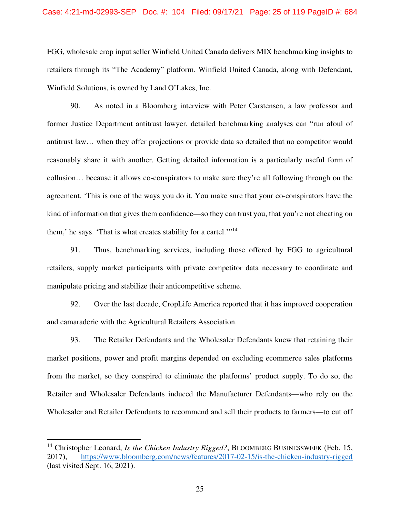FGG, wholesale crop input seller Winfield United Canada delivers MIX benchmarking insights to retailers through its "The Academy" platform. Winfield United Canada, along with Defendant, Winfield Solutions, is owned by Land O'Lakes, Inc.

90. As noted in a Bloomberg interview with Peter Carstensen, a law professor and former Justice Department antitrust lawyer, detailed benchmarking analyses can "run afoul of antitrust law… when they offer projections or provide data so detailed that no competitor would reasonably share it with another. Getting detailed information is a particularly useful form of collusion… because it allows co-conspirators to make sure they're all following through on the agreement. 'This is one of the ways you do it. You make sure that your co-conspirators have the kind of information that gives them confidence—so they can trust you, that you're not cheating on them,' he says. 'That is what creates stability for a cartel.'"<sup>14</sup>

91. Thus, benchmarking services, including those offered by FGG to agricultural retailers, supply market participants with private competitor data necessary to coordinate and manipulate pricing and stabilize their anticompetitive scheme.

92. Over the last decade, CropLife America reported that it has improved cooperation and camaraderie with the Agricultural Retailers Association.

93. The Retailer Defendants and the Wholesaler Defendants knew that retaining their market positions, power and profit margins depended on excluding ecommerce sales platforms from the market, so they conspired to eliminate the platforms' product supply. To do so, the Retailer and Wholesaler Defendants induced the Manufacturer Defendants—who rely on the Wholesaler and Retailer Defendants to recommend and sell their products to farmers—to cut off

<sup>&</sup>lt;sup>14</sup> Christopher Leonard, *Is the Chicken Industry Rigged*?, BLOOMBERG BUSINESSWEEK (Feb. 15, 2017), https://www.bloomberg.com/news/features/2017-02-15/is-the-chicken-industry-rigged (last visited Sept. 16, 2021).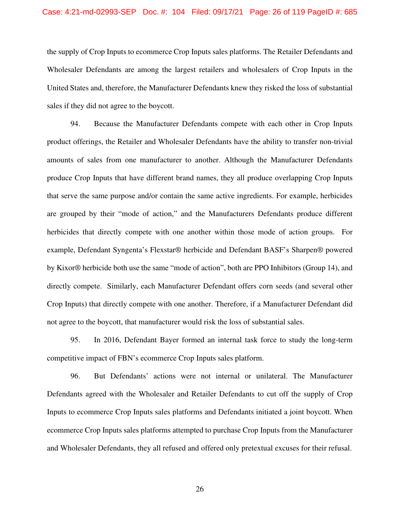### Case: 4:21-md-02993-SEP Doc. #: 104 Filed: 09/17/21 Page: 26 of 119 PageID #: 685

the supply of Crop Inputs to ecommerce Crop Inputs sales platforms. The Retailer Defendants and Wholesaler Defendants are among the largest retailers and wholesalers of Crop Inputs in the United States and, therefore, the Manufacturer Defendants knew they risked the loss of substantial sales if they did not agree to the boycott.

94. Because the Manufacturer Defendants compete with each other in Crop Inputs product offerings, the Retailer and Wholesaler Defendants have the ability to transfer non-trivial amounts of sales from one manufacturer to another. Although the Manufacturer Defendants produce Crop Inputs that have different brand names, they all produce overlapping Crop Inputs that serve the same purpose and/or contain the same active ingredients. For example, herbicides are grouped by their "mode of action," and the Manufacturers Defendants produce different herbicides that directly compete with one another within those mode of action groups. For example, Defendant Syngenta's Flexstar® herbicide and Defendant BASF's Sharpen® powered by Kixor® herbicide both use the same "mode of action", both are PPO Inhibitors (Group 14), and directly compete. Similarly, each Manufacturer Defendant offers corn seeds (and several other Crop Inputs) that directly compete with one another. Therefore, if a Manufacturer Defendant did not agree to the boycott, that manufacturer would risk the loss of substantial sales.

95. In 2016, Defendant Bayer formed an internal task force to study the long-term competitive impact of FBN's ecommerce Crop Inputs sales platform.

96. But Defendants' actions were not internal or unilateral. The Manufacturer Defendants agreed with the Wholesaler and Retailer Defendants to cut off the supply of Crop Inputs to ecommerce Crop Inputs sales platforms and Defendants initiated a joint boycott. When ecommerce Crop Inputs sales platforms attempted to purchase Crop Inputs from the Manufacturer and Wholesaler Defendants, they all refused and offered only pretextual excuses for their refusal.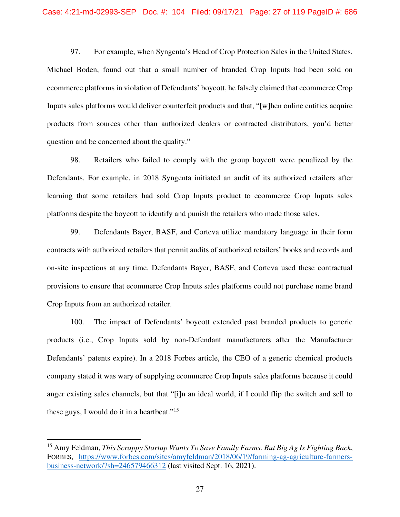97. For example, when Syngenta's Head of Crop Protection Sales in the United States, Michael Boden, found out that a small number of branded Crop Inputs had been sold on ecommerce platforms in violation of Defendants' boycott, he falsely claimed that ecommerce Crop Inputs sales platforms would deliver counterfeit products and that, "[w]hen online entities acquire products from sources other than authorized dealers or contracted distributors, you'd better question and be concerned about the quality."

98. Retailers who failed to comply with the group boycott were penalized by the Defendants. For example, in 2018 Syngenta initiated an audit of its authorized retailers after learning that some retailers had sold Crop Inputs product to ecommerce Crop Inputs sales platforms despite the boycott to identify and punish the retailers who made those sales.

99. Defendants Bayer, BASF, and Corteva utilize mandatory language in their form contracts with authorized retailers that permit audits of authorized retailers' books and records and on-site inspections at any time. Defendants Bayer, BASF, and Corteva used these contractual provisions to ensure that ecommerce Crop Inputs sales platforms could not purchase name brand Crop Inputs from an authorized retailer.

100. The impact of Defendants' boycott extended past branded products to generic products (i.e., Crop Inputs sold by non-Defendant manufacturers after the Manufacturer Defendants' patents expire). In a 2018 Forbes article, the CEO of a generic chemical products company stated it was wary of supplying ecommerce Crop Inputs sales platforms because it could anger existing sales channels, but that "[i]n an ideal world, if I could flip the switch and sell to these guys, I would do it in a heartbeat."<sup>15</sup>

<sup>15</sup> Amy Feldman, *This Scrappy Startup Wants To Save Family Farms. But Big Ag Is Fighting Back*, FORBES, https://www.forbes.com/sites/amyfeldman/2018/06/19/farming-ag-agriculture-farmersbusiness-network/?sh=246579466312 (last visited Sept. 16, 2021).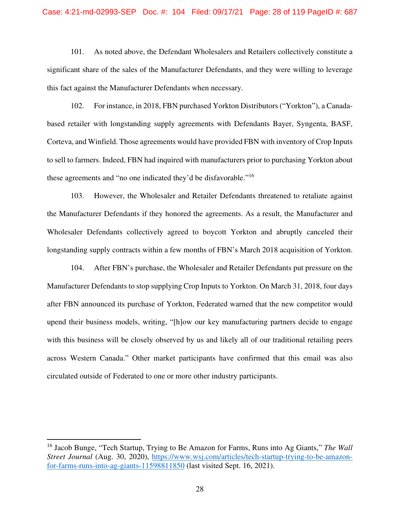101. As noted above, the Defendant Wholesalers and Retailers collectively constitute a significant share of the sales of the Manufacturer Defendants, and they were willing to leverage this fact against the Manufacturer Defendants when necessary.

102. For instance, in 2018, FBN purchased Yorkton Distributors ("Yorkton"), a Canadabased retailer with longstanding supply agreements with Defendants Bayer, Syngenta, BASF, Corteva, and Winfield. Those agreements would have provided FBN with inventory of Crop Inputs to sell to farmers. Indeed, FBN had inquired with manufacturers prior to purchasing Yorkton about these agreements and "no one indicated they'd be disfavorable."<sup>16</sup>

103. However, the Wholesaler and Retailer Defendants threatened to retaliate against the Manufacturer Defendants if they honored the agreements. As a result, the Manufacturer and Wholesaler Defendants collectively agreed to boycott Yorkton and abruptly canceled their longstanding supply contracts within a few months of FBN's March 2018 acquisition of Yorkton.

104. After FBN's purchase, the Wholesaler and Retailer Defendants put pressure on the Manufacturer Defendants to stop supplying Crop Inputs to Yorkton. On March 31, 2018, four days after FBN announced its purchase of Yorkton, Federated warned that the new competitor would upend their business models, writing, "[h]ow our key manufacturing partners decide to engage with this business will be closely observed by us and likely all of our traditional retailing peers across Western Canada." Other market participants have confirmed that this email was also circulated outside of Federated to one or more other industry participants.

<sup>16</sup> Jacob Bunge, "Tech Startup, Trying to Be Amazon for Farms, Runs into Ag Giants," *The Wall Street Journal* (Aug. 30, 2020), https://www.wsj.com/articles/tech-startup-trying-to-be-amazonfor-farms-runs-into-ag-giants-11598811850 (last visited Sept. 16, 2021).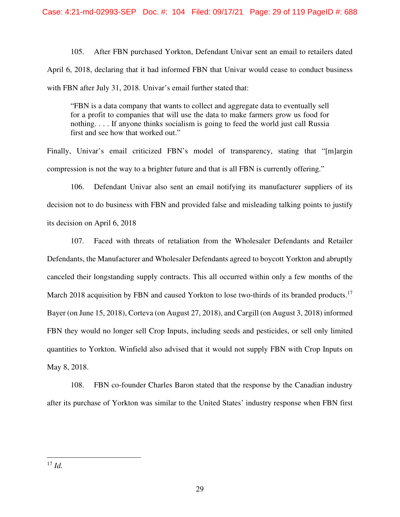105. After FBN purchased Yorkton, Defendant Univar sent an email to retailers dated April 6, 2018, declaring that it had informed FBN that Univar would cease to conduct business with FBN after July 31, 2018. Univar's email further stated that:

"FBN is a data company that wants to collect and aggregate data to eventually sell for a profit to companies that will use the data to make farmers grow us food for nothing. . . . If anyone thinks socialism is going to feed the world just call Russia first and see how that worked out."

Finally, Univar's email criticized FBN's model of transparency, stating that "[m]argin compression is not the way to a brighter future and that is all FBN is currently offering."

106. Defendant Univar also sent an email notifying its manufacturer suppliers of its decision not to do business with FBN and provided false and misleading talking points to justify its decision on April 6, 2018

107. Faced with threats of retaliation from the Wholesaler Defendants and Retailer Defendants, the Manufacturer and Wholesaler Defendants agreed to boycott Yorkton and abruptly canceled their longstanding supply contracts. This all occurred within only a few months of the March 2018 acquisition by FBN and caused Yorkton to lose two-thirds of its branded products.<sup>17</sup> Bayer (on June 15, 2018), Corteva (on August 27, 2018), and Cargill (on August 3, 2018) informed FBN they would no longer sell Crop Inputs, including seeds and pesticides, or sell only limited quantities to Yorkton. Winfield also advised that it would not supply FBN with Crop Inputs on May 8, 2018.

108. FBN co-founder Charles Baron stated that the response by the Canadian industry after its purchase of Yorkton was similar to the United States' industry response when FBN first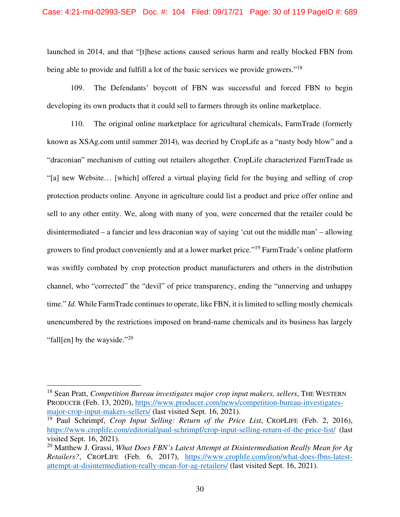launched in 2014, and that "[t]hese actions caused serious harm and really blocked FBN from being able to provide and fulfill a lot of the basic services we provide growers."<sup>18</sup>

109. The Defendants' boycott of FBN was successful and forced FBN to begin developing its own products that it could sell to farmers through its online marketplace.

110. The original online marketplace for agricultural chemicals, FarmTrade (formerly known as XSAg.com until summer 2014), was decried by CropLife as a "nasty body blow" and a "draconian" mechanism of cutting out retailers altogether. CropLife characterized FarmTrade as "[a] new Website… [which] offered a virtual playing field for the buying and selling of crop protection products online. Anyone in agriculture could list a product and price offer online and sell to any other entity. We, along with many of you, were concerned that the retailer could be disintermediated – a fancier and less draconian way of saying 'cut out the middle man' – allowing growers to find product conveniently and at a lower market price."<sup>19</sup> FarmTrade's online platform was swiftly combated by crop protection product manufacturers and others in the distribution channel, who "corrected" the "devil" of price transparency, ending the "unnerving and unhappy time." *Id.* While FarmTrade continues to operate, like FBN, it is limited to selling mostly chemicals unencumbered by the restrictions imposed on brand-name chemicals and its business has largely "fall[en] by the wayside." $^{20}$ 

<sup>&</sup>lt;sup>18</sup> Sean Pratt, *Competition Bureau investigates major crop input makers, sellers,* THE WESTERN PRODUCER (Feb. 13, 2020), https://www.producer.com/news/competition-bureau-investigatesmajor-crop-input-makers-sellers/ (last visited Sept. 16, 2021).

<sup>19</sup> Paul Schrimpf, *Crop Input Selling: Return of the Price List*, CROPLIFE (Feb. 2, 2016), https://www.croplife.com/editorial/paul-schrimpf/crop-input-selling-return-of-the-price-list/ (last visited Sept. 16, 2021).

<sup>20</sup> Matthew J. Grassi, *What Does FBN's Latest Attempt at Disintermediation Really Mean for Ag Retailers?*, CROPLIFE (Feb. 6, 2017), https://www.croplife.com/iron/what-does-fbns-latestattempt-at-disintermediation-really-mean-for-ag-retailers/ (last visited Sept. 16, 2021).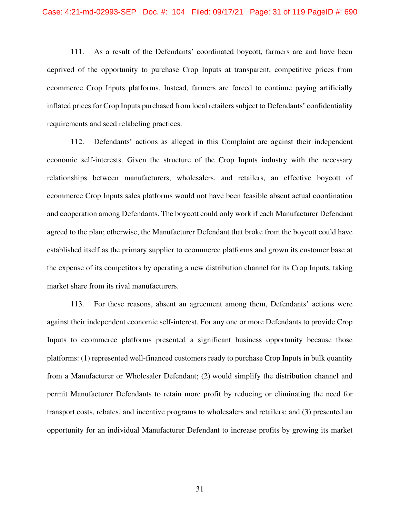111. As a result of the Defendants' coordinated boycott, farmers are and have been deprived of the opportunity to purchase Crop Inputs at transparent, competitive prices from ecommerce Crop Inputs platforms. Instead, farmers are forced to continue paying artificially inflated prices for Crop Inputs purchased from local retailers subject to Defendants' confidentiality requirements and seed relabeling practices.

112. Defendants' actions as alleged in this Complaint are against their independent economic self-interests. Given the structure of the Crop Inputs industry with the necessary relationships between manufacturers, wholesalers, and retailers, an effective boycott of ecommerce Crop Inputs sales platforms would not have been feasible absent actual coordination and cooperation among Defendants. The boycott could only work if each Manufacturer Defendant agreed to the plan; otherwise, the Manufacturer Defendant that broke from the boycott could have established itself as the primary supplier to ecommerce platforms and grown its customer base at the expense of its competitors by operating a new distribution channel for its Crop Inputs, taking market share from its rival manufacturers.

113. For these reasons, absent an agreement among them, Defendants' actions were against their independent economic self-interest. For any one or more Defendants to provide Crop Inputs to ecommerce platforms presented a significant business opportunity because those platforms: (1) represented well-financed customers ready to purchase Crop Inputs in bulk quantity from a Manufacturer or Wholesaler Defendant; (2) would simplify the distribution channel and permit Manufacturer Defendants to retain more profit by reducing or eliminating the need for transport costs, rebates, and incentive programs to wholesalers and retailers; and (3) presented an opportunity for an individual Manufacturer Defendant to increase profits by growing its market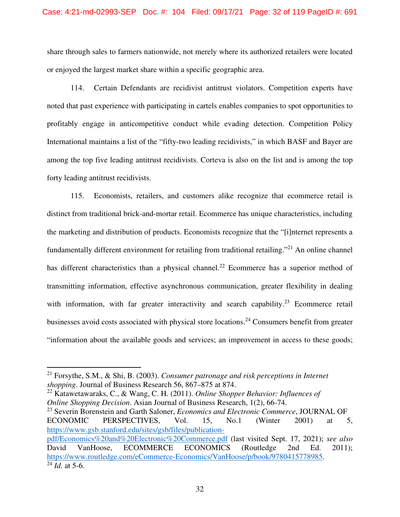share through sales to farmers nationwide, not merely where its authorized retailers were located or enjoyed the largest market share within a specific geographic area.

114. Certain Defendants are recidivist antitrust violators. Competition experts have noted that past experience with participating in cartels enables companies to spot opportunities to profitably engage in anticompetitive conduct while evading detection. Competition Policy International maintains a list of the "fifty-two leading recidivists," in which BASF and Bayer are among the top five leading antitrust recidivists. Corteva is also on the list and is among the top forty leading antitrust recidivists.

115. Economists, retailers, and customers alike recognize that ecommerce retail is distinct from traditional brick-and-mortar retail. Ecommerce has unique characteristics, including the marketing and distribution of products. Economists recognize that the "[i]nternet represents a fundamentally different environment for retailing from traditional retailing."<sup>21</sup> An online channel has different characteristics than a physical channel.<sup>22</sup> Ecommerce has a superior method of transmitting information, effective asynchronous communication, greater flexibility in dealing with information, with far greater interactivity and search capability.<sup>23</sup> Ecommerce retail businesses avoid costs associated with physical store locations.<sup>24</sup> Consumers benefit from greater "information about the available goods and services; an improvement in access to these goods;

<sup>22</sup> Katawetawaraks, C., & Wang, C. H. (2011). *Online Shopper Behavior: Influences of Online Shopping Decision*. Asian Journal of Business Research, 1(2), 66-74. <sup>23</sup> Severin Borenstein and Garth Saloner, *Economics and Electronic Commerce*, JOURNAL OF

ECONOMIC PERSPECTIVES, Vol. 15, No.1 (Winter 2001) at 5, https://www.gsb.stanford.edu/sites/gsb/files/publicationpdf/Economics%20and%20Electronic%20Commerce.pdf (last visited Sept. 17, 2021); *see also*  David VanHoose, ECOMMERCE ECONOMICS (Routledge 2nd Ed. 2011); https://www.routledge.com/eCommerce-Economics/VanHoose/p/book/9780415778985.  $\bar{2}4$  *Id.* at 5-6.

<sup>21</sup> Forsythe, S.M., & Shi, B. (2003). *Consumer patronage and risk perceptions in Internet shopping*. Journal of Business Research 56, 867–875 at 874.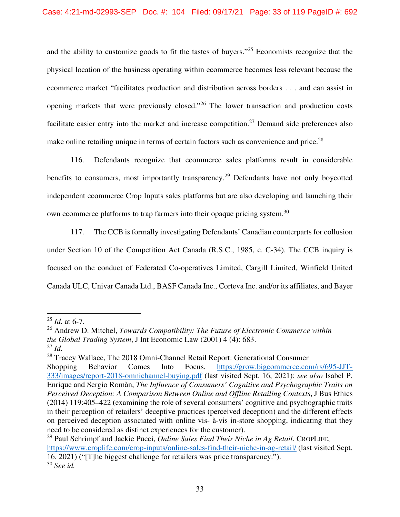and the ability to customize goods to fit the tastes of buyers."<sup>25</sup> Economists recognize that the physical location of the business operating within ecommerce becomes less relevant because the ecommerce market "facilitates production and distribution across borders . . . and can assist in opening markets that were previously closed."<sup>26</sup> The lower transaction and production costs facilitate easier entry into the market and increase competition.<sup>27</sup> Demand side preferences also make online retailing unique in terms of certain factors such as convenience and price.<sup>28</sup>

116. Defendants recognize that ecommerce sales platforms result in considerable benefits to consumers, most importantly transparency.<sup>29</sup> Defendants have not only boycotted independent ecommerce Crop Inputs sales platforms but are also developing and launching their own ecommerce platforms to trap farmers into their opaque pricing system.<sup>30</sup>

117. The CCB is formally investigating Defendants' Canadian counterparts for collusion under Section 10 of the Competition Act Canada (R.S.C., 1985, c. C-34). The CCB inquiry is focused on the conduct of Federated Co-operatives Limited, Cargill Limited, Winfield United Canada ULC, Univar Canada Ltd., BASF Canada Inc., Corteva Inc. and/or its affiliates, and Bayer

<sup>25</sup> *Id.* at 6-7.

<sup>26</sup> Andrew D. Mitchel, *Towards Compatibility: The Future of Electronic Commerce within the Global Trading System*, J Int Economic Law (2001) 4 (4): 683.

<sup>27</sup> *Id.*

<sup>&</sup>lt;sup>28</sup> Tracey Wallace, The 2018 Omni-Channel Retail Report: Generational Consumer Shopping Behavior Comes Into Focus, https://grow.bigcommerce.com/rs/695-JJT-333/images/report-2018-omnichannel-buying.pdf (last visited Sept. 16, 2021); *see also* Isabel P. Enrique and Sergio Romàn, *The Influence of Consumers' Cognitive and Psychographic Traits on Perceived Deception: A Comparison Between Online and Offline Retailing Contexts*, J Bus Ethics (2014) 119:405–422 (examining the role of several consumers' cognitive and psychographic traits in their perception of retailers' deceptive practices (perceived deception) and the different effects on perceived deception associated with online vis- à-vis in-store shopping, indicating that they need to be considered as distinct experiences for the customer).

<sup>29</sup> Paul Schrimpf and Jackie Pucci, *Online Sales Find Their Niche in Ag Retail*, CROPLIFE, https://www.croplife.com/crop-inputs/online-sales-find-their-niche-in-ag-retail/ (last visited Sept. 16, 2021) ("[T]he biggest challenge for retailers was price transparency."). <sup>30</sup> *See id.*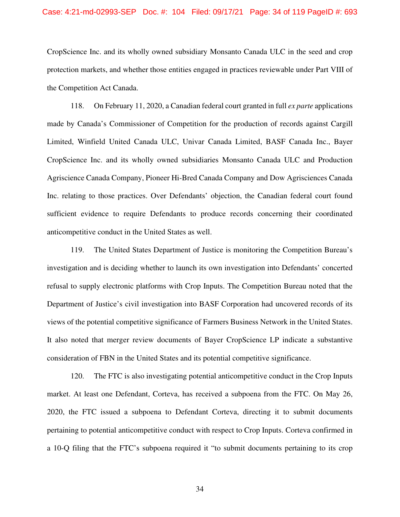### Case: 4:21-md-02993-SEP Doc. #: 104 Filed: 09/17/21 Page: 34 of 119 PageID #: 693

CropScience Inc. and its wholly owned subsidiary Monsanto Canada ULC in the seed and crop protection markets, and whether those entities engaged in practices reviewable under Part VIII of the Competition Act Canada.

118. On February 11, 2020, a Canadian federal court granted in full *ex parte* applications made by Canada's Commissioner of Competition for the production of records against Cargill Limited, Winfield United Canada ULC, Univar Canada Limited, BASF Canada Inc., Bayer CropScience Inc. and its wholly owned subsidiaries Monsanto Canada ULC and Production Agriscience Canada Company, Pioneer Hi-Bred Canada Company and Dow Agrisciences Canada Inc. relating to those practices. Over Defendants' objection, the Canadian federal court found sufficient evidence to require Defendants to produce records concerning their coordinated anticompetitive conduct in the United States as well.

119. The United States Department of Justice is monitoring the Competition Bureau's investigation and is deciding whether to launch its own investigation into Defendants' concerted refusal to supply electronic platforms with Crop Inputs. The Competition Bureau noted that the Department of Justice's civil investigation into BASF Corporation had uncovered records of its views of the potential competitive significance of Farmers Business Network in the United States. It also noted that merger review documents of Bayer CropScience LP indicate a substantive consideration of FBN in the United States and its potential competitive significance.

120. The FTC is also investigating potential anticompetitive conduct in the Crop Inputs market. At least one Defendant, Corteva, has received a subpoena from the FTC. On May 26, 2020, the FTC issued a subpoena to Defendant Corteva, directing it to submit documents pertaining to potential anticompetitive conduct with respect to Crop Inputs. Corteva confirmed in a 10-Q filing that the FTC's subpoena required it "to submit documents pertaining to its crop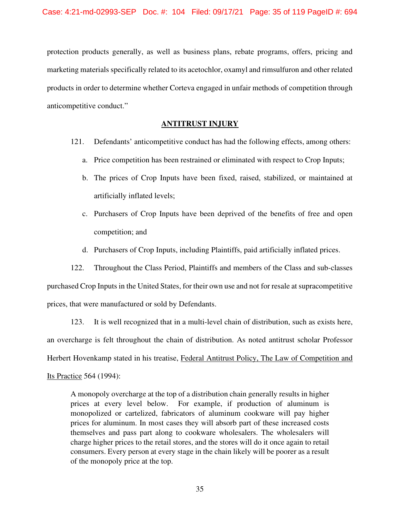protection products generally, as well as business plans, rebate programs, offers, pricing and marketing materials specifically related to its acetochlor, oxamyl and rimsulfuron and other related products in order to determine whether Corteva engaged in unfair methods of competition through anticompetitive conduct."

# **ANTITRUST INJURY**

- 121. Defendants' anticompetitive conduct has had the following effects, among others:
	- a. Price competition has been restrained or eliminated with respect to Crop Inputs;
	- b. The prices of Crop Inputs have been fixed, raised, stabilized, or maintained at artificially inflated levels;
	- c. Purchasers of Crop Inputs have been deprived of the benefits of free and open competition; and
	- d. Purchasers of Crop Inputs, including Plaintiffs, paid artificially inflated prices.

122. Throughout the Class Period, Plaintiffs and members of the Class and sub-classes purchased Crop Inputs in the United States, for their own use and not for resale at supracompetitive prices, that were manufactured or sold by Defendants.

123. It is well recognized that in a multi-level chain of distribution, such as exists here, an overcharge is felt throughout the chain of distribution. As noted antitrust scholar Professor Herbert Hovenkamp stated in his treatise, Federal Antitrust Policy, The Law of Competition and Its Practice 564 (1994):

A monopoly overcharge at the top of a distribution chain generally results in higher prices at every level below. For example, if production of aluminum is monopolized or cartelized, fabricators of aluminum cookware will pay higher prices for aluminum. In most cases they will absorb part of these increased costs themselves and pass part along to cookware wholesalers. The wholesalers will charge higher prices to the retail stores, and the stores will do it once again to retail consumers. Every person at every stage in the chain likely will be poorer as a result of the monopoly price at the top.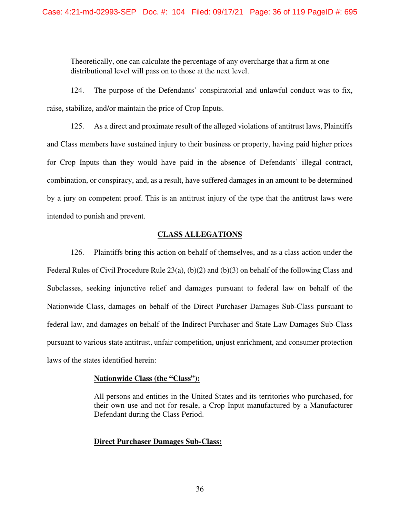Theoretically, one can calculate the percentage of any overcharge that a firm at one distributional level will pass on to those at the next level.

124. The purpose of the Defendants' conspiratorial and unlawful conduct was to fix, raise, stabilize, and/or maintain the price of Crop Inputs.

125. As a direct and proximate result of the alleged violations of antitrust laws, Plaintiffs and Class members have sustained injury to their business or property, having paid higher prices for Crop Inputs than they would have paid in the absence of Defendants' illegal contract, combination, or conspiracy, and, as a result, have suffered damages in an amount to be determined by a jury on competent proof. This is an antitrust injury of the type that the antitrust laws were intended to punish and prevent.

# **CLASS ALLEGATIONS**

126. Plaintiffs bring this action on behalf of themselves, and as a class action under the Federal Rules of Civil Procedure Rule  $23(a)$ , (b)(2) and (b)(3) on behalf of the following Class and Subclasses, seeking injunctive relief and damages pursuant to federal law on behalf of the Nationwide Class, damages on behalf of the Direct Purchaser Damages Sub-Class pursuant to federal law, and damages on behalf of the Indirect Purchaser and State Law Damages Sub-Class pursuant to various state antitrust, unfair competition, unjust enrichment, and consumer protection laws of the states identified herein:

## **Nationwide Class (the "Class"):**

All persons and entities in the United States and its territories who purchased, for their own use and not for resale, a Crop Input manufactured by a Manufacturer Defendant during the Class Period.

### **Direct Purchaser Damages Sub-Class:**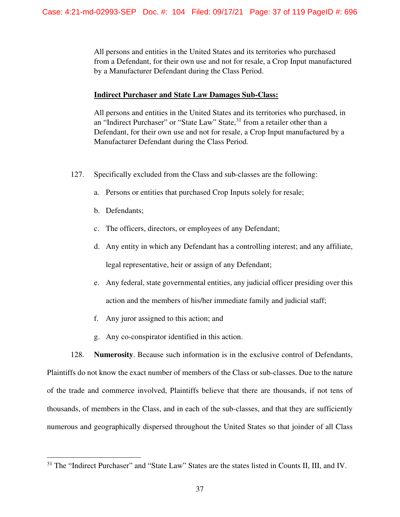All persons and entities in the United States and its territories who purchased from a Defendant, for their own use and not for resale, a Crop Input manufactured by a Manufacturer Defendant during the Class Period.

# **Indirect Purchaser and State Law Damages Sub-Class:**

All persons and entities in the United States and its territories who purchased, in an "Indirect Purchaser" or "State Law" State,<sup>31</sup> from a retailer other than a Defendant, for their own use and not for resale, a Crop Input manufactured by a Manufacturer Defendant during the Class Period.

- 127. Specifically excluded from the Class and sub-classes are the following:
	- a. Persons or entities that purchased Crop Inputs solely for resale;
	- b. Defendants;
	- c. The officers, directors, or employees of any Defendant;
	- d. Any entity in which any Defendant has a controlling interest; and any affiliate, legal representative, heir or assign of any Defendant;
	- e. Any federal, state governmental entities, any judicial officer presiding over this action and the members of his/her immediate family and judicial staff;
	- f. Any juror assigned to this action; and
	- g. Any co-conspirator identified in this action.

128. **Numerosity**. Because such information is in the exclusive control of Defendants, Plaintiffs do not know the exact number of members of the Class or sub-classes. Due to the nature of the trade and commerce involved, Plaintiffs believe that there are thousands, if not tens of thousands, of members in the Class, and in each of the sub-classes, and that they are sufficiently numerous and geographically dispersed throughout the United States so that joinder of all Class

<sup>&</sup>lt;sup>31</sup> The "Indirect Purchaser" and "State Law" States are the states listed in Counts II, III, and IV.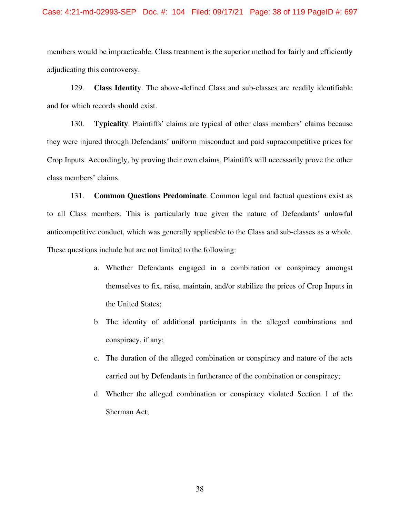### Case: 4:21-md-02993-SEP Doc. #: 104 Filed: 09/17/21 Page: 38 of 119 PageID #: 697

members would be impracticable. Class treatment is the superior method for fairly and efficiently adjudicating this controversy.

129. **Class Identity**. The above-defined Class and sub-classes are readily identifiable and for which records should exist.

130. **Typicality**. Plaintiffs' claims are typical of other class members' claims because they were injured through Defendants' uniform misconduct and paid supracompetitive prices for Crop Inputs. Accordingly, by proving their own claims, Plaintiffs will necessarily prove the other class members' claims.

131. **Common Questions Predominate**. Common legal and factual questions exist as to all Class members. This is particularly true given the nature of Defendants' unlawful anticompetitive conduct, which was generally applicable to the Class and sub-classes as a whole. These questions include but are not limited to the following:

- a. Whether Defendants engaged in a combination or conspiracy amongst themselves to fix, raise, maintain, and/or stabilize the prices of Crop Inputs in the United States;
- b. The identity of additional participants in the alleged combinations and conspiracy, if any;
- c. The duration of the alleged combination or conspiracy and nature of the acts carried out by Defendants in furtherance of the combination or conspiracy;
- d. Whether the alleged combination or conspiracy violated Section 1 of the Sherman Act;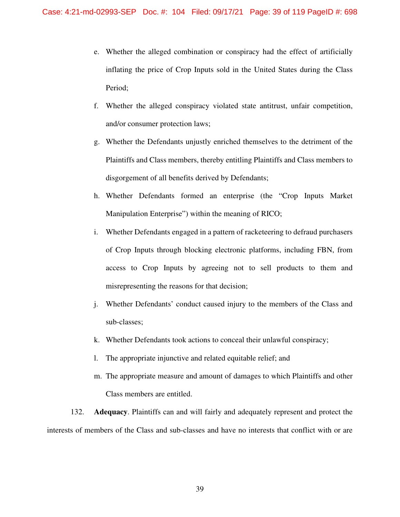- e. Whether the alleged combination or conspiracy had the effect of artificially inflating the price of Crop Inputs sold in the United States during the Class Period;
- f. Whether the alleged conspiracy violated state antitrust, unfair competition, and/or consumer protection laws;
- g. Whether the Defendants unjustly enriched themselves to the detriment of the Plaintiffs and Class members, thereby entitling Plaintiffs and Class members to disgorgement of all benefits derived by Defendants;
- h. Whether Defendants formed an enterprise (the "Crop Inputs Market Manipulation Enterprise") within the meaning of RICO;
- i. Whether Defendants engaged in a pattern of racketeering to defraud purchasers of Crop Inputs through blocking electronic platforms, including FBN, from access to Crop Inputs by agreeing not to sell products to them and misrepresenting the reasons for that decision;
- j. Whether Defendants' conduct caused injury to the members of the Class and sub-classes;
- k. Whether Defendants took actions to conceal their unlawful conspiracy;
- l. The appropriate injunctive and related equitable relief; and
- m. The appropriate measure and amount of damages to which Plaintiffs and other Class members are entitled.

132. **Adequacy**. Plaintiffs can and will fairly and adequately represent and protect the interests of members of the Class and sub-classes and have no interests that conflict with or are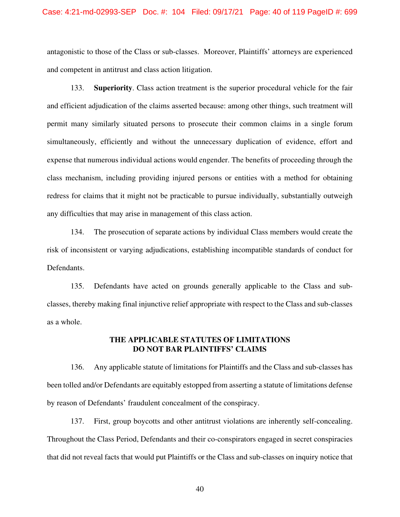### Case: 4:21-md-02993-SEP Doc. #: 104 Filed: 09/17/21 Page: 40 of 119 PageID #: 699

antagonistic to those of the Class or sub-classes. Moreover, Plaintiffs' attorneys are experienced and competent in antitrust and class action litigation.

133. **Superiority**. Class action treatment is the superior procedural vehicle for the fair and efficient adjudication of the claims asserted because: among other things, such treatment will permit many similarly situated persons to prosecute their common claims in a single forum simultaneously, efficiently and without the unnecessary duplication of evidence, effort and expense that numerous individual actions would engender. The benefits of proceeding through the class mechanism, including providing injured persons or entities with a method for obtaining redress for claims that it might not be practicable to pursue individually, substantially outweigh any difficulties that may arise in management of this class action.

134. The prosecution of separate actions by individual Class members would create the risk of inconsistent or varying adjudications, establishing incompatible standards of conduct for Defendants.

135. Defendants have acted on grounds generally applicable to the Class and subclasses, thereby making final injunctive relief appropriate with respect to the Class and sub-classes as a whole.

## **THE APPLICABLE STATUTES OF LIMITATIONS DO NOT BAR PLAINTIFFS' CLAIMS**

136. Any applicable statute of limitations for Plaintiffs and the Class and sub-classes has been tolled and/or Defendants are equitably estopped from asserting a statute of limitations defense by reason of Defendants' fraudulent concealment of the conspiracy.

137. First, group boycotts and other antitrust violations are inherently self-concealing. Throughout the Class Period, Defendants and their co-conspirators engaged in secret conspiracies that did not reveal facts that would put Plaintiffs or the Class and sub-classes on inquiry notice that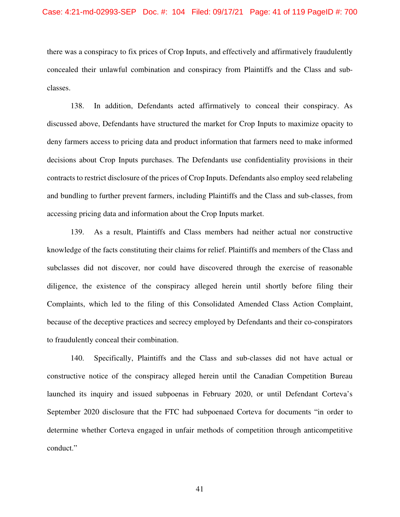there was a conspiracy to fix prices of Crop Inputs, and effectively and affirmatively fraudulently concealed their unlawful combination and conspiracy from Plaintiffs and the Class and subclasses.

138. In addition, Defendants acted affirmatively to conceal their conspiracy. As discussed above, Defendants have structured the market for Crop Inputs to maximize opacity to deny farmers access to pricing data and product information that farmers need to make informed decisions about Crop Inputs purchases. The Defendants use confidentiality provisions in their contracts to restrict disclosure of the prices of Crop Inputs. Defendants also employ seed relabeling and bundling to further prevent farmers, including Plaintiffs and the Class and sub-classes, from accessing pricing data and information about the Crop Inputs market.

139. As a result, Plaintiffs and Class members had neither actual nor constructive knowledge of the facts constituting their claims for relief. Plaintiffs and members of the Class and subclasses did not discover, nor could have discovered through the exercise of reasonable diligence, the existence of the conspiracy alleged herein until shortly before filing their Complaints, which led to the filing of this Consolidated Amended Class Action Complaint, because of the deceptive practices and secrecy employed by Defendants and their co-conspirators to fraudulently conceal their combination.

140. Specifically, Plaintiffs and the Class and sub-classes did not have actual or constructive notice of the conspiracy alleged herein until the Canadian Competition Bureau launched its inquiry and issued subpoenas in February 2020, or until Defendant Corteva's September 2020 disclosure that the FTC had subpoenaed Corteva for documents "in order to determine whether Corteva engaged in unfair methods of competition through anticompetitive conduct."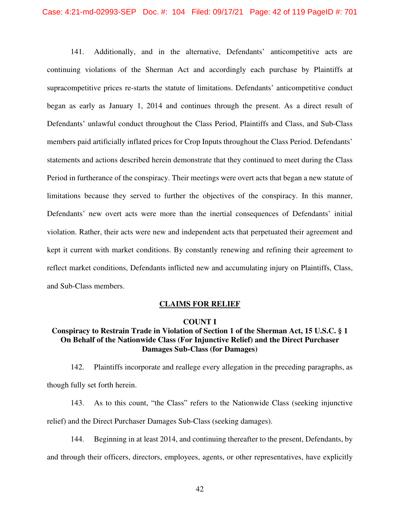### Case: 4:21-md-02993-SEP Doc. #: 104 Filed: 09/17/21 Page: 42 of 119 PageID #: 701

141. Additionally, and in the alternative, Defendants' anticompetitive acts are continuing violations of the Sherman Act and accordingly each purchase by Plaintiffs at supracompetitive prices re-starts the statute of limitations. Defendants' anticompetitive conduct began as early as January 1, 2014 and continues through the present. As a direct result of Defendants' unlawful conduct throughout the Class Period, Plaintiffs and Class, and Sub-Class members paid artificially inflated prices for Crop Inputs throughout the Class Period. Defendants' statements and actions described herein demonstrate that they continued to meet during the Class Period in furtherance of the conspiracy. Their meetings were overt acts that began a new statute of limitations because they served to further the objectives of the conspiracy. In this manner, Defendants' new overt acts were more than the inertial consequences of Defendants' initial violation. Rather, their acts were new and independent acts that perpetuated their agreement and kept it current with market conditions. By constantly renewing and refining their agreement to reflect market conditions, Defendants inflicted new and accumulating injury on Plaintiffs, Class, and Sub-Class members.

## **CLAIMS FOR RELIEF**

### **COUNT I**

# **Conspiracy to Restrain Trade in Violation of Section 1 of the Sherman Act, 15 U.S.C. § 1 On Behalf of the Nationwide Class (For Injunctive Relief) and the Direct Purchaser Damages Sub-Class (for Damages)**

142. Plaintiffs incorporate and reallege every allegation in the preceding paragraphs, as though fully set forth herein.

143. As to this count, "the Class" refers to the Nationwide Class (seeking injunctive relief) and the Direct Purchaser Damages Sub-Class (seeking damages).

144. Beginning in at least 2014, and continuing thereafter to the present, Defendants, by and through their officers, directors, employees, agents, or other representatives, have explicitly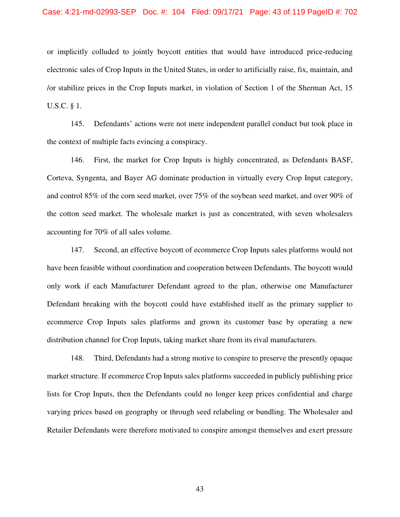### Case: 4:21-md-02993-SEP Doc. #: 104 Filed: 09/17/21 Page: 43 of 119 PageID #: 702

or implicitly colluded to jointly boycott entities that would have introduced price-reducing electronic sales of Crop Inputs in the United States, in order to artificially raise, fix, maintain, and /or stabilize prices in the Crop Inputs market, in violation of Section 1 of the Sherman Act, 15 U.S.C. § 1.

145. Defendants' actions were not mere independent parallel conduct but took place in the context of multiple facts evincing a conspiracy.

146. First, the market for Crop Inputs is highly concentrated, as Defendants BASF, Corteva, Syngenta, and Bayer AG dominate production in virtually every Crop Input category, and control 85% of the corn seed market, over 75% of the soybean seed market, and over 90% of the cotton seed market. The wholesale market is just as concentrated, with seven wholesalers accounting for 70% of all sales volume.

147. Second, an effective boycott of ecommerce Crop Inputs sales platforms would not have been feasible without coordination and cooperation between Defendants. The boycott would only work if each Manufacturer Defendant agreed to the plan, otherwise one Manufacturer Defendant breaking with the boycott could have established itself as the primary supplier to ecommerce Crop Inputs sales platforms and grown its customer base by operating a new distribution channel for Crop Inputs, taking market share from its rival manufacturers.

148. Third, Defendants had a strong motive to conspire to preserve the presently opaque market structure. If ecommerce Crop Inputs sales platforms succeeded in publicly publishing price lists for Crop Inputs, then the Defendants could no longer keep prices confidential and charge varying prices based on geography or through seed relabeling or bundling. The Wholesaler and Retailer Defendants were therefore motivated to conspire amongst themselves and exert pressure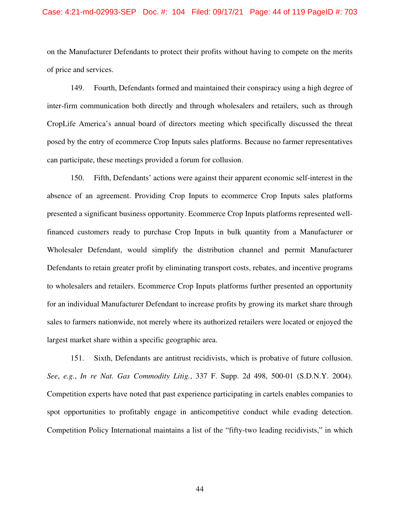### Case: 4:21-md-02993-SEP Doc. #: 104 Filed: 09/17/21 Page: 44 of 119 PageID #: 703

on the Manufacturer Defendants to protect their profits without having to compete on the merits of price and services.

149. Fourth, Defendants formed and maintained their conspiracy using a high degree of inter-firm communication both directly and through wholesalers and retailers, such as through CropLife America's annual board of directors meeting which specifically discussed the threat posed by the entry of ecommerce Crop Inputs sales platforms. Because no farmer representatives can participate, these meetings provided a forum for collusion.

150. Fifth, Defendants' actions were against their apparent economic self-interest in the absence of an agreement. Providing Crop Inputs to ecommerce Crop Inputs sales platforms presented a significant business opportunity. Ecommerce Crop Inputs platforms represented wellfinanced customers ready to purchase Crop Inputs in bulk quantity from a Manufacturer or Wholesaler Defendant, would simplify the distribution channel and permit Manufacturer Defendants to retain greater profit by eliminating transport costs, rebates, and incentive programs to wholesalers and retailers. Ecommerce Crop Inputs platforms further presented an opportunity for an individual Manufacturer Defendant to increase profits by growing its market share through sales to farmers nationwide, not merely where its authorized retailers were located or enjoyed the largest market share within a specific geographic area.

151. Sixth, Defendants are antitrust recidivists, which is probative of future collusion. *See*, *e.g.*, *In re Nat. Gas Commodity Litig.*, 337 F. Supp. 2d 498, 500-01 (S.D.N.Y. 2004). Competition experts have noted that past experience participating in cartels enables companies to spot opportunities to profitably engage in anticompetitive conduct while evading detection. Competition Policy International maintains a list of the "fifty-two leading recidivists," in which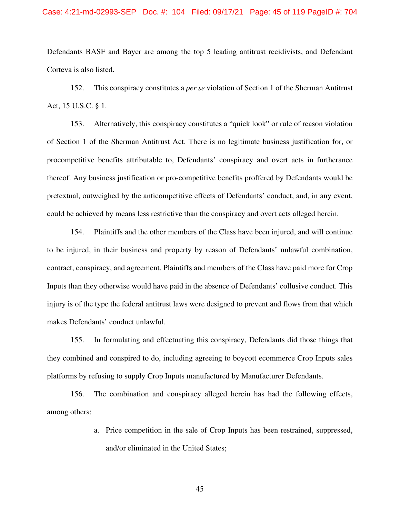### Case: 4:21-md-02993-SEP Doc. #: 104 Filed: 09/17/21 Page: 45 of 119 PageID #: 704

Defendants BASF and Bayer are among the top 5 leading antitrust recidivists, and Defendant Corteva is also listed.

152. This conspiracy constitutes a *per se* violation of Section 1 of the Sherman Antitrust Act, 15 U.S.C. § 1.

153. Alternatively, this conspiracy constitutes a "quick look" or rule of reason violation of Section 1 of the Sherman Antitrust Act. There is no legitimate business justification for, or procompetitive benefits attributable to, Defendants' conspiracy and overt acts in furtherance thereof. Any business justification or pro-competitive benefits proffered by Defendants would be pretextual, outweighed by the anticompetitive effects of Defendants' conduct, and, in any event, could be achieved by means less restrictive than the conspiracy and overt acts alleged herein.

154. Plaintiffs and the other members of the Class have been injured, and will continue to be injured, in their business and property by reason of Defendants' unlawful combination, contract, conspiracy, and agreement. Plaintiffs and members of the Class have paid more for Crop Inputs than they otherwise would have paid in the absence of Defendants' collusive conduct. This injury is of the type the federal antitrust laws were designed to prevent and flows from that which makes Defendants' conduct unlawful.

155. In formulating and effectuating this conspiracy, Defendants did those things that they combined and conspired to do, including agreeing to boycott ecommerce Crop Inputs sales platforms by refusing to supply Crop Inputs manufactured by Manufacturer Defendants.

156. The combination and conspiracy alleged herein has had the following effects, among others:

> a. Price competition in the sale of Crop Inputs has been restrained, suppressed, and/or eliminated in the United States;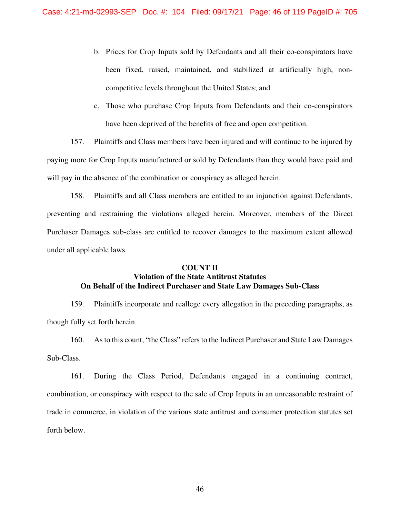- b. Prices for Crop Inputs sold by Defendants and all their co-conspirators have been fixed, raised, maintained, and stabilized at artificially high, noncompetitive levels throughout the United States; and
- c. Those who purchase Crop Inputs from Defendants and their co-conspirators have been deprived of the benefits of free and open competition.

157. Plaintiffs and Class members have been injured and will continue to be injured by paying more for Crop Inputs manufactured or sold by Defendants than they would have paid and will pay in the absence of the combination or conspiracy as alleged herein.

158. Plaintiffs and all Class members are entitled to an injunction against Defendants, preventing and restraining the violations alleged herein. Moreover, members of the Direct Purchaser Damages sub-class are entitled to recover damages to the maximum extent allowed under all applicable laws.

### **COUNT II**

# **Violation of the State Antitrust Statutes On Behalf of the Indirect Purchaser and State Law Damages Sub-Class**

159. Plaintiffs incorporate and reallege every allegation in the preceding paragraphs, as though fully set forth herein.

160. As to this count, "the Class" refers to the Indirect Purchaser and State Law Damages Sub-Class.

161. During the Class Period, Defendants engaged in a continuing contract, combination, or conspiracy with respect to the sale of Crop Inputs in an unreasonable restraint of trade in commerce, in violation of the various state antitrust and consumer protection statutes set forth below.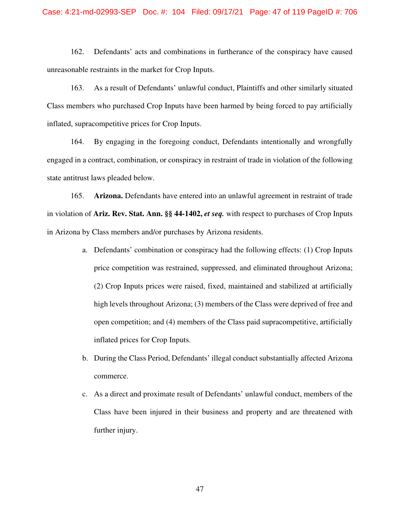162. Defendants' acts and combinations in furtherance of the conspiracy have caused unreasonable restraints in the market for Crop Inputs.

163. As a result of Defendants' unlawful conduct, Plaintiffs and other similarly situated Class members who purchased Crop Inputs have been harmed by being forced to pay artificially inflated, supracompetitive prices for Crop Inputs.

164. By engaging in the foregoing conduct, Defendants intentionally and wrongfully engaged in a contract, combination, or conspiracy in restraint of trade in violation of the following state antitrust laws pleaded below.

165. **Arizona.** Defendants have entered into an unlawful agreement in restraint of trade in violation of **Ariz. Rev. Stat. Ann. §§ 44-1402,** *et seq.* with respect to purchases of Crop Inputs in Arizona by Class members and/or purchases by Arizona residents.

- a. Defendants' combination or conspiracy had the following effects: (1) Crop Inputs price competition was restrained, suppressed, and eliminated throughout Arizona; (2) Crop Inputs prices were raised, fixed, maintained and stabilized at artificially high levels throughout Arizona; (3) members of the Class were deprived of free and open competition; and (4) members of the Class paid supracompetitive, artificially inflated prices for Crop Inputs.
- b. During the Class Period, Defendants' illegal conduct substantially affected Arizona commerce.
- c. As a direct and proximate result of Defendants' unlawful conduct, members of the Class have been injured in their business and property and are threatened with further injury.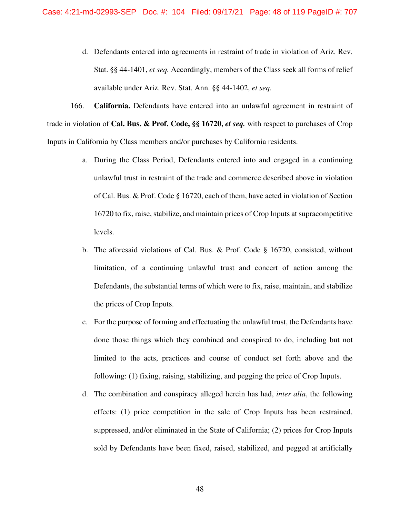d. Defendants entered into agreements in restraint of trade in violation of Ariz. Rev. Stat. §§ 44-1401, *et seq.* Accordingly, members of the Class seek all forms of relief available under Ariz. Rev. Stat. Ann. §§ 44-1402, *et seq.*

166. **California.** Defendants have entered into an unlawful agreement in restraint of trade in violation of **Cal. Bus. & Prof. Code, §§ 16720,** *et seq.* with respect to purchases of Crop Inputs in California by Class members and/or purchases by California residents.

- a. During the Class Period, Defendants entered into and engaged in a continuing unlawful trust in restraint of the trade and commerce described above in violation of Cal. Bus. & Prof. Code § 16720, each of them, have acted in violation of Section 16720 to fix, raise, stabilize, and maintain prices of Crop Inputs at supracompetitive levels.
- b. The aforesaid violations of Cal. Bus. & Prof. Code § 16720, consisted, without limitation, of a continuing unlawful trust and concert of action among the Defendants, the substantial terms of which were to fix, raise, maintain, and stabilize the prices of Crop Inputs.
- c. For the purpose of forming and effectuating the unlawful trust, the Defendants have done those things which they combined and conspired to do, including but not limited to the acts, practices and course of conduct set forth above and the following: (1) fixing, raising, stabilizing, and pegging the price of Crop Inputs.
- d. The combination and conspiracy alleged herein has had, *inter alia*, the following effects: (1) price competition in the sale of Crop Inputs has been restrained, suppressed, and/or eliminated in the State of California; (2) prices for Crop Inputs sold by Defendants have been fixed, raised, stabilized, and pegged at artificially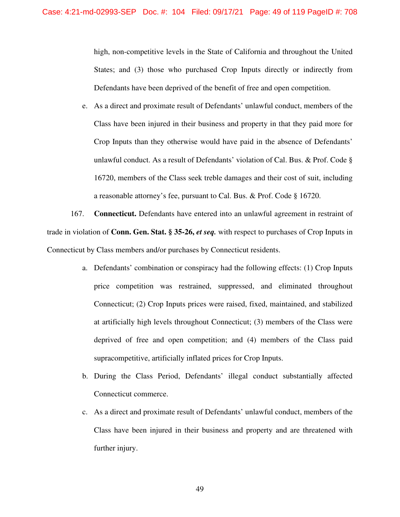high, non-competitive levels in the State of California and throughout the United States; and (3) those who purchased Crop Inputs directly or indirectly from Defendants have been deprived of the benefit of free and open competition.

e. As a direct and proximate result of Defendants' unlawful conduct, members of the Class have been injured in their business and property in that they paid more for Crop Inputs than they otherwise would have paid in the absence of Defendants' unlawful conduct. As a result of Defendants' violation of Cal. Bus. & Prof. Code § 16720, members of the Class seek treble damages and their cost of suit, including a reasonable attorney's fee, pursuant to Cal. Bus. & Prof. Code § 16720.

167. **Connecticut.** Defendants have entered into an unlawful agreement in restraint of trade in violation of **Conn. Gen. Stat. § 35-26,** *et seq.* with respect to purchases of Crop Inputs in Connecticut by Class members and/or purchases by Connecticut residents.

- a. Defendants' combination or conspiracy had the following effects: (1) Crop Inputs price competition was restrained, suppressed, and eliminated throughout Connecticut; (2) Crop Inputs prices were raised, fixed, maintained, and stabilized at artificially high levels throughout Connecticut; (3) members of the Class were deprived of free and open competition; and (4) members of the Class paid supracompetitive, artificially inflated prices for Crop Inputs.
- b. During the Class Period, Defendants' illegal conduct substantially affected Connecticut commerce.
- c. As a direct and proximate result of Defendants' unlawful conduct, members of the Class have been injured in their business and property and are threatened with further injury.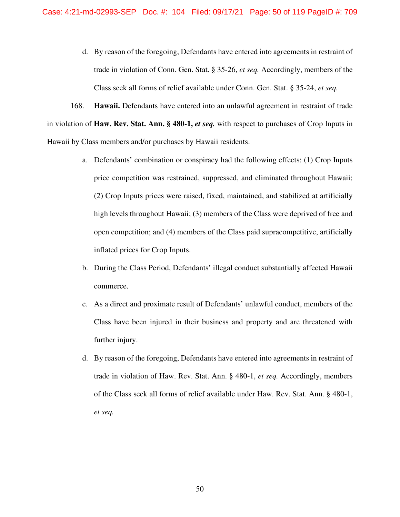d. By reason of the foregoing, Defendants have entered into agreements in restraint of trade in violation of Conn. Gen. Stat. § 35-26, *et seq.* Accordingly, members of the Class seek all forms of relief available under Conn. Gen. Stat. § 35-24, *et seq.*

168. **Hawaii.** Defendants have entered into an unlawful agreement in restraint of trade in violation of **Haw. Rev. Stat. Ann. § 480-1,** *et seq.* with respect to purchases of Crop Inputs in Hawaii by Class members and/or purchases by Hawaii residents.

- a. Defendants' combination or conspiracy had the following effects: (1) Crop Inputs price competition was restrained, suppressed, and eliminated throughout Hawaii; (2) Crop Inputs prices were raised, fixed, maintained, and stabilized at artificially high levels throughout Hawaii; (3) members of the Class were deprived of free and open competition; and (4) members of the Class paid supracompetitive, artificially inflated prices for Crop Inputs.
- b. During the Class Period, Defendants' illegal conduct substantially affected Hawaii commerce.
- c. As a direct and proximate result of Defendants' unlawful conduct, members of the Class have been injured in their business and property and are threatened with further injury.
- d. By reason of the foregoing, Defendants have entered into agreements in restraint of trade in violation of Haw. Rev. Stat. Ann. § 480-1, *et seq.* Accordingly, members of the Class seek all forms of relief available under Haw. Rev. Stat. Ann. § 480-1, *et seq.*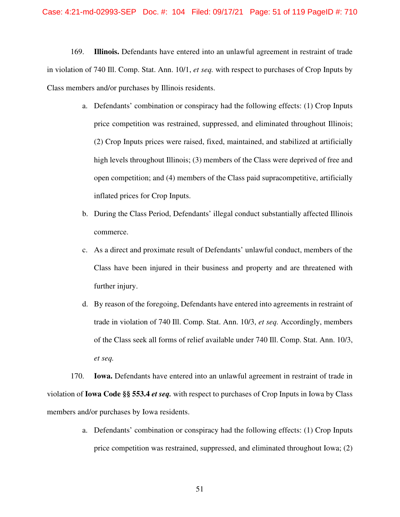169. **Illinois.** Defendants have entered into an unlawful agreement in restraint of trade in violation of 740 Ill. Comp. Stat. Ann. 10/1, *et seq.* with respect to purchases of Crop Inputs by Class members and/or purchases by Illinois residents.

- a. Defendants' combination or conspiracy had the following effects: (1) Crop Inputs price competition was restrained, suppressed, and eliminated throughout Illinois; (2) Crop Inputs prices were raised, fixed, maintained, and stabilized at artificially high levels throughout Illinois; (3) members of the Class were deprived of free and open competition; and (4) members of the Class paid supracompetitive, artificially inflated prices for Crop Inputs.
- b. During the Class Period, Defendants' illegal conduct substantially affected Illinois commerce.
- c. As a direct and proximate result of Defendants' unlawful conduct, members of the Class have been injured in their business and property and are threatened with further injury.
- d. By reason of the foregoing, Defendants have entered into agreements in restraint of trade in violation of 740 Ill. Comp. Stat. Ann. 10/3, *et seq.* Accordingly, members of the Class seek all forms of relief available under 740 Ill. Comp. Stat. Ann. 10/3, *et seq.*

170. **Iowa.** Defendants have entered into an unlawful agreement in restraint of trade in violation of **Iowa Code §§ 553.4** *et seq.* with respect to purchases of Crop Inputs in Iowa by Class members and/or purchases by Iowa residents.

> a. Defendants' combination or conspiracy had the following effects: (1) Crop Inputs price competition was restrained, suppressed, and eliminated throughout Iowa; (2)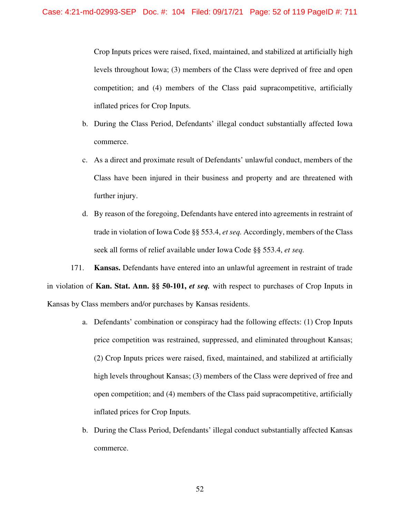Crop Inputs prices were raised, fixed, maintained, and stabilized at artificially high levels throughout Iowa; (3) members of the Class were deprived of free and open competition; and (4) members of the Class paid supracompetitive, artificially inflated prices for Crop Inputs.

- b. During the Class Period, Defendants' illegal conduct substantially affected Iowa commerce.
- c. As a direct and proximate result of Defendants' unlawful conduct, members of the Class have been injured in their business and property and are threatened with further injury.
- d. By reason of the foregoing, Defendants have entered into agreements in restraint of trade in violation of Iowa Code §§ 553.4, *et seq.* Accordingly, members of the Class seek all forms of relief available under Iowa Code §§ 553.4, *et seq.*

171. **Kansas.** Defendants have entered into an unlawful agreement in restraint of trade in violation of **Kan. Stat. Ann. §§ 50-101,** *et seq.* with respect to purchases of Crop Inputs in Kansas by Class members and/or purchases by Kansas residents.

- a. Defendants' combination or conspiracy had the following effects: (1) Crop Inputs price competition was restrained, suppressed, and eliminated throughout Kansas; (2) Crop Inputs prices were raised, fixed, maintained, and stabilized at artificially high levels throughout Kansas; (3) members of the Class were deprived of free and open competition; and (4) members of the Class paid supracompetitive, artificially inflated prices for Crop Inputs.
- b. During the Class Period, Defendants' illegal conduct substantially affected Kansas commerce.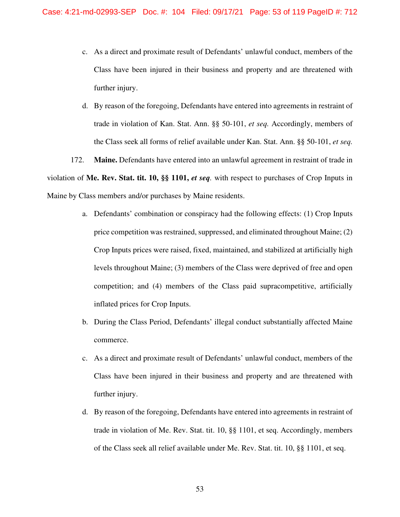- c. As a direct and proximate result of Defendants' unlawful conduct, members of the Class have been injured in their business and property and are threatened with further injury.
- d. By reason of the foregoing, Defendants have entered into agreements in restraint of trade in violation of Kan. Stat. Ann. §§ 50-101, *et seq.* Accordingly, members of the Class seek all forms of relief available under Kan. Stat. Ann. §§ 50-101, *et seq.*

172. **Maine.** Defendants have entered into an unlawful agreement in restraint of trade in violation of **Me. Rev. Stat. tit. 10, §§ 1101,** *et seq.* with respect to purchases of Crop Inputs in Maine by Class members and/or purchases by Maine residents.

- a. Defendants' combination or conspiracy had the following effects: (1) Crop Inputs price competition was restrained, suppressed, and eliminated throughout Maine; (2) Crop Inputs prices were raised, fixed, maintained, and stabilized at artificially high levels throughout Maine; (3) members of the Class were deprived of free and open competition; and (4) members of the Class paid supracompetitive, artificially inflated prices for Crop Inputs.
- b. During the Class Period, Defendants' illegal conduct substantially affected Maine commerce.
- c. As a direct and proximate result of Defendants' unlawful conduct, members of the Class have been injured in their business and property and are threatened with further injury.
- d. By reason of the foregoing, Defendants have entered into agreements in restraint of trade in violation of Me. Rev. Stat. tit. 10, §§ 1101, et seq. Accordingly, members of the Class seek all relief available under Me. Rev. Stat. tit. 10, §§ 1101, et seq.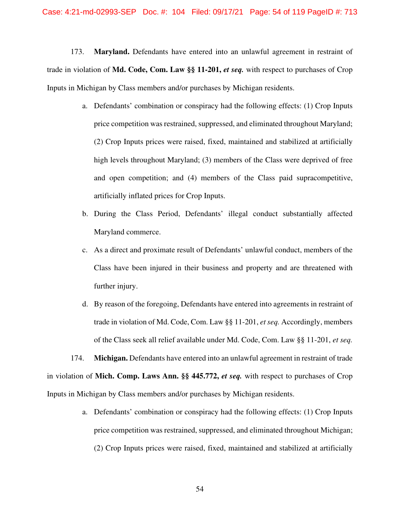173. **Maryland.** Defendants have entered into an unlawful agreement in restraint of trade in violation of **Md. Code, Com. Law §§ 11-201,** *et seq.* with respect to purchases of Crop Inputs in Michigan by Class members and/or purchases by Michigan residents.

- a. Defendants' combination or conspiracy had the following effects: (1) Crop Inputs price competition was restrained, suppressed, and eliminated throughout Maryland; (2) Crop Inputs prices were raised, fixed, maintained and stabilized at artificially high levels throughout Maryland; (3) members of the Class were deprived of free and open competition; and (4) members of the Class paid supracompetitive, artificially inflated prices for Crop Inputs.
- b. During the Class Period, Defendants' illegal conduct substantially affected Maryland commerce.
- c. As a direct and proximate result of Defendants' unlawful conduct, members of the Class have been injured in their business and property and are threatened with further injury.
- d. By reason of the foregoing, Defendants have entered into agreements in restraint of trade in violation of Md. Code, Com. Law §§ 11-201, *et seq.* Accordingly, members of the Class seek all relief available under Md. Code, Com. Law §§ 11-201, *et seq.*

174. **Michigan.** Defendants have entered into an unlawful agreement in restraint of trade in violation of **Mich. Comp. Laws Ann. §§ 445.772,** *et seq.* with respect to purchases of Crop Inputs in Michigan by Class members and/or purchases by Michigan residents.

> a. Defendants' combination or conspiracy had the following effects: (1) Crop Inputs price competition was restrained, suppressed, and eliminated throughout Michigan; (2) Crop Inputs prices were raised, fixed, maintained and stabilized at artificially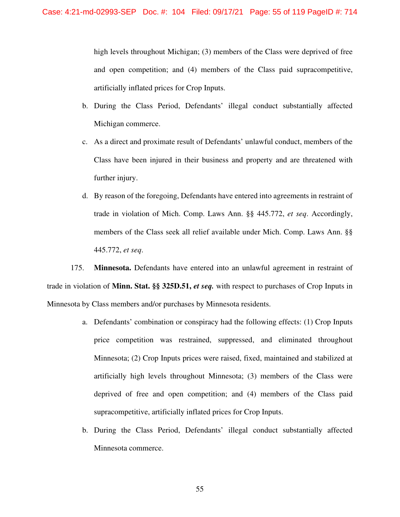high levels throughout Michigan; (3) members of the Class were deprived of free and open competition; and (4) members of the Class paid supracompetitive, artificially inflated prices for Crop Inputs.

- b. During the Class Period, Defendants' illegal conduct substantially affected Michigan commerce.
- c. As a direct and proximate result of Defendants' unlawful conduct, members of the Class have been injured in their business and property and are threatened with further injury.
- d. By reason of the foregoing, Defendants have entered into agreements in restraint of trade in violation of Mich. Comp. Laws Ann. §§ 445.772, *et seq*. Accordingly, members of the Class seek all relief available under Mich. Comp. Laws Ann. §§ 445.772, *et seq*.

175. **Minnesota.** Defendants have entered into an unlawful agreement in restraint of trade in violation of **Minn. Stat. §§ 325D.51,** *et seq.* with respect to purchases of Crop Inputs in Minnesota by Class members and/or purchases by Minnesota residents.

- a. Defendants' combination or conspiracy had the following effects: (1) Crop Inputs price competition was restrained, suppressed, and eliminated throughout Minnesota; (2) Crop Inputs prices were raised, fixed, maintained and stabilized at artificially high levels throughout Minnesota; (3) members of the Class were deprived of free and open competition; and (4) members of the Class paid supracompetitive, artificially inflated prices for Crop Inputs.
- b. During the Class Period, Defendants' illegal conduct substantially affected Minnesota commerce.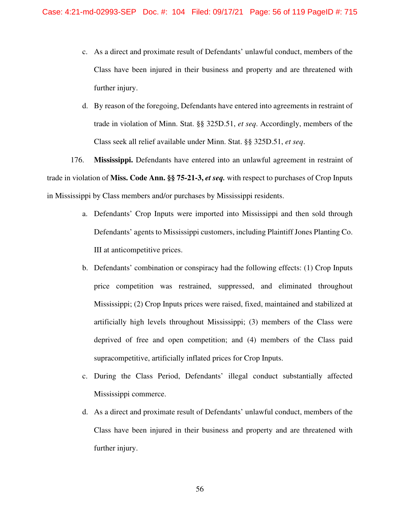- c. As a direct and proximate result of Defendants' unlawful conduct, members of the Class have been injured in their business and property and are threatened with further injury.
- d. By reason of the foregoing, Defendants have entered into agreements in restraint of trade in violation of Minn. Stat. §§ 325D.51, *et seq*. Accordingly, members of the Class seek all relief available under Minn. Stat. §§ 325D.51, *et seq*.

176. **Mississippi.** Defendants have entered into an unlawful agreement in restraint of trade in violation of **Miss. Code Ann. §§ 75-21-3,** *et seq.* with respect to purchases of Crop Inputs in Mississippi by Class members and/or purchases by Mississippi residents.

- a. Defendants' Crop Inputs were imported into Mississippi and then sold through Defendants' agents to Mississippi customers, including Plaintiff Jones Planting Co. III at anticompetitive prices.
- b. Defendants' combination or conspiracy had the following effects: (1) Crop Inputs price competition was restrained, suppressed, and eliminated throughout Mississippi; (2) Crop Inputs prices were raised, fixed, maintained and stabilized at artificially high levels throughout Mississippi; (3) members of the Class were deprived of free and open competition; and (4) members of the Class paid supracompetitive, artificially inflated prices for Crop Inputs.
- c. During the Class Period, Defendants' illegal conduct substantially affected Mississippi commerce.
- d. As a direct and proximate result of Defendants' unlawful conduct, members of the Class have been injured in their business and property and are threatened with further injury.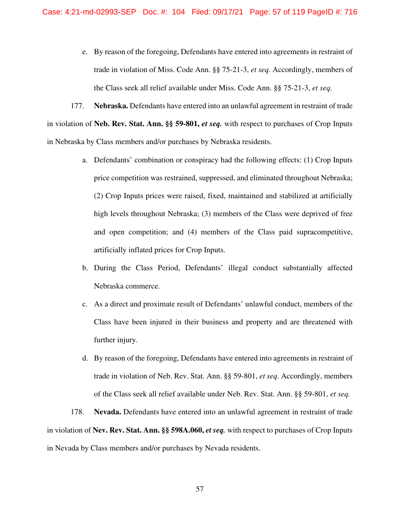e. By reason of the foregoing, Defendants have entered into agreements in restraint of trade in violation of Miss. Code Ann. §§ 75-21-3, *et seq.* Accordingly, members of the Class seek all relief available under Miss. Code Ann. §§ 75-21-3, *et seq.*

177. **Nebraska.** Defendants have entered into an unlawful agreement in restraint of trade in violation of **Neb. Rev. Stat. Ann. §§ 59-801,** *et seq.* with respect to purchases of Crop Inputs in Nebraska by Class members and/or purchases by Nebraska residents.

- a. Defendants' combination or conspiracy had the following effects: (1) Crop Inputs price competition was restrained, suppressed, and eliminated throughout Nebraska; (2) Crop Inputs prices were raised, fixed, maintained and stabilized at artificially high levels throughout Nebraska; (3) members of the Class were deprived of free and open competition; and (4) members of the Class paid supracompetitive, artificially inflated prices for Crop Inputs.
- b. During the Class Period, Defendants' illegal conduct substantially affected Nebraska commerce.
- c. As a direct and proximate result of Defendants' unlawful conduct, members of the Class have been injured in their business and property and are threatened with further injury.
- d. By reason of the foregoing, Defendants have entered into agreements in restraint of trade in violation of Neb. Rev. Stat. Ann. §§ 59-801, *et seq*. Accordingly, members of the Class seek all relief available under Neb. Rev. Stat. Ann. §§ 59-801, *et seq.*

178. **Nevada.** Defendants have entered into an unlawful agreement in restraint of trade in violation of **Nev. Rev. Stat. Ann. §§ 598A.060,** *et seq.* with respect to purchases of Crop Inputs in Nevada by Class members and/or purchases by Nevada residents.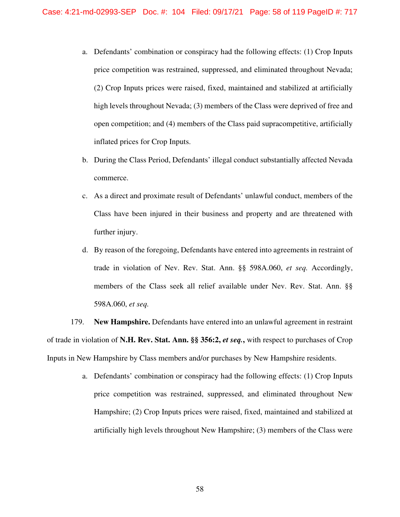- a. Defendants' combination or conspiracy had the following effects: (1) Crop Inputs price competition was restrained, suppressed, and eliminated throughout Nevada; (2) Crop Inputs prices were raised, fixed, maintained and stabilized at artificially high levels throughout Nevada; (3) members of the Class were deprived of free and open competition; and (4) members of the Class paid supracompetitive, artificially inflated prices for Crop Inputs.
- b. During the Class Period, Defendants' illegal conduct substantially affected Nevada commerce.
- c. As a direct and proximate result of Defendants' unlawful conduct, members of the Class have been injured in their business and property and are threatened with further injury.
- d. By reason of the foregoing, Defendants have entered into agreements in restraint of trade in violation of Nev. Rev. Stat. Ann. §§ 598A.060, *et seq.* Accordingly, members of the Class seek all relief available under Nev. Rev. Stat. Ann. §§ 598A.060, *et seq.*

179. **New Hampshire.** Defendants have entered into an unlawful agreement in restraint of trade in violation of **N.H. Rev. Stat. Ann. §§ 356:2,** *et seq.***,** with respect to purchases of Crop Inputs in New Hampshire by Class members and/or purchases by New Hampshire residents.

> a. Defendants' combination or conspiracy had the following effects: (1) Crop Inputs price competition was restrained, suppressed, and eliminated throughout New Hampshire; (2) Crop Inputs prices were raised, fixed, maintained and stabilized at artificially high levels throughout New Hampshire; (3) members of the Class were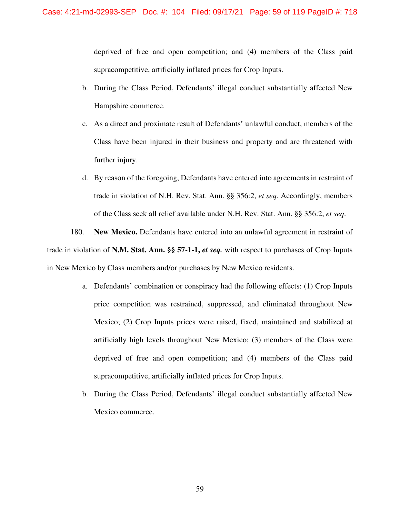deprived of free and open competition; and (4) members of the Class paid supracompetitive, artificially inflated prices for Crop Inputs.

- b. During the Class Period, Defendants' illegal conduct substantially affected New Hampshire commerce.
- c. As a direct and proximate result of Defendants' unlawful conduct, members of the Class have been injured in their business and property and are threatened with further injury.
- d. By reason of the foregoing, Defendants have entered into agreements in restraint of trade in violation of N.H. Rev. Stat. Ann. §§ 356:2, *et seq*. Accordingly, members of the Class seek all relief available under N.H. Rev. Stat. Ann. §§ 356:2, *et seq*.

180. **New Mexico.** Defendants have entered into an unlawful agreement in restraint of trade in violation of **N.M. Stat. Ann. §§ 57-1-1,** *et seq.* with respect to purchases of Crop Inputs in New Mexico by Class members and/or purchases by New Mexico residents.

- a. Defendants' combination or conspiracy had the following effects: (1) Crop Inputs price competition was restrained, suppressed, and eliminated throughout New Mexico; (2) Crop Inputs prices were raised, fixed, maintained and stabilized at artificially high levels throughout New Mexico; (3) members of the Class were deprived of free and open competition; and (4) members of the Class paid supracompetitive, artificially inflated prices for Crop Inputs.
- b. During the Class Period, Defendants' illegal conduct substantially affected New Mexico commerce.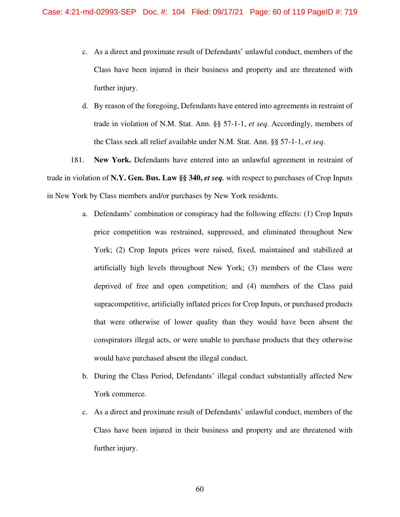- c. As a direct and proximate result of Defendants' unlawful conduct, members of the Class have been injured in their business and property and are threatened with further injury.
- d. By reason of the foregoing, Defendants have entered into agreements in restraint of trade in violation of N.M. Stat. Ann. §§ 57-1-1, *et seq.* Accordingly, members of the Class seek all relief available under N.M. Stat. Ann. §§ 57-1-1, *et seq*.

181. **New York.** Defendants have entered into an unlawful agreement in restraint of trade in violation of N.Y. Gen. Bus. Law §§ 340, *et seq.* with respect to purchases of Crop Inputs in New York by Class members and/or purchases by New York residents.

- a. Defendants' combination or conspiracy had the following effects: (1) Crop Inputs price competition was restrained, suppressed, and eliminated throughout New York; (2) Crop Inputs prices were raised, fixed, maintained and stabilized at artificially high levels throughout New York; (3) members of the Class were deprived of free and open competition; and (4) members of the Class paid supracompetitive, artificially inflated prices for Crop Inputs, or purchased products that were otherwise of lower quality than they would have been absent the conspirators illegal acts, or were unable to purchase products that they otherwise would have purchased absent the illegal conduct.
- b. During the Class Period, Defendants' illegal conduct substantially affected New York commerce.
- c. As a direct and proximate result of Defendants' unlawful conduct, members of the Class have been injured in their business and property and are threatened with further injury.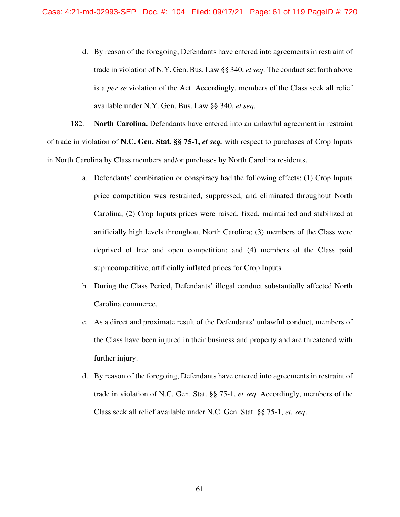d. By reason of the foregoing, Defendants have entered into agreements in restraint of trade in violation of N.Y. Gen. Bus. Law §§ 340, *et seq*. The conduct set forth above is a *per se* violation of the Act. Accordingly, members of the Class seek all relief available under N.Y. Gen. Bus. Law §§ 340, *et seq*.

182. **North Carolina.** Defendants have entered into an unlawful agreement in restraint of trade in violation of **N.C. Gen. Stat. §§ 75-1,** *et seq.* with respect to purchases of Crop Inputs in North Carolina by Class members and/or purchases by North Carolina residents.

- a. Defendants' combination or conspiracy had the following effects: (1) Crop Inputs price competition was restrained, suppressed, and eliminated throughout North Carolina; (2) Crop Inputs prices were raised, fixed, maintained and stabilized at artificially high levels throughout North Carolina; (3) members of the Class were deprived of free and open competition; and (4) members of the Class paid supracompetitive, artificially inflated prices for Crop Inputs.
- b. During the Class Period, Defendants' illegal conduct substantially affected North Carolina commerce.
- c. As a direct and proximate result of the Defendants' unlawful conduct, members of the Class have been injured in their business and property and are threatened with further injury.
- d. By reason of the foregoing, Defendants have entered into agreements in restraint of trade in violation of N.C. Gen. Stat. §§ 75-1, *et seq*. Accordingly, members of the Class seek all relief available under N.C. Gen. Stat. §§ 75-1, *et. seq*.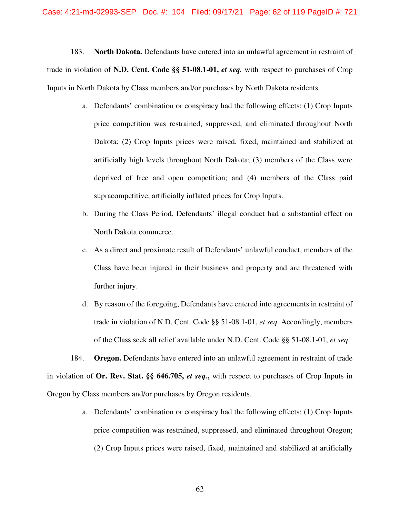183. **North Dakota.** Defendants have entered into an unlawful agreement in restraint of trade in violation of **N.D. Cent. Code §§ 51-08.1-01,** *et seq.* with respect to purchases of Crop Inputs in North Dakota by Class members and/or purchases by North Dakota residents.

- a. Defendants' combination or conspiracy had the following effects: (1) Crop Inputs price competition was restrained, suppressed, and eliminated throughout North Dakota; (2) Crop Inputs prices were raised, fixed, maintained and stabilized at artificially high levels throughout North Dakota; (3) members of the Class were deprived of free and open competition; and (4) members of the Class paid supracompetitive, artificially inflated prices for Crop Inputs.
- b. During the Class Period, Defendants' illegal conduct had a substantial effect on North Dakota commerce.
- c. As a direct and proximate result of Defendants' unlawful conduct, members of the Class have been injured in their business and property and are threatened with further injury.
- d. By reason of the foregoing, Defendants have entered into agreements in restraint of trade in violation of N.D. Cent. Code §§ 51-08.1-01, *et seq*. Accordingly, members of the Class seek all relief available under N.D. Cent. Code §§ 51-08.1-01, *et seq*.

184. **Oregon.** Defendants have entered into an unlawful agreement in restraint of trade in violation of **Or. Rev. Stat. §§ 646.705,** *et seq.***,** with respect to purchases of Crop Inputs in Oregon by Class members and/or purchases by Oregon residents.

> a. Defendants' combination or conspiracy had the following effects: (1) Crop Inputs price competition was restrained, suppressed, and eliminated throughout Oregon; (2) Crop Inputs prices were raised, fixed, maintained and stabilized at artificially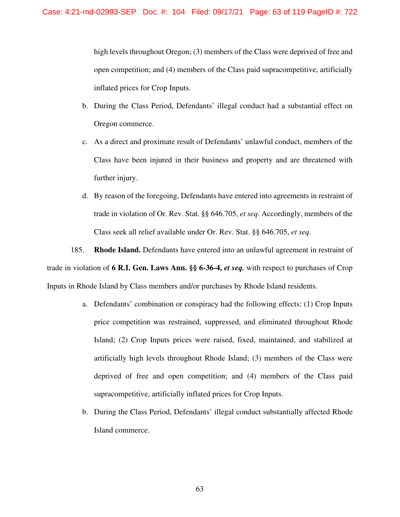high levels throughout Oregon; (3) members of the Class were deprived of free and open competition; and (4) members of the Class paid supracompetitive, artificially inflated prices for Crop Inputs.

- b. During the Class Period, Defendants' illegal conduct had a substantial effect on Oregon commerce.
- c. As a direct and proximate result of Defendants' unlawful conduct, members of the Class have been injured in their business and property and are threatened with further injury.
- d. By reason of the foregoing, Defendants have entered into agreements in restraint of trade in violation of Or. Rev. Stat. §§ 646.705, *et seq*. Accordingly, members of the Class seek all relief available under Or. Rev. Stat. §§ 646.705, *et seq*.

185. **Rhode Island.** Defendants have entered into an unlawful agreement in restraint of trade in violation of **6 R.I. Gen. Laws Ann. §§ 6-36-4,** *et seq.* with respect to purchases of Crop Inputs in Rhode Island by Class members and/or purchases by Rhode Island residents.

- a. Defendants' combination or conspiracy had the following effects: (1) Crop Inputs price competition was restrained, suppressed, and eliminated throughout Rhode Island; (2) Crop Inputs prices were raised, fixed, maintained, and stabilized at artificially high levels throughout Rhode Island; (3) members of the Class were deprived of free and open competition; and (4) members of the Class paid supracompetitive, artificially inflated prices for Crop Inputs.
- b. During the Class Period, Defendants' illegal conduct substantially affected Rhode Island commerce.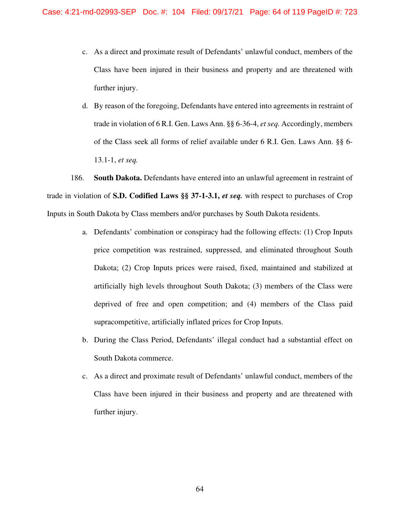- c. As a direct and proximate result of Defendants' unlawful conduct, members of the Class have been injured in their business and property and are threatened with further injury.
- d. By reason of the foregoing, Defendants have entered into agreements in restraint of trade in violation of 6 R.I. Gen. Laws Ann. §§ 6-36-4, *et seq.* Accordingly, members of the Class seek all forms of relief available under 6 R.I. Gen. Laws Ann. §§ 6- 13.1-1, *et seq.*

186. **South Dakota.** Defendants have entered into an unlawful agreement in restraint of trade in violation of **S.D. Codified Laws §§ 37-1-3.1,** *et seq.* with respect to purchases of Crop Inputs in South Dakota by Class members and/or purchases by South Dakota residents.

- a. Defendants' combination or conspiracy had the following effects: (1) Crop Inputs price competition was restrained, suppressed, and eliminated throughout South Dakota; (2) Crop Inputs prices were raised, fixed, maintained and stabilized at artificially high levels throughout South Dakota; (3) members of the Class were deprived of free and open competition; and (4) members of the Class paid supracompetitive, artificially inflated prices for Crop Inputs.
- b. During the Class Period, Defendants' illegal conduct had a substantial effect on South Dakota commerce.
- c. As a direct and proximate result of Defendants' unlawful conduct, members of the Class have been injured in their business and property and are threatened with further injury.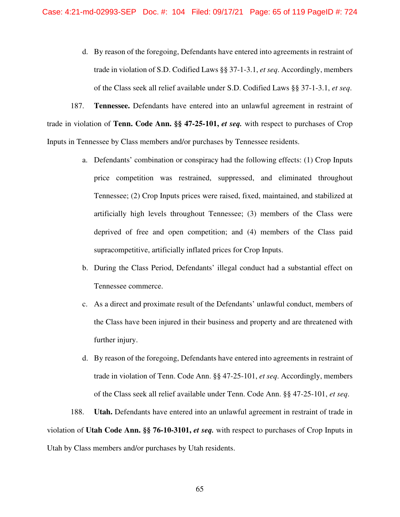d. By reason of the foregoing, Defendants have entered into agreements in restraint of trade in violation of S.D. Codified Laws §§ 37-1-3.1, *et seq*. Accordingly, members of the Class seek all relief available under S.D. Codified Laws §§ 37-1-3.1, *et seq*.

187. **Tennessee.** Defendants have entered into an unlawful agreement in restraint of trade in violation of **Tenn. Code Ann. §§ 47-25-101,** *et seq.* with respect to purchases of Crop Inputs in Tennessee by Class members and/or purchases by Tennessee residents.

- a. Defendants' combination or conspiracy had the following effects: (1) Crop Inputs price competition was restrained, suppressed, and eliminated throughout Tennessee; (2) Crop Inputs prices were raised, fixed, maintained, and stabilized at artificially high levels throughout Tennessee; (3) members of the Class were deprived of free and open competition; and (4) members of the Class paid supracompetitive, artificially inflated prices for Crop Inputs.
- b. During the Class Period, Defendants' illegal conduct had a substantial effect on Tennessee commerce.
- c. As a direct and proximate result of the Defendants' unlawful conduct, members of the Class have been injured in their business and property and are threatened with further injury.
- d. By reason of the foregoing, Defendants have entered into agreements in restraint of trade in violation of Tenn. Code Ann. §§ 47-25-101, *et seq*. Accordingly, members of the Class seek all relief available under Tenn. Code Ann. §§ 47-25-101, *et seq*.

188. **Utah.** Defendants have entered into an unlawful agreement in restraint of trade in violation of **Utah Code Ann. §§ 76-10-3101,** *et seq.* with respect to purchases of Crop Inputs in Utah by Class members and/or purchases by Utah residents.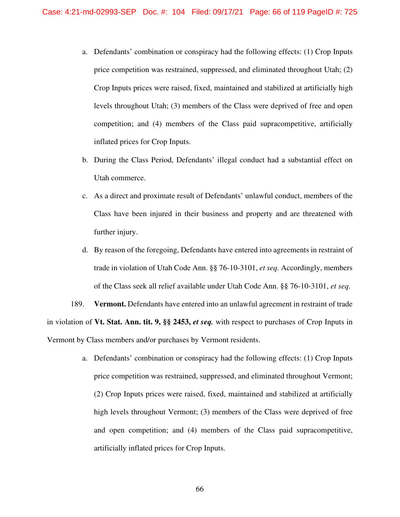- a. Defendants' combination or conspiracy had the following effects: (1) Crop Inputs price competition was restrained, suppressed, and eliminated throughout Utah; (2) Crop Inputs prices were raised, fixed, maintained and stabilized at artificially high levels throughout Utah; (3) members of the Class were deprived of free and open competition; and (4) members of the Class paid supracompetitive, artificially inflated prices for Crop Inputs.
- b. During the Class Period, Defendants' illegal conduct had a substantial effect on Utah commerce.
- c. As a direct and proximate result of Defendants' unlawful conduct, members of the Class have been injured in their business and property and are threatened with further injury.
- d. By reason of the foregoing, Defendants have entered into agreements in restraint of trade in violation of Utah Code Ann. §§ 76-10-3101, *et seq*. Accordingly, members of the Class seek all relief available under Utah Code Ann. §§ 76-10-3101, *et seq*.

189. **Vermont.** Defendants have entered into an unlawful agreement in restraint of trade in violation of **Vt. Stat. Ann. tit. 9, §§ 2453,** *et seq.* with respect to purchases of Crop Inputs in Vermont by Class members and/or purchases by Vermont residents.

> a. Defendants' combination or conspiracy had the following effects: (1) Crop Inputs price competition was restrained, suppressed, and eliminated throughout Vermont; (2) Crop Inputs prices were raised, fixed, maintained and stabilized at artificially high levels throughout Vermont; (3) members of the Class were deprived of free and open competition; and (4) members of the Class paid supracompetitive, artificially inflated prices for Crop Inputs.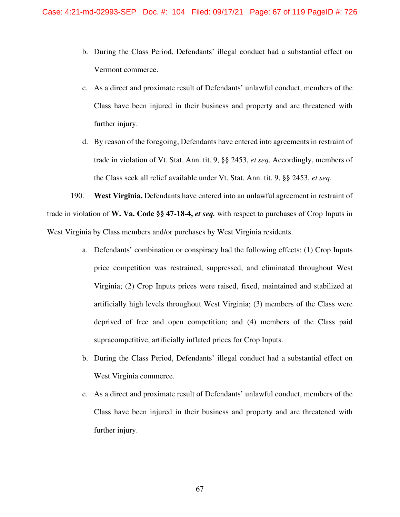- b. During the Class Period, Defendants' illegal conduct had a substantial effect on Vermont commerce.
- c. As a direct and proximate result of Defendants' unlawful conduct, members of the Class have been injured in their business and property and are threatened with further injury.
- d. By reason of the foregoing, Defendants have entered into agreements in restraint of trade in violation of Vt. Stat. Ann. tit. 9, §§ 2453, *et seq*. Accordingly, members of the Class seek all relief available under Vt. Stat. Ann. tit. 9, §§ 2453, *et seq*.

190. **West Virginia.** Defendants have entered into an unlawful agreement in restraint of trade in violation of **W. Va. Code §§ 47-18-4,** *et seq.* with respect to purchases of Crop Inputs in West Virginia by Class members and/or purchases by West Virginia residents.

- a. Defendants' combination or conspiracy had the following effects: (1) Crop Inputs price competition was restrained, suppressed, and eliminated throughout West Virginia; (2) Crop Inputs prices were raised, fixed, maintained and stabilized at artificially high levels throughout West Virginia; (3) members of the Class were deprived of free and open competition; and (4) members of the Class paid supracompetitive, artificially inflated prices for Crop Inputs.
- b. During the Class Period, Defendants' illegal conduct had a substantial effect on West Virginia commerce.
- c. As a direct and proximate result of Defendants' unlawful conduct, members of the Class have been injured in their business and property and are threatened with further injury.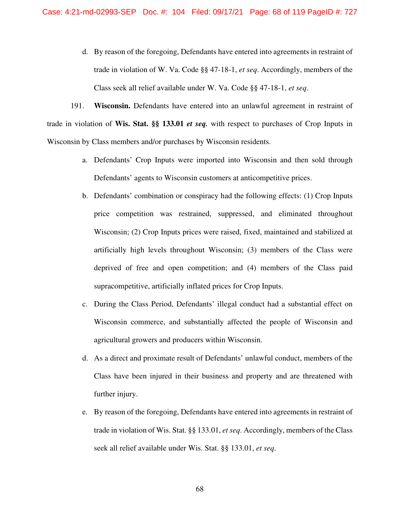d. By reason of the foregoing, Defendants have entered into agreements in restraint of trade in violation of W. Va. Code §§ 47-18-1, *et seq*. Accordingly, members of the Class seek all relief available under W. Va. Code §§ 47-18-1, *et seq*.

191. **Wisconsin.** Defendants have entered into an unlawful agreement in restraint of trade in violation of **Wis. Stat. §§ 133.01** *et seq.* with respect to purchases of Crop Inputs in Wisconsin by Class members and/or purchases by Wisconsin residents.

- a. Defendants' Crop Inputs were imported into Wisconsin and then sold through Defendants' agents to Wisconsin customers at anticompetitive prices.
- b. Defendants' combination or conspiracy had the following effects: (1) Crop Inputs price competition was restrained, suppressed, and eliminated throughout Wisconsin; (2) Crop Inputs prices were raised, fixed, maintained and stabilized at artificially high levels throughout Wisconsin; (3) members of the Class were deprived of free and open competition; and (4) members of the Class paid supracompetitive, artificially inflated prices for Crop Inputs.
- c. During the Class Period, Defendants' illegal conduct had a substantial effect on Wisconsin commerce, and substantially affected the people of Wisconsin and agricultural growers and producers within Wisconsin.
- d. As a direct and proximate result of Defendants' unlawful conduct, members of the Class have been injured in their business and property and are threatened with further injury.
- e. By reason of the foregoing, Defendants have entered into agreements in restraint of trade in violation of Wis. Stat. §§ 133.01, *et seq*. Accordingly, members of the Class seek all relief available under Wis. Stat. §§ 133.01, *et seq*.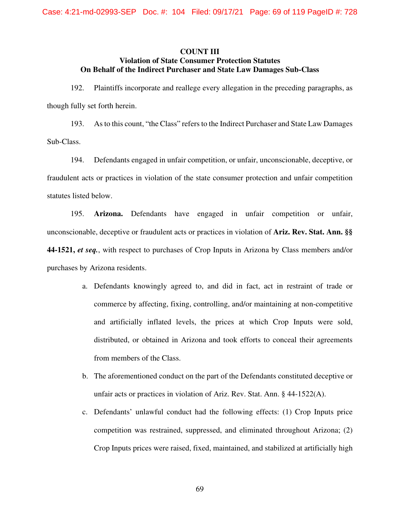## **COUNT III Violation of State Consumer Protection Statutes On Behalf of the Indirect Purchaser and State Law Damages Sub-Class**

192. Plaintiffs incorporate and reallege every allegation in the preceding paragraphs, as though fully set forth herein.

193. As to this count, "the Class" refers to the Indirect Purchaser and State Law Damages Sub-Class.

194. Defendants engaged in unfair competition, or unfair, unconscionable, deceptive, or fraudulent acts or practices in violation of the state consumer protection and unfair competition statutes listed below.

195. **Arizona.** Defendants have engaged in unfair competition or unfair, unconscionable, deceptive or fraudulent acts or practices in violation of **Ariz. Rev. Stat. Ann. §§ 44-1521,** *et seq.*, with respect to purchases of Crop Inputs in Arizona by Class members and/or purchases by Arizona residents.

- a. Defendants knowingly agreed to, and did in fact, act in restraint of trade or commerce by affecting, fixing, controlling, and/or maintaining at non-competitive and artificially inflated levels, the prices at which Crop Inputs were sold, distributed, or obtained in Arizona and took efforts to conceal their agreements from members of the Class.
- b. The aforementioned conduct on the part of the Defendants constituted deceptive or unfair acts or practices in violation of Ariz. Rev. Stat. Ann. § 44-1522(A).
- c. Defendants' unlawful conduct had the following effects: (1) Crop Inputs price competition was restrained, suppressed, and eliminated throughout Arizona; (2) Crop Inputs prices were raised, fixed, maintained, and stabilized at artificially high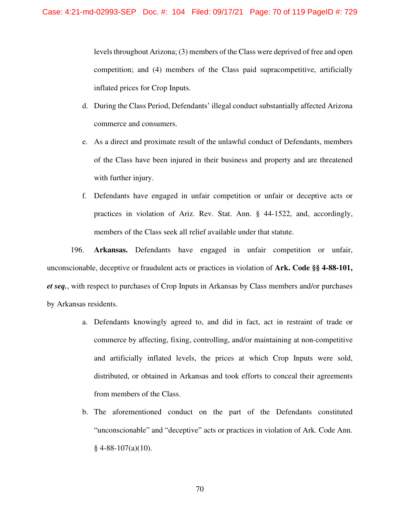levels throughout Arizona; (3) members of the Class were deprived of free and open competition; and (4) members of the Class paid supracompetitive, artificially inflated prices for Crop Inputs.

- d. During the Class Period, Defendants' illegal conduct substantially affected Arizona commerce and consumers.
- e. As a direct and proximate result of the unlawful conduct of Defendants, members of the Class have been injured in their business and property and are threatened with further injury.
- f. Defendants have engaged in unfair competition or unfair or deceptive acts or practices in violation of Ariz. Rev. Stat. Ann. § 44-1522, and, accordingly, members of the Class seek all relief available under that statute.

196. **Arkansas.** Defendants have engaged in unfair competition or unfair, unconscionable, deceptive or fraudulent acts or practices in violation of **Ark. Code §§ 4-88-101,**  *et seq.*, with respect to purchases of Crop Inputs in Arkansas by Class members and/or purchases by Arkansas residents.

- a. Defendants knowingly agreed to, and did in fact, act in restraint of trade or commerce by affecting, fixing, controlling, and/or maintaining at non-competitive and artificially inflated levels, the prices at which Crop Inputs were sold, distributed, or obtained in Arkansas and took efforts to conceal their agreements from members of the Class.
- b. The aforementioned conduct on the part of the Defendants constituted "unconscionable" and "deceptive" acts or practices in violation of Ark. Code Ann.  $§$  4-88-107(a)(10).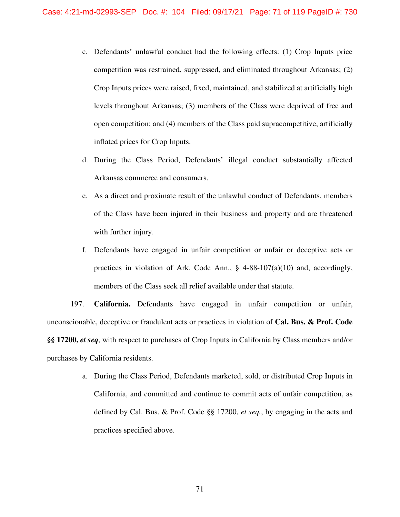- c. Defendants' unlawful conduct had the following effects: (1) Crop Inputs price competition was restrained, suppressed, and eliminated throughout Arkansas; (2) Crop Inputs prices were raised, fixed, maintained, and stabilized at artificially high levels throughout Arkansas; (3) members of the Class were deprived of free and open competition; and (4) members of the Class paid supracompetitive, artificially inflated prices for Crop Inputs.
- d. During the Class Period, Defendants' illegal conduct substantially affected Arkansas commerce and consumers.
- e. As a direct and proximate result of the unlawful conduct of Defendants, members of the Class have been injured in their business and property and are threatened with further injury.
- f. Defendants have engaged in unfair competition or unfair or deceptive acts or practices in violation of Ark. Code Ann.,  $\S$  4-88-107(a)(10) and, accordingly, members of the Class seek all relief available under that statute.

197. **California.** Defendants have engaged in unfair competition or unfair, unconscionable, deceptive or fraudulent acts or practices in violation of **Cal. Bus. & Prof. Code §§ 17200,** *et seq*, with respect to purchases of Crop Inputs in California by Class members and/or purchases by California residents.

> a. During the Class Period, Defendants marketed, sold, or distributed Crop Inputs in California, and committed and continue to commit acts of unfair competition, as defined by Cal. Bus. & Prof. Code §§ 17200, *et seq.*, by engaging in the acts and practices specified above.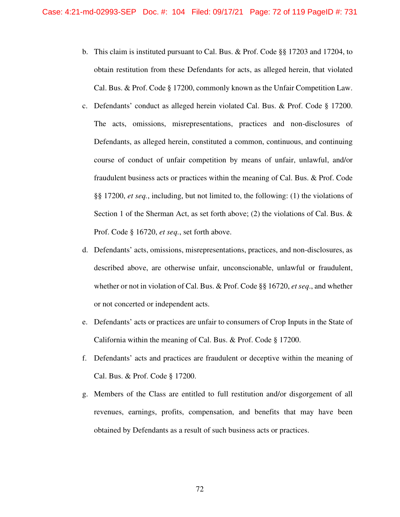- b. This claim is instituted pursuant to Cal. Bus. & Prof. Code §§ 17203 and 17204, to obtain restitution from these Defendants for acts, as alleged herein, that violated Cal. Bus. & Prof. Code § 17200, commonly known as the Unfair Competition Law.
- c. Defendants' conduct as alleged herein violated Cal. Bus. & Prof. Code § 17200. The acts, omissions, misrepresentations, practices and non-disclosures of Defendants, as alleged herein, constituted a common, continuous, and continuing course of conduct of unfair competition by means of unfair, unlawful, and/or fraudulent business acts or practices within the meaning of Cal. Bus. & Prof. Code §§ 17200, *et seq.*, including, but not limited to, the following: (1) the violations of Section 1 of the Sherman Act, as set forth above; (2) the violations of Cal. Bus.  $\&$ Prof. Code § 16720, *et seq.*, set forth above.
- d. Defendants' acts, omissions, misrepresentations, practices, and non-disclosures, as described above, are otherwise unfair, unconscionable, unlawful or fraudulent, whether or not in violation of Cal. Bus. & Prof. Code §§ 16720, *et seq*., and whether or not concerted or independent acts.
- e. Defendants' acts or practices are unfair to consumers of Crop Inputs in the State of California within the meaning of Cal. Bus. & Prof. Code § 17200.
- f. Defendants' acts and practices are fraudulent or deceptive within the meaning of Cal. Bus. & Prof. Code § 17200.
- g. Members of the Class are entitled to full restitution and/or disgorgement of all revenues, earnings, profits, compensation, and benefits that may have been obtained by Defendants as a result of such business acts or practices.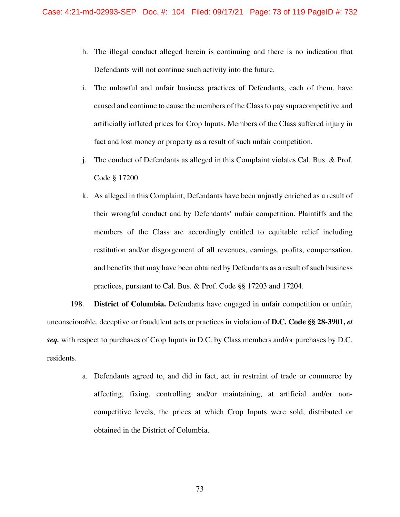- h. The illegal conduct alleged herein is continuing and there is no indication that Defendants will not continue such activity into the future.
- i. The unlawful and unfair business practices of Defendants, each of them, have caused and continue to cause the members of the Class to pay supracompetitive and artificially inflated prices for Crop Inputs. Members of the Class suffered injury in fact and lost money or property as a result of such unfair competition.
- j. The conduct of Defendants as alleged in this Complaint violates Cal. Bus. & Prof. Code § 17200.
- k. As alleged in this Complaint, Defendants have been unjustly enriched as a result of their wrongful conduct and by Defendants' unfair competition. Plaintiffs and the members of the Class are accordingly entitled to equitable relief including restitution and/or disgorgement of all revenues, earnings, profits, compensation, and benefits that may have been obtained by Defendants as a result of such business practices, pursuant to Cal. Bus. & Prof. Code §§ 17203 and 17204.

198. **District of Columbia.** Defendants have engaged in unfair competition or unfair, unconscionable, deceptive or fraudulent acts or practices in violation of **D.C. Code §§ 28-3901,** *et seq.* with respect to purchases of Crop Inputs in D.C. by Class members and/or purchases by D.C. residents.

> a. Defendants agreed to, and did in fact, act in restraint of trade or commerce by affecting, fixing, controlling and/or maintaining, at artificial and/or noncompetitive levels, the prices at which Crop Inputs were sold, distributed or obtained in the District of Columbia.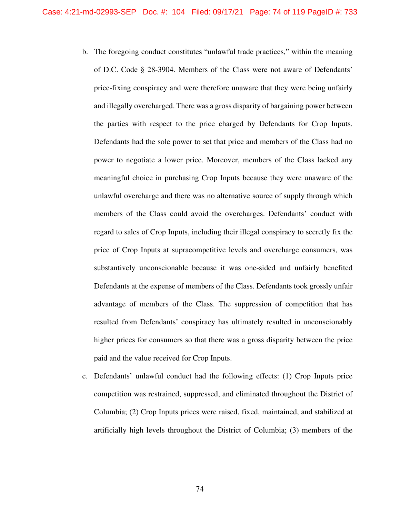- b. The foregoing conduct constitutes "unlawful trade practices," within the meaning of D.C. Code § 28-3904. Members of the Class were not aware of Defendants' price-fixing conspiracy and were therefore unaware that they were being unfairly and illegally overcharged. There was a gross disparity of bargaining power between the parties with respect to the price charged by Defendants for Crop Inputs. Defendants had the sole power to set that price and members of the Class had no power to negotiate a lower price. Moreover, members of the Class lacked any meaningful choice in purchasing Crop Inputs because they were unaware of the unlawful overcharge and there was no alternative source of supply through which members of the Class could avoid the overcharges. Defendants' conduct with regard to sales of Crop Inputs, including their illegal conspiracy to secretly fix the price of Crop Inputs at supracompetitive levels and overcharge consumers, was substantively unconscionable because it was one-sided and unfairly benefited Defendants at the expense of members of the Class. Defendants took grossly unfair advantage of members of the Class. The suppression of competition that has resulted from Defendants' conspiracy has ultimately resulted in unconscionably higher prices for consumers so that there was a gross disparity between the price paid and the value received for Crop Inputs.
- c. Defendants' unlawful conduct had the following effects: (1) Crop Inputs price competition was restrained, suppressed, and eliminated throughout the District of Columbia; (2) Crop Inputs prices were raised, fixed, maintained, and stabilized at artificially high levels throughout the District of Columbia; (3) members of the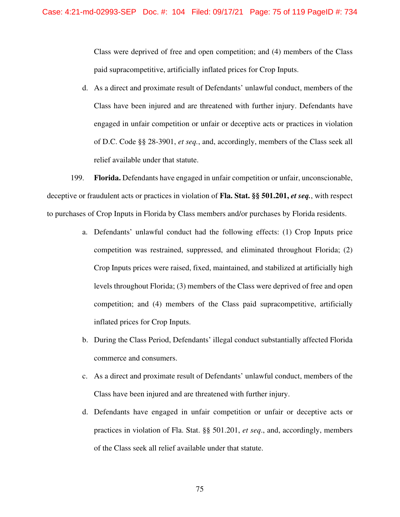Class were deprived of free and open competition; and (4) members of the Class paid supracompetitive, artificially inflated prices for Crop Inputs.

d. As a direct and proximate result of Defendants' unlawful conduct, members of the Class have been injured and are threatened with further injury. Defendants have engaged in unfair competition or unfair or deceptive acts or practices in violation of D.C. Code §§ 28-3901, *et seq.*, and, accordingly, members of the Class seek all relief available under that statute.

199. **Florida.** Defendants have engaged in unfair competition or unfair, unconscionable, deceptive or fraudulent acts or practices in violation of **Fla. Stat. §§ 501.201,** *et seq.*, with respect to purchases of Crop Inputs in Florida by Class members and/or purchases by Florida residents.

- a. Defendants' unlawful conduct had the following effects: (1) Crop Inputs price competition was restrained, suppressed, and eliminated throughout Florida; (2) Crop Inputs prices were raised, fixed, maintained, and stabilized at artificially high levels throughout Florida; (3) members of the Class were deprived of free and open competition; and (4) members of the Class paid supracompetitive, artificially inflated prices for Crop Inputs.
- b. During the Class Period, Defendants' illegal conduct substantially affected Florida commerce and consumers.
- c. As a direct and proximate result of Defendants' unlawful conduct, members of the Class have been injured and are threatened with further injury.
- d. Defendants have engaged in unfair competition or unfair or deceptive acts or practices in violation of Fla. Stat. §§ 501.201, *et seq*., and, accordingly, members of the Class seek all relief available under that statute.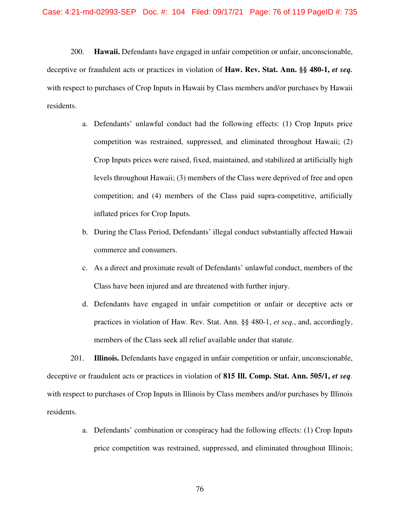200. **Hawaii.** Defendants have engaged in unfair competition or unfair, unconscionable, deceptive or fraudulent acts or practices in violation of **Haw. Rev. Stat. Ann. §§ 480-1,** *et seq.* with respect to purchases of Crop Inputs in Hawaii by Class members and/or purchases by Hawaii residents.

- a. Defendants' unlawful conduct had the following effects: (1) Crop Inputs price competition was restrained, suppressed, and eliminated throughout Hawaii; (2) Crop Inputs prices were raised, fixed, maintained, and stabilized at artificially high levels throughout Hawaii; (3) members of the Class were deprived of free and open competition; and (4) members of the Class paid supra-competitive, artificially inflated prices for Crop Inputs.
- b. During the Class Period, Defendants' illegal conduct substantially affected Hawaii commerce and consumers.
- c. As a direct and proximate result of Defendants' unlawful conduct, members of the Class have been injured and are threatened with further injury.
- d. Defendants have engaged in unfair competition or unfair or deceptive acts or practices in violation of Haw. Rev. Stat. Ann. §§ 480-1, *et seq.*, and, accordingly, members of the Class seek all relief available under that statute.

201. **Illinois.** Defendants have engaged in unfair competition or unfair, unconscionable, deceptive or fraudulent acts or practices in violation of **815 Ill. Comp. Stat. Ann. 505/1,** *et seq.*  with respect to purchases of Crop Inputs in Illinois by Class members and/or purchases by Illinois residents.

> a. Defendants' combination or conspiracy had the following effects: (1) Crop Inputs price competition was restrained, suppressed, and eliminated throughout Illinois;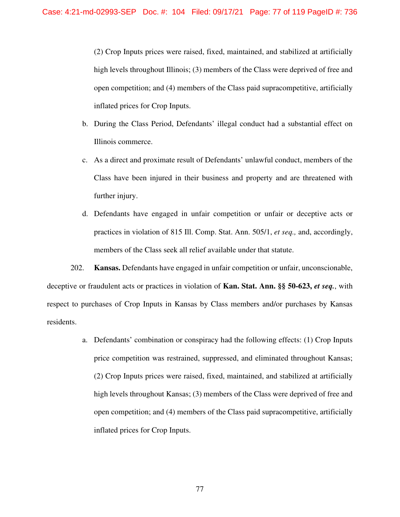(2) Crop Inputs prices were raised, fixed, maintained, and stabilized at artificially high levels throughout Illinois; (3) members of the Class were deprived of free and open competition; and (4) members of the Class paid supracompetitive, artificially inflated prices for Crop Inputs.

- b. During the Class Period, Defendants' illegal conduct had a substantial effect on Illinois commerce.
- c. As a direct and proximate result of Defendants' unlawful conduct, members of the Class have been injured in their business and property and are threatened with further injury.
- d. Defendants have engaged in unfair competition or unfair or deceptive acts or practices in violation of 815 Ill. Comp. Stat. Ann. 505/1, *et seq.,* and, accordingly, members of the Class seek all relief available under that statute.

202. **Kansas.** Defendants have engaged in unfair competition or unfair, unconscionable, deceptive or fraudulent acts or practices in violation of **Kan. Stat. Ann. §§ 50-623,** *et seq.*, with respect to purchases of Crop Inputs in Kansas by Class members and/or purchases by Kansas residents.

> a. Defendants' combination or conspiracy had the following effects: (1) Crop Inputs price competition was restrained, suppressed, and eliminated throughout Kansas; (2) Crop Inputs prices were raised, fixed, maintained, and stabilized at artificially high levels throughout Kansas; (3) members of the Class were deprived of free and open competition; and (4) members of the Class paid supracompetitive, artificially inflated prices for Crop Inputs.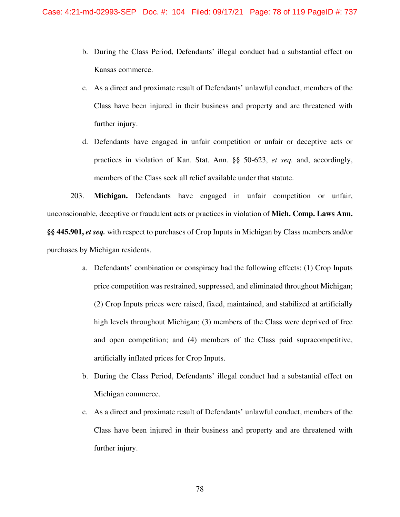- b. During the Class Period, Defendants' illegal conduct had a substantial effect on Kansas commerce.
- c. As a direct and proximate result of Defendants' unlawful conduct, members of the Class have been injured in their business and property and are threatened with further injury.
- d. Defendants have engaged in unfair competition or unfair or deceptive acts or practices in violation of Kan. Stat. Ann. §§ 50-623, *et seq.* and, accordingly, members of the Class seek all relief available under that statute.

203. **Michigan.** Defendants have engaged in unfair competition or unfair, unconscionable, deceptive or fraudulent acts or practices in violation of **Mich. Comp. Laws Ann. §§ 445.901,** *et seq.* with respect to purchases of Crop Inputs in Michigan by Class members and/or purchases by Michigan residents.

- a. Defendants' combination or conspiracy had the following effects: (1) Crop Inputs price competition was restrained, suppressed, and eliminated throughout Michigan; (2) Crop Inputs prices were raised, fixed, maintained, and stabilized at artificially high levels throughout Michigan; (3) members of the Class were deprived of free and open competition; and (4) members of the Class paid supracompetitive, artificially inflated prices for Crop Inputs.
- b. During the Class Period, Defendants' illegal conduct had a substantial effect on Michigan commerce.
- c. As a direct and proximate result of Defendants' unlawful conduct, members of the Class have been injured in their business and property and are threatened with further injury.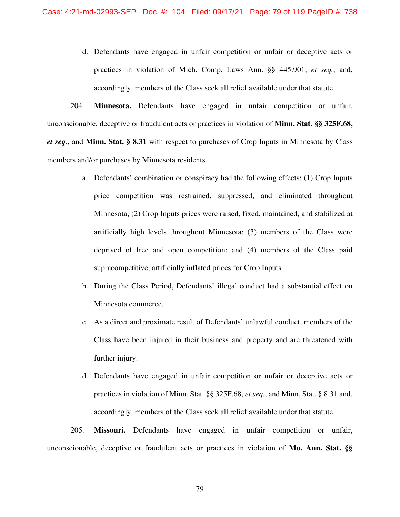d. Defendants have engaged in unfair competition or unfair or deceptive acts or practices in violation of Mich. Comp. Laws Ann. §§ 445.901, *et seq.*, and, accordingly, members of the Class seek all relief available under that statute.

204. **Minnesota.** Defendants have engaged in unfair competition or unfair, unconscionable, deceptive or fraudulent acts or practices in violation of **Minn. Stat. §§ 325F.68,**  *et seq.*, and **Minn. Stat. § 8.31** with respect to purchases of Crop Inputs in Minnesota by Class members and/or purchases by Minnesota residents.

- a. Defendants' combination or conspiracy had the following effects: (1) Crop Inputs price competition was restrained, suppressed, and eliminated throughout Minnesota; (2) Crop Inputs prices were raised, fixed, maintained, and stabilized at artificially high levels throughout Minnesota; (3) members of the Class were deprived of free and open competition; and (4) members of the Class paid supracompetitive, artificially inflated prices for Crop Inputs.
- b. During the Class Period, Defendants' illegal conduct had a substantial effect on Minnesota commerce.
- c. As a direct and proximate result of Defendants' unlawful conduct, members of the Class have been injured in their business and property and are threatened with further injury.
- d. Defendants have engaged in unfair competition or unfair or deceptive acts or practices in violation of Minn. Stat. §§ 325F.68, *et seq.*, and Minn. Stat. § 8.31 and, accordingly, members of the Class seek all relief available under that statute.

205. **Missouri.** Defendants have engaged in unfair competition or unfair, unconscionable, deceptive or fraudulent acts or practices in violation of **Mo. Ann. Stat. §§**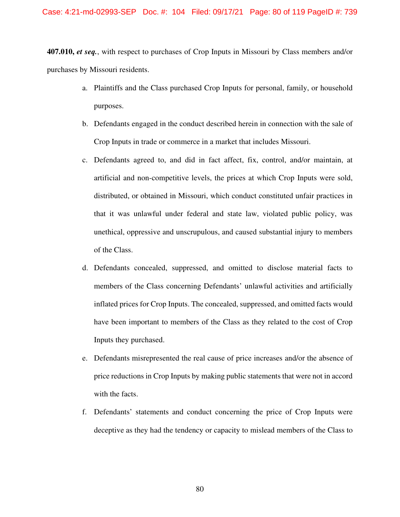**407.010,** *et seq.*, with respect to purchases of Crop Inputs in Missouri by Class members and/or purchases by Missouri residents.

- a. Plaintiffs and the Class purchased Crop Inputs for personal, family, or household purposes.
- b. Defendants engaged in the conduct described herein in connection with the sale of Crop Inputs in trade or commerce in a market that includes Missouri.
- c. Defendants agreed to, and did in fact affect, fix, control, and/or maintain, at artificial and non-competitive levels, the prices at which Crop Inputs were sold, distributed, or obtained in Missouri, which conduct constituted unfair practices in that it was unlawful under federal and state law, violated public policy, was unethical, oppressive and unscrupulous, and caused substantial injury to members of the Class.
- d. Defendants concealed, suppressed, and omitted to disclose material facts to members of the Class concerning Defendants' unlawful activities and artificially inflated prices for Crop Inputs. The concealed, suppressed, and omitted facts would have been important to members of the Class as they related to the cost of Crop Inputs they purchased.
- e. Defendants misrepresented the real cause of price increases and/or the absence of price reductions in Crop Inputs by making public statements that were not in accord with the facts.
- f. Defendants' statements and conduct concerning the price of Crop Inputs were deceptive as they had the tendency or capacity to mislead members of the Class to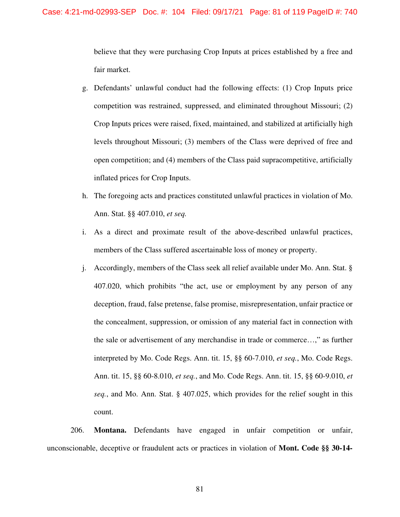believe that they were purchasing Crop Inputs at prices established by a free and fair market.

- g. Defendants' unlawful conduct had the following effects: (1) Crop Inputs price competition was restrained, suppressed, and eliminated throughout Missouri; (2) Crop Inputs prices were raised, fixed, maintained, and stabilized at artificially high levels throughout Missouri; (3) members of the Class were deprived of free and open competition; and (4) members of the Class paid supracompetitive, artificially inflated prices for Crop Inputs.
- h. The foregoing acts and practices constituted unlawful practices in violation of Mo. Ann. Stat. §§ 407.010, *et seq.*
- i. As a direct and proximate result of the above-described unlawful practices, members of the Class suffered ascertainable loss of money or property.
- j. Accordingly, members of the Class seek all relief available under Mo. Ann. Stat. § 407.020, which prohibits "the act, use or employment by any person of any deception, fraud, false pretense, false promise, misrepresentation, unfair practice or the concealment, suppression, or omission of any material fact in connection with the sale or advertisement of any merchandise in trade or commerce…," as further interpreted by Mo. Code Regs. Ann. tit. 15, §§ 60-7.010, *et seq.*, Mo. Code Regs. Ann. tit. 15, §§ 60-8.010, *et seq.*, and Mo. Code Regs. Ann. tit. 15, §§ 60-9.010, *et seq.*, and Mo. Ann. Stat. § 407.025, which provides for the relief sought in this count.

206. **Montana.** Defendants have engaged in unfair competition or unfair, unconscionable, deceptive or fraudulent acts or practices in violation of **Mont. Code §§ 30-14-**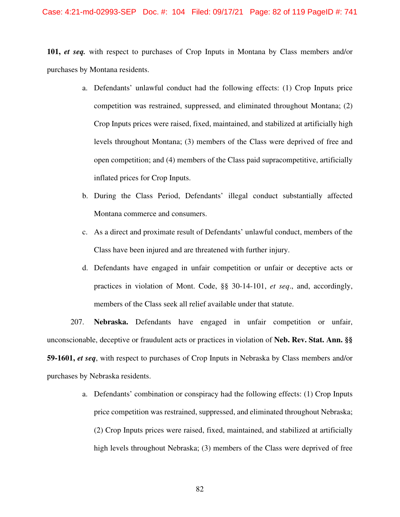### Case: 4:21-md-02993-SEP Doc. #: 104 Filed: 09/17/21 Page: 82 of 119 PageID #: 741

**101,** *et seq.* with respect to purchases of Crop Inputs in Montana by Class members and/or purchases by Montana residents.

- a. Defendants' unlawful conduct had the following effects: (1) Crop Inputs price competition was restrained, suppressed, and eliminated throughout Montana; (2) Crop Inputs prices were raised, fixed, maintained, and stabilized at artificially high levels throughout Montana; (3) members of the Class were deprived of free and open competition; and (4) members of the Class paid supracompetitive, artificially inflated prices for Crop Inputs.
- b. During the Class Period, Defendants' illegal conduct substantially affected Montana commerce and consumers.
- c. As a direct and proximate result of Defendants' unlawful conduct, members of the Class have been injured and are threatened with further injury.
- d. Defendants have engaged in unfair competition or unfair or deceptive acts or practices in violation of Mont. Code, §§ 30-14-101, *et seq*., and, accordingly, members of the Class seek all relief available under that statute.

207. **Nebraska.** Defendants have engaged in unfair competition or unfair, unconscionable, deceptive or fraudulent acts or practices in violation of **Neb. Rev. Stat. Ann. §§ 59-1601,** *et seq*, with respect to purchases of Crop Inputs in Nebraska by Class members and/or purchases by Nebraska residents.

> a. Defendants' combination or conspiracy had the following effects: (1) Crop Inputs price competition was restrained, suppressed, and eliminated throughout Nebraska; (2) Crop Inputs prices were raised, fixed, maintained, and stabilized at artificially high levels throughout Nebraska; (3) members of the Class were deprived of free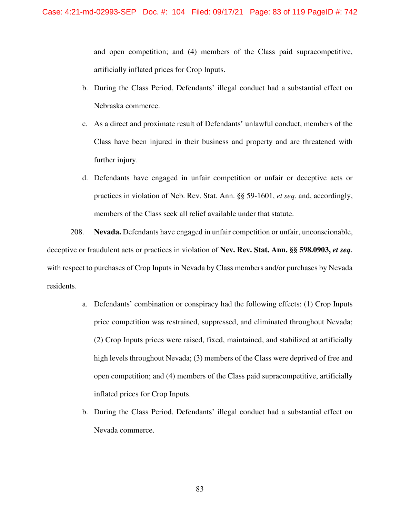and open competition; and (4) members of the Class paid supracompetitive, artificially inflated prices for Crop Inputs.

- b. During the Class Period, Defendants' illegal conduct had a substantial effect on Nebraska commerce.
- c. As a direct and proximate result of Defendants' unlawful conduct, members of the Class have been injured in their business and property and are threatened with further injury.
- d. Defendants have engaged in unfair competition or unfair or deceptive acts or practices in violation of Neb. Rev. Stat. Ann. §§ 59-1601, *et seq.* and, accordingly, members of the Class seek all relief available under that statute.

208. **Nevada.** Defendants have engaged in unfair competition or unfair, unconscionable, deceptive or fraudulent acts or practices in violation of **Nev. Rev. Stat. Ann. §§ 598.0903,** *et seq.* with respect to purchases of Crop Inputs in Nevada by Class members and/or purchases by Nevada residents.

- a. Defendants' combination or conspiracy had the following effects: (1) Crop Inputs price competition was restrained, suppressed, and eliminated throughout Nevada; (2) Crop Inputs prices were raised, fixed, maintained, and stabilized at artificially high levels throughout Nevada; (3) members of the Class were deprived of free and open competition; and (4) members of the Class paid supracompetitive, artificially inflated prices for Crop Inputs.
- b. During the Class Period, Defendants' illegal conduct had a substantial effect on Nevada commerce.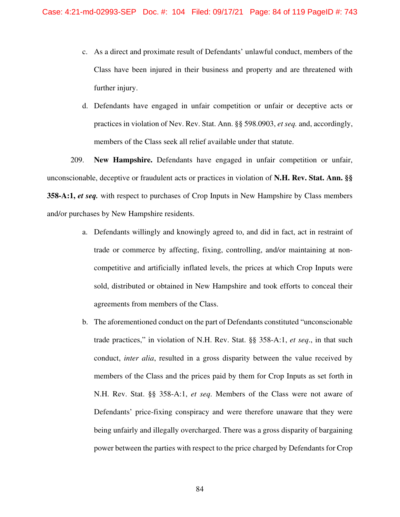- c. As a direct and proximate result of Defendants' unlawful conduct, members of the Class have been injured in their business and property and are threatened with further injury.
- d. Defendants have engaged in unfair competition or unfair or deceptive acts or practices in violation of Nev. Rev. Stat. Ann. §§ 598.0903, *et seq.* and, accordingly, members of the Class seek all relief available under that statute.

209. **New Hampshire.** Defendants have engaged in unfair competition or unfair, unconscionable, deceptive or fraudulent acts or practices in violation of **N.H. Rev. Stat. Ann. §§ 358-A:1,** *et seq.* with respect to purchases of Crop Inputs in New Hampshire by Class members and/or purchases by New Hampshire residents.

- a. Defendants willingly and knowingly agreed to, and did in fact, act in restraint of trade or commerce by affecting, fixing, controlling, and/or maintaining at noncompetitive and artificially inflated levels, the prices at which Crop Inputs were sold, distributed or obtained in New Hampshire and took efforts to conceal their agreements from members of the Class.
- b. The aforementioned conduct on the part of Defendants constituted "unconscionable trade practices," in violation of N.H. Rev. Stat. §§ 358-A:1, *et seq*., in that such conduct, *inter alia*, resulted in a gross disparity between the value received by members of the Class and the prices paid by them for Crop Inputs as set forth in N.H. Rev. Stat. §§ 358-A:1, *et seq*. Members of the Class were not aware of Defendants' price-fixing conspiracy and were therefore unaware that they were being unfairly and illegally overcharged. There was a gross disparity of bargaining power between the parties with respect to the price charged by Defendants for Crop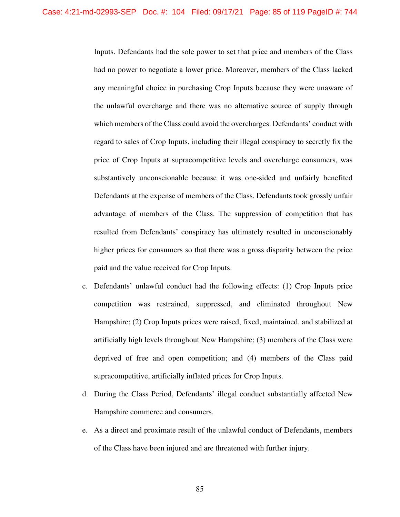Inputs. Defendants had the sole power to set that price and members of the Class had no power to negotiate a lower price. Moreover, members of the Class lacked any meaningful choice in purchasing Crop Inputs because they were unaware of the unlawful overcharge and there was no alternative source of supply through which members of the Class could avoid the overcharges. Defendants' conduct with regard to sales of Crop Inputs, including their illegal conspiracy to secretly fix the price of Crop Inputs at supracompetitive levels and overcharge consumers, was substantively unconscionable because it was one-sided and unfairly benefited Defendants at the expense of members of the Class. Defendants took grossly unfair advantage of members of the Class. The suppression of competition that has resulted from Defendants' conspiracy has ultimately resulted in unconscionably higher prices for consumers so that there was a gross disparity between the price paid and the value received for Crop Inputs.

- c. Defendants' unlawful conduct had the following effects: (1) Crop Inputs price competition was restrained, suppressed, and eliminated throughout New Hampshire; (2) Crop Inputs prices were raised, fixed, maintained, and stabilized at artificially high levels throughout New Hampshire; (3) members of the Class were deprived of free and open competition; and (4) members of the Class paid supracompetitive, artificially inflated prices for Crop Inputs.
- d. During the Class Period, Defendants' illegal conduct substantially affected New Hampshire commerce and consumers.
- e. As a direct and proximate result of the unlawful conduct of Defendants, members of the Class have been injured and are threatened with further injury.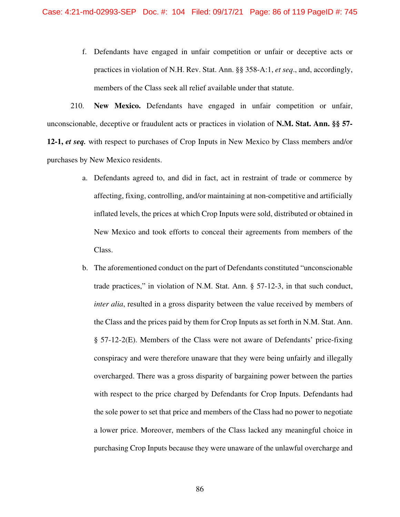f. Defendants have engaged in unfair competition or unfair or deceptive acts or practices in violation of N.H. Rev. Stat. Ann. §§ 358-A:1, *et seq*., and, accordingly, members of the Class seek all relief available under that statute.

210. **New Mexico.** Defendants have engaged in unfair competition or unfair, unconscionable, deceptive or fraudulent acts or practices in violation of **N.M. Stat. Ann. §§ 57- 12-1,** *et seq.* with respect to purchases of Crop Inputs in New Mexico by Class members and/or purchases by New Mexico residents.

- a. Defendants agreed to, and did in fact, act in restraint of trade or commerce by affecting, fixing, controlling, and/or maintaining at non-competitive and artificially inflated levels, the prices at which Crop Inputs were sold, distributed or obtained in New Mexico and took efforts to conceal their agreements from members of the Class.
- b. The aforementioned conduct on the part of Defendants constituted "unconscionable trade practices," in violation of N.M. Stat. Ann. § 57-12-3, in that such conduct, *inter alia*, resulted in a gross disparity between the value received by members of the Class and the prices paid by them for Crop Inputs as set forth in N.M. Stat. Ann. § 57-12-2(E). Members of the Class were not aware of Defendants' price-fixing conspiracy and were therefore unaware that they were being unfairly and illegally overcharged. There was a gross disparity of bargaining power between the parties with respect to the price charged by Defendants for Crop Inputs. Defendants had the sole power to set that price and members of the Class had no power to negotiate a lower price. Moreover, members of the Class lacked any meaningful choice in purchasing Crop Inputs because they were unaware of the unlawful overcharge and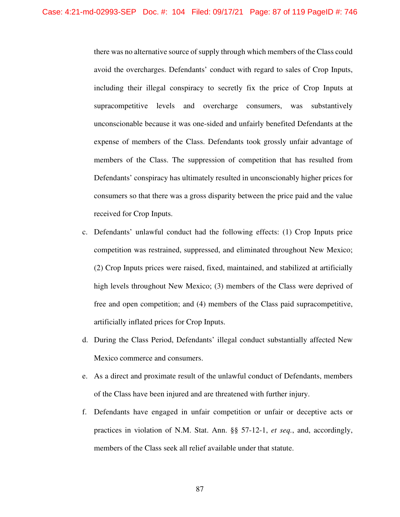there was no alternative source of supply through which members of the Class could avoid the overcharges. Defendants' conduct with regard to sales of Crop Inputs, including their illegal conspiracy to secretly fix the price of Crop Inputs at supracompetitive levels and overcharge consumers, was substantively unconscionable because it was one-sided and unfairly benefited Defendants at the expense of members of the Class. Defendants took grossly unfair advantage of members of the Class. The suppression of competition that has resulted from Defendants' conspiracy has ultimately resulted in unconscionably higher prices for consumers so that there was a gross disparity between the price paid and the value received for Crop Inputs.

- c. Defendants' unlawful conduct had the following effects: (1) Crop Inputs price competition was restrained, suppressed, and eliminated throughout New Mexico; (2) Crop Inputs prices were raised, fixed, maintained, and stabilized at artificially high levels throughout New Mexico; (3) members of the Class were deprived of free and open competition; and (4) members of the Class paid supracompetitive, artificially inflated prices for Crop Inputs.
- d. During the Class Period, Defendants' illegal conduct substantially affected New Mexico commerce and consumers.
- e. As a direct and proximate result of the unlawful conduct of Defendants, members of the Class have been injured and are threatened with further injury.
- f. Defendants have engaged in unfair competition or unfair or deceptive acts or practices in violation of N.M. Stat. Ann. §§ 57-12-1, *et seq.*, and, accordingly, members of the Class seek all relief available under that statute.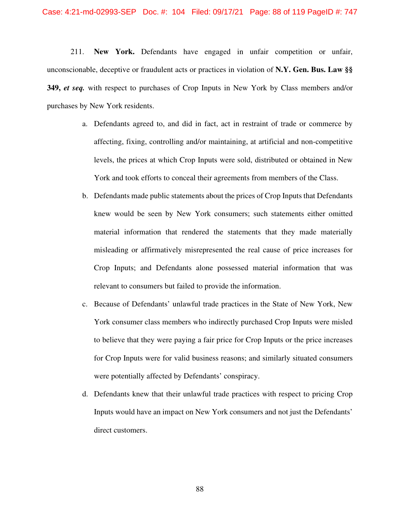211. **New York.** Defendants have engaged in unfair competition or unfair, unconscionable, deceptive or fraudulent acts or practices in violation of **N.Y. Gen. Bus. Law §§ 349,** *et seq.* with respect to purchases of Crop Inputs in New York by Class members and/or purchases by New York residents.

- a. Defendants agreed to, and did in fact, act in restraint of trade or commerce by affecting, fixing, controlling and/or maintaining, at artificial and non-competitive levels, the prices at which Crop Inputs were sold, distributed or obtained in New York and took efforts to conceal their agreements from members of the Class.
- b. Defendants made public statements about the prices of Crop Inputs that Defendants knew would be seen by New York consumers; such statements either omitted material information that rendered the statements that they made materially misleading or affirmatively misrepresented the real cause of price increases for Crop Inputs; and Defendants alone possessed material information that was relevant to consumers but failed to provide the information.
- c. Because of Defendants' unlawful trade practices in the State of New York, New York consumer class members who indirectly purchased Crop Inputs were misled to believe that they were paying a fair price for Crop Inputs or the price increases for Crop Inputs were for valid business reasons; and similarly situated consumers were potentially affected by Defendants' conspiracy.
- d. Defendants knew that their unlawful trade practices with respect to pricing Crop Inputs would have an impact on New York consumers and not just the Defendants' direct customers.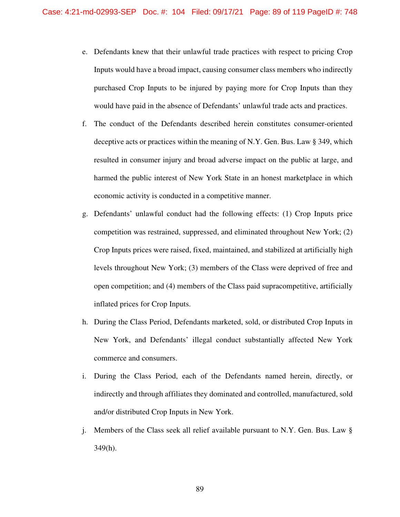- e. Defendants knew that their unlawful trade practices with respect to pricing Crop Inputs would have a broad impact, causing consumer class members who indirectly purchased Crop Inputs to be injured by paying more for Crop Inputs than they would have paid in the absence of Defendants' unlawful trade acts and practices.
- f. The conduct of the Defendants described herein constitutes consumer-oriented deceptive acts or practices within the meaning of N.Y. Gen. Bus. Law § 349, which resulted in consumer injury and broad adverse impact on the public at large, and harmed the public interest of New York State in an honest marketplace in which economic activity is conducted in a competitive manner.
- g. Defendants' unlawful conduct had the following effects: (1) Crop Inputs price competition was restrained, suppressed, and eliminated throughout New York; (2) Crop Inputs prices were raised, fixed, maintained, and stabilized at artificially high levels throughout New York; (3) members of the Class were deprived of free and open competition; and (4) members of the Class paid supracompetitive, artificially inflated prices for Crop Inputs.
- h. During the Class Period, Defendants marketed, sold, or distributed Crop Inputs in New York, and Defendants' illegal conduct substantially affected New York commerce and consumers.
- i. During the Class Period, each of the Defendants named herein, directly, or indirectly and through affiliates they dominated and controlled, manufactured, sold and/or distributed Crop Inputs in New York.
- j. Members of the Class seek all relief available pursuant to N.Y. Gen. Bus. Law § 349(h).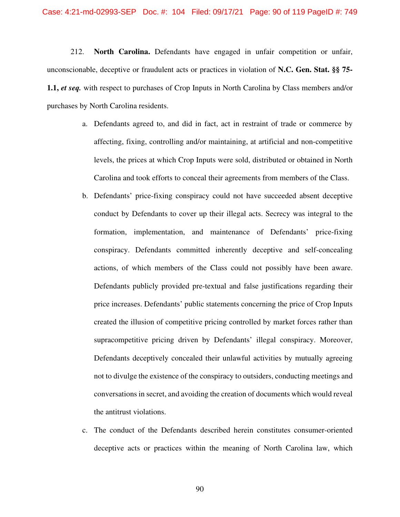212. **North Carolina.** Defendants have engaged in unfair competition or unfair, unconscionable, deceptive or fraudulent acts or practices in violation of **N.C. Gen. Stat. §§ 75- 1.1,** *et seq.* with respect to purchases of Crop Inputs in North Carolina by Class members and/or purchases by North Carolina residents.

- a. Defendants agreed to, and did in fact, act in restraint of trade or commerce by affecting, fixing, controlling and/or maintaining, at artificial and non-competitive levels, the prices at which Crop Inputs were sold, distributed or obtained in North Carolina and took efforts to conceal their agreements from members of the Class.
- b. Defendants' price-fixing conspiracy could not have succeeded absent deceptive conduct by Defendants to cover up their illegal acts. Secrecy was integral to the formation, implementation, and maintenance of Defendants' price-fixing conspiracy. Defendants committed inherently deceptive and self-concealing actions, of which members of the Class could not possibly have been aware. Defendants publicly provided pre-textual and false justifications regarding their price increases. Defendants' public statements concerning the price of Crop Inputs created the illusion of competitive pricing controlled by market forces rather than supracompetitive pricing driven by Defendants' illegal conspiracy. Moreover, Defendants deceptively concealed their unlawful activities by mutually agreeing not to divulge the existence of the conspiracy to outsiders, conducting meetings and conversations in secret, and avoiding the creation of documents which would reveal the antitrust violations.
- c. The conduct of the Defendants described herein constitutes consumer-oriented deceptive acts or practices within the meaning of North Carolina law, which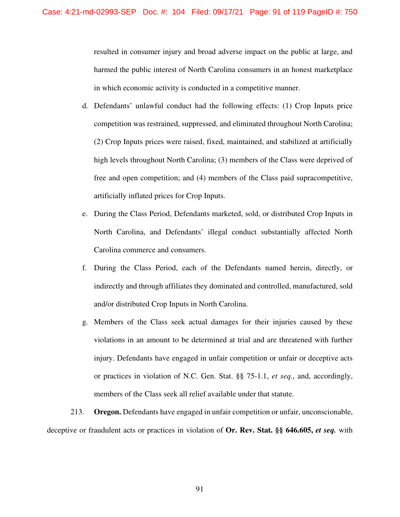resulted in consumer injury and broad adverse impact on the public at large, and harmed the public interest of North Carolina consumers in an honest marketplace in which economic activity is conducted in a competitive manner.

- d. Defendants' unlawful conduct had the following effects: (1) Crop Inputs price competition was restrained, suppressed, and eliminated throughout North Carolina; (2) Crop Inputs prices were raised, fixed, maintained, and stabilized at artificially high levels throughout North Carolina; (3) members of the Class were deprived of free and open competition; and (4) members of the Class paid supracompetitive, artificially inflated prices for Crop Inputs.
- e. During the Class Period, Defendants marketed, sold, or distributed Crop Inputs in North Carolina, and Defendants' illegal conduct substantially affected North Carolina commerce and consumers.
- f. During the Class Period, each of the Defendants named herein, directly, or indirectly and through affiliates they dominated and controlled, manufactured, sold and/or distributed Crop Inputs in North Carolina.
- g. Members of the Class seek actual damages for their injuries caused by these violations in an amount to be determined at trial and are threatened with further injury. Defendants have engaged in unfair competition or unfair or deceptive acts or practices in violation of N.C. Gen. Stat. §§ 75-1.1, *et seq.*, and, accordingly, members of the Class seek all relief available under that statute.

213. **Oregon.** Defendants have engaged in unfair competition or unfair, unconscionable, deceptive or fraudulent acts or practices in violation of **Or. Rev. Stat. §§ 646.605,** *et seq.* with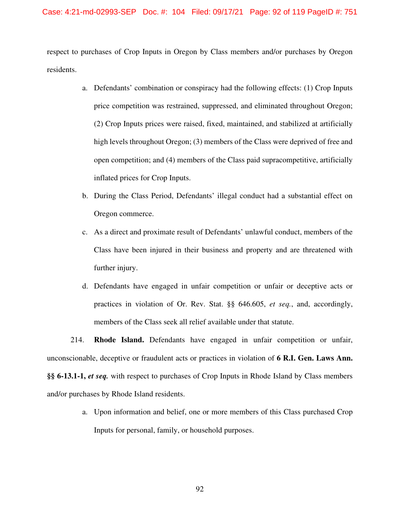## Case: 4:21-md-02993-SEP Doc. #: 104 Filed: 09/17/21 Page: 92 of 119 PageID #: 751

respect to purchases of Crop Inputs in Oregon by Class members and/or purchases by Oregon residents.

- a. Defendants' combination or conspiracy had the following effects: (1) Crop Inputs price competition was restrained, suppressed, and eliminated throughout Oregon; (2) Crop Inputs prices were raised, fixed, maintained, and stabilized at artificially high levels throughout Oregon; (3) members of the Class were deprived of free and open competition; and (4) members of the Class paid supracompetitive, artificially inflated prices for Crop Inputs.
- b. During the Class Period, Defendants' illegal conduct had a substantial effect on Oregon commerce.
- c. As a direct and proximate result of Defendants' unlawful conduct, members of the Class have been injured in their business and property and are threatened with further injury.
- d. Defendants have engaged in unfair competition or unfair or deceptive acts or practices in violation of Or. Rev. Stat. §§ 646.605, *et seq.*, and, accordingly, members of the Class seek all relief available under that statute.

214. **Rhode Island.** Defendants have engaged in unfair competition or unfair, unconscionable, deceptive or fraudulent acts or practices in violation of **6 R.I. Gen. Laws Ann. §§ 6-13.1-1,** *et seq.* with respect to purchases of Crop Inputs in Rhode Island by Class members and/or purchases by Rhode Island residents.

> a. Upon information and belief, one or more members of this Class purchased Crop Inputs for personal, family, or household purposes.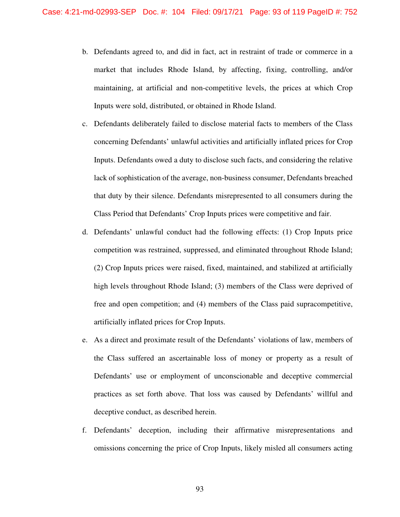- b. Defendants agreed to, and did in fact, act in restraint of trade or commerce in a market that includes Rhode Island, by affecting, fixing, controlling, and/or maintaining, at artificial and non-competitive levels, the prices at which Crop Inputs were sold, distributed, or obtained in Rhode Island.
- c. Defendants deliberately failed to disclose material facts to members of the Class concerning Defendants' unlawful activities and artificially inflated prices for Crop Inputs. Defendants owed a duty to disclose such facts, and considering the relative lack of sophistication of the average, non-business consumer, Defendants breached that duty by their silence. Defendants misrepresented to all consumers during the Class Period that Defendants' Crop Inputs prices were competitive and fair.
- d. Defendants' unlawful conduct had the following effects: (1) Crop Inputs price competition was restrained, suppressed, and eliminated throughout Rhode Island; (2) Crop Inputs prices were raised, fixed, maintained, and stabilized at artificially high levels throughout Rhode Island; (3) members of the Class were deprived of free and open competition; and (4) members of the Class paid supracompetitive, artificially inflated prices for Crop Inputs.
- e. As a direct and proximate result of the Defendants' violations of law, members of the Class suffered an ascertainable loss of money or property as a result of Defendants' use or employment of unconscionable and deceptive commercial practices as set forth above. That loss was caused by Defendants' willful and deceptive conduct, as described herein.
- f. Defendants' deception, including their affirmative misrepresentations and omissions concerning the price of Crop Inputs, likely misled all consumers acting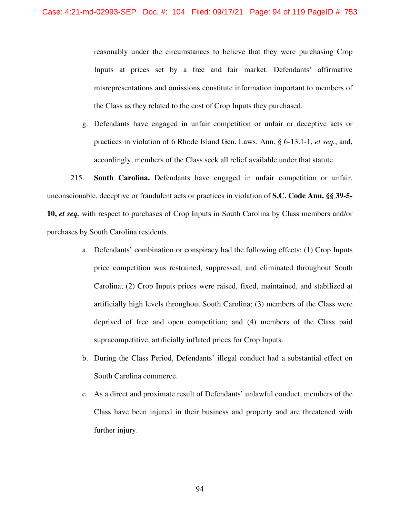reasonably under the circumstances to believe that they were purchasing Crop Inputs at prices set by a free and fair market. Defendants' affirmative misrepresentations and omissions constitute information important to members of the Class as they related to the cost of Crop Inputs they purchased.

g. Defendants have engaged in unfair competition or unfair or deceptive acts or practices in violation of 6 Rhode Island Gen. Laws. Ann. § 6-13.1-1, *et seq.*, and, accordingly, members of the Class seek all relief available under that statute.

215. **South Carolina.** Defendants have engaged in unfair competition or unfair, unconscionable, deceptive or fraudulent acts or practices in violation of **S.C. Code Ann. §§ 39-5- 10,** *et seq.* with respect to purchases of Crop Inputs in South Carolina by Class members and/or purchases by South Carolina residents.

- a. Defendants' combination or conspiracy had the following effects: (1) Crop Inputs price competition was restrained, suppressed, and eliminated throughout South Carolina; (2) Crop Inputs prices were raised, fixed, maintained, and stabilized at artificially high levels throughout South Carolina; (3) members of the Class were deprived of free and open competition; and (4) members of the Class paid supracompetitive, artificially inflated prices for Crop Inputs.
- b. During the Class Period, Defendants' illegal conduct had a substantial effect on South Carolina commerce.
- c. As a direct and proximate result of Defendants' unlawful conduct, members of the Class have been injured in their business and property and are threatened with further injury.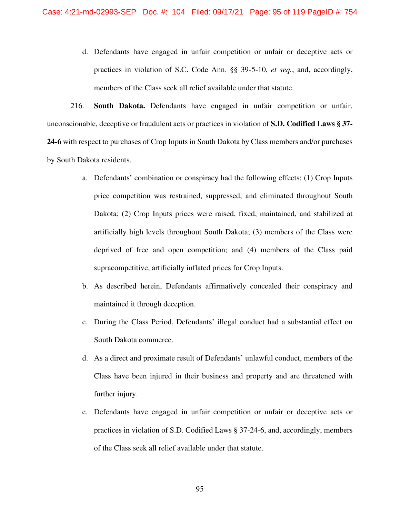d. Defendants have engaged in unfair competition or unfair or deceptive acts or practices in violation of S.C. Code Ann. §§ 39-5-10, *et seq.*, and, accordingly, members of the Class seek all relief available under that statute.

216. **South Dakota.** Defendants have engaged in unfair competition or unfair, unconscionable, deceptive or fraudulent acts or practices in violation of **S.D. Codified Laws § 37- 24-6** with respect to purchases of Crop Inputs in South Dakota by Class members and/or purchases by South Dakota residents.

- a. Defendants' combination or conspiracy had the following effects: (1) Crop Inputs price competition was restrained, suppressed, and eliminated throughout South Dakota; (2) Crop Inputs prices were raised, fixed, maintained, and stabilized at artificially high levels throughout South Dakota; (3) members of the Class were deprived of free and open competition; and (4) members of the Class paid supracompetitive, artificially inflated prices for Crop Inputs.
- b. As described herein, Defendants affirmatively concealed their conspiracy and maintained it through deception.
- c. During the Class Period, Defendants' illegal conduct had a substantial effect on South Dakota commerce.
- d. As a direct and proximate result of Defendants' unlawful conduct, members of the Class have been injured in their business and property and are threatened with further injury.
- e. Defendants have engaged in unfair competition or unfair or deceptive acts or practices in violation of S.D. Codified Laws § 37-24-6, and, accordingly, members of the Class seek all relief available under that statute.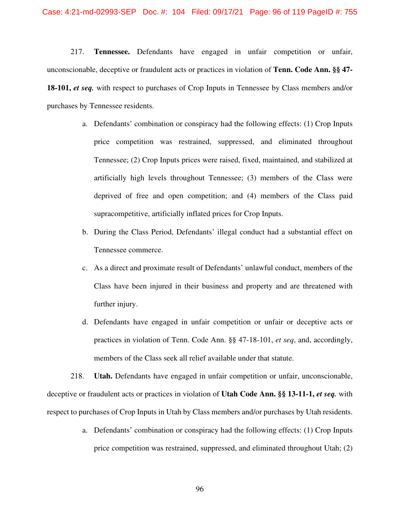217. **Tennessee.** Defendants have engaged in unfair competition or unfair, unconscionable, deceptive or fraudulent acts or practices in violation of **Tenn. Code Ann. §§ 47- 18-101,** *et seq.* with respect to purchases of Crop Inputs in Tennessee by Class members and/or purchases by Tennessee residents.

- a. Defendants' combination or conspiracy had the following effects: (1) Crop Inputs price competition was restrained, suppressed, and eliminated throughout Tennessee; (2) Crop Inputs prices were raised, fixed, maintained, and stabilized at artificially high levels throughout Tennessee; (3) members of the Class were deprived of free and open competition; and (4) members of the Class paid supracompetitive, artificially inflated prices for Crop Inputs.
- b. During the Class Period, Defendants' illegal conduct had a substantial effect on Tennessee commerce.
- c. As a direct and proximate result of Defendants' unlawful conduct, members of the Class have been injured in their business and property and are threatened with further injury.
- d. Defendants have engaged in unfair competition or unfair or deceptive acts or practices in violation of Tenn. Code Ann. §§ 47-18-101, *et seq*, and, accordingly, members of the Class seek all relief available under that statute.

218. **Utah.** Defendants have engaged in unfair competition or unfair, unconscionable, deceptive or fraudulent acts or practices in violation of **Utah Code Ann. §§ 13-11-1,** *et seq.* with respect to purchases of Crop Inputs in Utah by Class members and/or purchases by Utah residents.

> a. Defendants' combination or conspiracy had the following effects: (1) Crop Inputs price competition was restrained, suppressed, and eliminated throughout Utah; (2)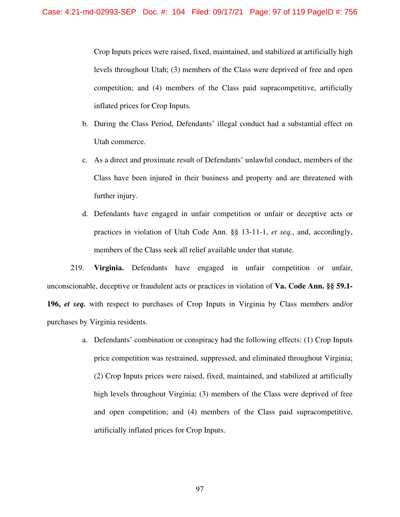Crop Inputs prices were raised, fixed, maintained, and stabilized at artificially high levels throughout Utah; (3) members of the Class were deprived of free and open competition; and (4) members of the Class paid supracompetitive, artificially inflated prices for Crop Inputs.

- b. During the Class Period, Defendants' illegal conduct had a substantial effect on Utah commerce.
- c. As a direct and proximate result of Defendants' unlawful conduct, members of the Class have been injured in their business and property and are threatened with further injury.
- d. Defendants have engaged in unfair competition or unfair or deceptive acts or practices in violation of Utah Code Ann. §§ 13-11-1, *et seq.*, and, accordingly, members of the Class seek all relief available under that statute.

219. **Virginia.** Defendants have engaged in unfair competition or unfair, unconscionable, deceptive or fraudulent acts or practices in violation of **Va. Code Ann. §§ 59.1- 196,** *et seq.* with respect to purchases of Crop Inputs in Virginia by Class members and/or purchases by Virginia residents.

> a. Defendants' combination or conspiracy had the following effects: (1) Crop Inputs price competition was restrained, suppressed, and eliminated throughout Virginia; (2) Crop Inputs prices were raised, fixed, maintained, and stabilized at artificially high levels throughout Virginia; (3) members of the Class were deprived of free and open competition; and (4) members of the Class paid supracompetitive, artificially inflated prices for Crop Inputs.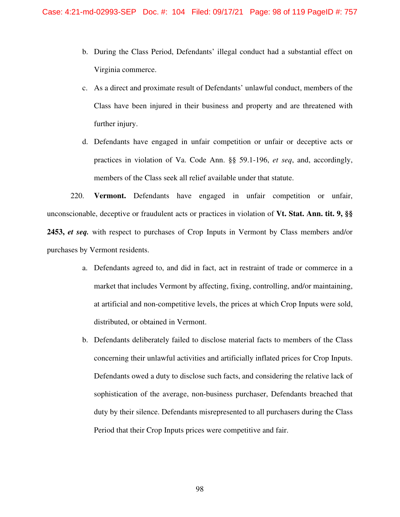- b. During the Class Period, Defendants' illegal conduct had a substantial effect on Virginia commerce.
- c. As a direct and proximate result of Defendants' unlawful conduct, members of the Class have been injured in their business and property and are threatened with further injury.
- d. Defendants have engaged in unfair competition or unfair or deceptive acts or practices in violation of Va. Code Ann. §§ 59.1-196, *et seq*, and, accordingly, members of the Class seek all relief available under that statute.

220. **Vermont.** Defendants have engaged in unfair competition or unfair, unconscionable, deceptive or fraudulent acts or practices in violation of **Vt. Stat. Ann. tit. 9, §§ 2453,** *et seq.* with respect to purchases of Crop Inputs in Vermont by Class members and/or purchases by Vermont residents.

- a. Defendants agreed to, and did in fact, act in restraint of trade or commerce in a market that includes Vermont by affecting, fixing, controlling, and/or maintaining, at artificial and non-competitive levels, the prices at which Crop Inputs were sold, distributed, or obtained in Vermont.
- b. Defendants deliberately failed to disclose material facts to members of the Class concerning their unlawful activities and artificially inflated prices for Crop Inputs. Defendants owed a duty to disclose such facts, and considering the relative lack of sophistication of the average, non-business purchaser, Defendants breached that duty by their silence. Defendants misrepresented to all purchasers during the Class Period that their Crop Inputs prices were competitive and fair.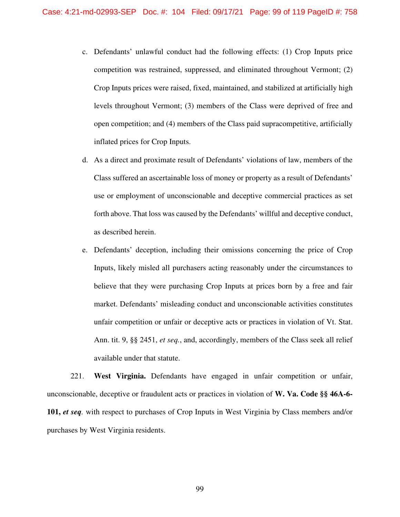- c. Defendants' unlawful conduct had the following effects: (1) Crop Inputs price competition was restrained, suppressed, and eliminated throughout Vermont; (2) Crop Inputs prices were raised, fixed, maintained, and stabilized at artificially high levels throughout Vermont; (3) members of the Class were deprived of free and open competition; and (4) members of the Class paid supracompetitive, artificially inflated prices for Crop Inputs.
- d. As a direct and proximate result of Defendants' violations of law, members of the Class suffered an ascertainable loss of money or property as a result of Defendants' use or employment of unconscionable and deceptive commercial practices as set forth above. That loss was caused by the Defendants' willful and deceptive conduct, as described herein.
- e. Defendants' deception, including their omissions concerning the price of Crop Inputs, likely misled all purchasers acting reasonably under the circumstances to believe that they were purchasing Crop Inputs at prices born by a free and fair market. Defendants' misleading conduct and unconscionable activities constitutes unfair competition or unfair or deceptive acts or practices in violation of Vt. Stat. Ann. tit. 9, §§ 2451, *et seq.*, and, accordingly, members of the Class seek all relief available under that statute.

221. **West Virginia.** Defendants have engaged in unfair competition or unfair, unconscionable, deceptive or fraudulent acts or practices in violation of **W. Va. Code §§ 46A-6- 101,** *et seq.* with respect to purchases of Crop Inputs in West Virginia by Class members and/or purchases by West Virginia residents.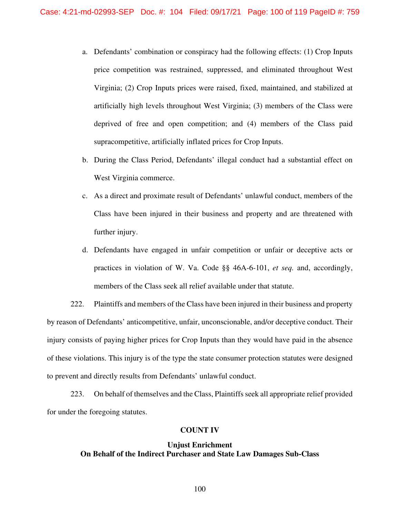- a. Defendants' combination or conspiracy had the following effects: (1) Crop Inputs price competition was restrained, suppressed, and eliminated throughout West Virginia; (2) Crop Inputs prices were raised, fixed, maintained, and stabilized at artificially high levels throughout West Virginia; (3) members of the Class were deprived of free and open competition; and (4) members of the Class paid supracompetitive, artificially inflated prices for Crop Inputs.
- b. During the Class Period, Defendants' illegal conduct had a substantial effect on West Virginia commerce.
- c. As a direct and proximate result of Defendants' unlawful conduct, members of the Class have been injured in their business and property and are threatened with further injury.
- d. Defendants have engaged in unfair competition or unfair or deceptive acts or practices in violation of W. Va. Code §§ 46A-6-101, *et seq.* and, accordingly, members of the Class seek all relief available under that statute.

222. Plaintiffs and members of the Class have been injured in their business and property by reason of Defendants' anticompetitive, unfair, unconscionable, and/or deceptive conduct. Their injury consists of paying higher prices for Crop Inputs than they would have paid in the absence of these violations. This injury is of the type the state consumer protection statutes were designed to prevent and directly results from Defendants' unlawful conduct.

223. On behalf of themselves and the Class, Plaintiffs seek all appropriate relief provided for under the foregoing statutes.

## **COUNT IV**

# **Unjust Enrichment On Behalf of the Indirect Purchaser and State Law Damages Sub-Class**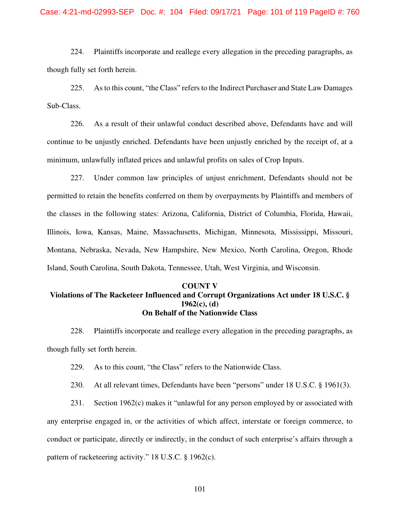224. Plaintiffs incorporate and reallege every allegation in the preceding paragraphs, as though fully set forth herein.

225. As to this count, "the Class" refers to the Indirect Purchaser and State Law Damages Sub-Class.

226. As a result of their unlawful conduct described above, Defendants have and will continue to be unjustly enriched. Defendants have been unjustly enriched by the receipt of, at a minimum, unlawfully inflated prices and unlawful profits on sales of Crop Inputs.

227. Under common law principles of unjust enrichment, Defendants should not be permitted to retain the benefits conferred on them by overpayments by Plaintiffs and members of the classes in the following states: Arizona, California, District of Columbia, Florida, Hawaii, Illinois, Iowa, Kansas, Maine, Massachusetts, Michigan, Minnesota, Mississippi, Missouri, Montana, Nebraska, Nevada, New Hampshire, New Mexico, North Carolina, Oregon, Rhode Island, South Carolina, South Dakota, Tennessee, Utah, West Virginia, and Wisconsin.

## **COUNT V Violations of The Racketeer Influenced and Corrupt Organizations Act under 18 U.S.C. § 1962(c), (d) On Behalf of the Nationwide Class**

228. Plaintiffs incorporate and reallege every allegation in the preceding paragraphs, as though fully set forth herein.

229. As to this count, "the Class" refers to the Nationwide Class.

230. At all relevant times, Defendants have been "persons" under 18 U.S.C. § 1961(3).

231. Section 1962(c) makes it "unlawful for any person employed by or associated with any enterprise engaged in, or the activities of which affect, interstate or foreign commerce, to conduct or participate, directly or indirectly, in the conduct of such enterprise's affairs through a pattern of racketeering activity." 18 U.S.C. § 1962(c).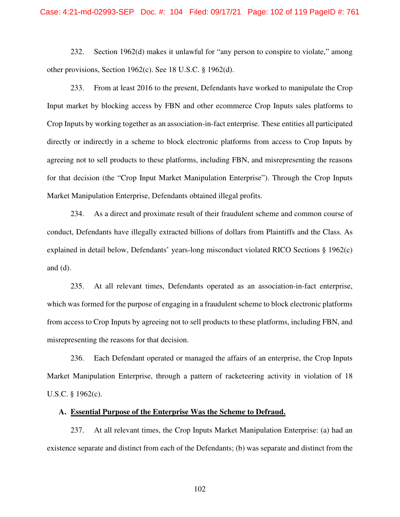232. Section 1962(d) makes it unlawful for "any person to conspire to violate," among other provisions, Section 1962(c). See 18 U.S.C. § 1962(d).

233. From at least 2016 to the present, Defendants have worked to manipulate the Crop Input market by blocking access by FBN and other ecommerce Crop Inputs sales platforms to Crop Inputs by working together as an association-in-fact enterprise. These entities all participated directly or indirectly in a scheme to block electronic platforms from access to Crop Inputs by agreeing not to sell products to these platforms, including FBN, and misrepresenting the reasons for that decision (the "Crop Input Market Manipulation Enterprise"). Through the Crop Inputs Market Manipulation Enterprise, Defendants obtained illegal profits.

234. As a direct and proximate result of their fraudulent scheme and common course of conduct, Defendants have illegally extracted billions of dollars from Plaintiffs and the Class. As explained in detail below, Defendants' years-long misconduct violated RICO Sections § 1962(c) and (d).

235. At all relevant times, Defendants operated as an association-in-fact enterprise, which was formed for the purpose of engaging in a fraudulent scheme to block electronic platforms from access to Crop Inputs by agreeing not to sell products to these platforms, including FBN, and misrepresenting the reasons for that decision.

236. Each Defendant operated or managed the affairs of an enterprise, the Crop Inputs Market Manipulation Enterprise, through a pattern of racketeering activity in violation of 18 U.S.C. § 1962(c).

## **A. Essential Purpose of the Enterprise Was the Scheme to Defraud.**

237. At all relevant times, the Crop Inputs Market Manipulation Enterprise: (a) had an existence separate and distinct from each of the Defendants; (b) was separate and distinct from the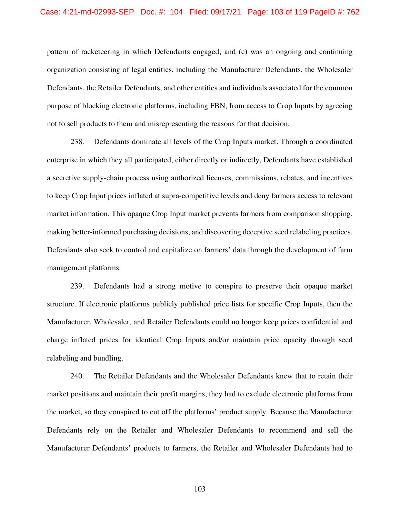pattern of racketeering in which Defendants engaged; and (c) was an ongoing and continuing organization consisting of legal entities, including the Manufacturer Defendants, the Wholesaler Defendants, the Retailer Defendants, and other entities and individuals associated for the common purpose of blocking electronic platforms, including FBN, from access to Crop Inputs by agreeing not to sell products to them and misrepresenting the reasons for that decision.

238. Defendants dominate all levels of the Crop Inputs market. Through a coordinated enterprise in which they all participated, either directly or indirectly, Defendants have established a secretive supply-chain process using authorized licenses, commissions, rebates, and incentives to keep Crop Input prices inflated at supra-competitive levels and deny farmers access to relevant market information. This opaque Crop Input market prevents farmers from comparison shopping, making better-informed purchasing decisions, and discovering deceptive seed relabeling practices. Defendants also seek to control and capitalize on farmers' data through the development of farm management platforms.

239. Defendants had a strong motive to conspire to preserve their opaque market structure. If electronic platforms publicly published price lists for specific Crop Inputs, then the Manufacturer, Wholesaler, and Retailer Defendants could no longer keep prices confidential and charge inflated prices for identical Crop Inputs and/or maintain price opacity through seed relabeling and bundling.

240. The Retailer Defendants and the Wholesaler Defendants knew that to retain their market positions and maintain their profit margins, they had to exclude electronic platforms from the market, so they conspired to cut off the platforms' product supply. Because the Manufacturer Defendants rely on the Retailer and Wholesaler Defendants to recommend and sell the Manufacturer Defendants' products to farmers, the Retailer and Wholesaler Defendants had to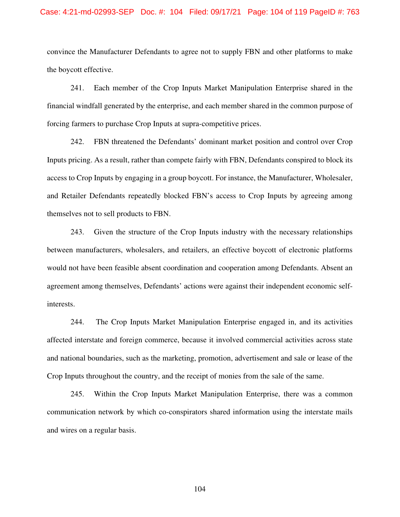### Case: 4:21-md-02993-SEP Doc. #: 104 Filed: 09/17/21 Page: 104 of 119 PageID #: 763

convince the Manufacturer Defendants to agree not to supply FBN and other platforms to make the boycott effective.

241. Each member of the Crop Inputs Market Manipulation Enterprise shared in the financial windfall generated by the enterprise, and each member shared in the common purpose of forcing farmers to purchase Crop Inputs at supra-competitive prices.

242. FBN threatened the Defendants' dominant market position and control over Crop Inputs pricing. As a result, rather than compete fairly with FBN, Defendants conspired to block its access to Crop Inputs by engaging in a group boycott. For instance, the Manufacturer, Wholesaler, and Retailer Defendants repeatedly blocked FBN's access to Crop Inputs by agreeing among themselves not to sell products to FBN.

243. Given the structure of the Crop Inputs industry with the necessary relationships between manufacturers, wholesalers, and retailers, an effective boycott of electronic platforms would not have been feasible absent coordination and cooperation among Defendants. Absent an agreement among themselves, Defendants' actions were against their independent economic selfinterests.

244. The Crop Inputs Market Manipulation Enterprise engaged in, and its activities affected interstate and foreign commerce, because it involved commercial activities across state and national boundaries, such as the marketing, promotion, advertisement and sale or lease of the Crop Inputs throughout the country, and the receipt of monies from the sale of the same.

245. Within the Crop Inputs Market Manipulation Enterprise, there was a common communication network by which co-conspirators shared information using the interstate mails and wires on a regular basis.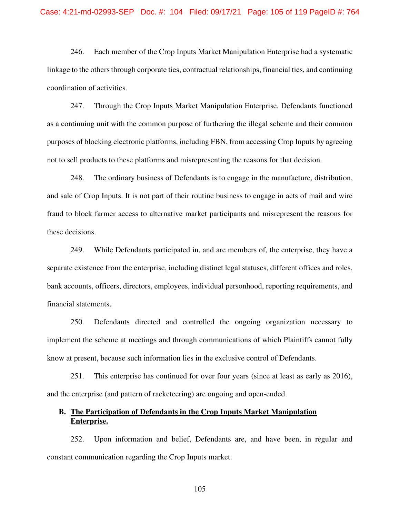246. Each member of the Crop Inputs Market Manipulation Enterprise had a systematic linkage to the others through corporate ties, contractual relationships, financial ties, and continuing coordination of activities.

247. Through the Crop Inputs Market Manipulation Enterprise, Defendants functioned as a continuing unit with the common purpose of furthering the illegal scheme and their common purposes of blocking electronic platforms, including FBN, from accessing Crop Inputs by agreeing not to sell products to these platforms and misrepresenting the reasons for that decision.

248. The ordinary business of Defendants is to engage in the manufacture, distribution, and sale of Crop Inputs. It is not part of their routine business to engage in acts of mail and wire fraud to block farmer access to alternative market participants and misrepresent the reasons for these decisions.

249. While Defendants participated in, and are members of, the enterprise, they have a separate existence from the enterprise, including distinct legal statuses, different offices and roles, bank accounts, officers, directors, employees, individual personhood, reporting requirements, and financial statements.

250. Defendants directed and controlled the ongoing organization necessary to implement the scheme at meetings and through communications of which Plaintiffs cannot fully know at present, because such information lies in the exclusive control of Defendants.

251. This enterprise has continued for over four years (since at least as early as 2016), and the enterprise (and pattern of racketeering) are ongoing and open-ended.

# **B. The Participation of Defendants in the Crop Inputs Market Manipulation Enterprise.**

252. Upon information and belief, Defendants are, and have been, in regular and constant communication regarding the Crop Inputs market.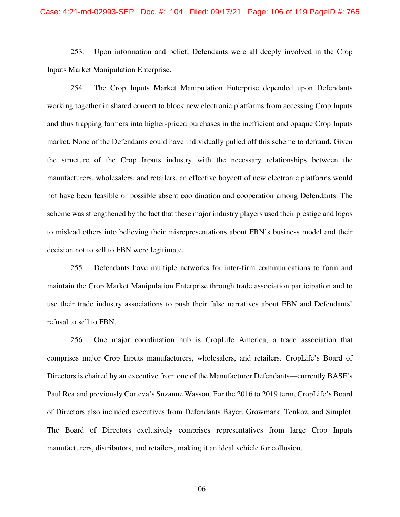### Case: 4:21-md-02993-SEP Doc. #: 104 Filed: 09/17/21 Page: 106 of 119 PageID #: 765

253. Upon information and belief, Defendants were all deeply involved in the Crop Inputs Market Manipulation Enterprise.

254. The Crop Inputs Market Manipulation Enterprise depended upon Defendants working together in shared concert to block new electronic platforms from accessing Crop Inputs and thus trapping farmers into higher-priced purchases in the inefficient and opaque Crop Inputs market. None of the Defendants could have individually pulled off this scheme to defraud. Given the structure of the Crop Inputs industry with the necessary relationships between the manufacturers, wholesalers, and retailers, an effective boycott of new electronic platforms would not have been feasible or possible absent coordination and cooperation among Defendants. The scheme was strengthened by the fact that these major industry players used their prestige and logos to mislead others into believing their misrepresentations about FBN's business model and their decision not to sell to FBN were legitimate.

255. Defendants have multiple networks for inter-firm communications to form and maintain the Crop Market Manipulation Enterprise through trade association participation and to use their trade industry associations to push their false narratives about FBN and Defendants' refusal to sell to FBN.

256. One major coordination hub is CropLife America, a trade association that comprises major Crop Inputs manufacturers, wholesalers, and retailers. CropLife's Board of Directors is chaired by an executive from one of the Manufacturer Defendants—currently BASF's Paul Rea and previously Corteva's Suzanne Wasson. For the 2016 to 2019 term, CropLife's Board of Directors also included executives from Defendants Bayer, Growmark, Tenkoz, and Simplot. The Board of Directors exclusively comprises representatives from large Crop Inputs manufacturers, distributors, and retailers, making it an ideal vehicle for collusion.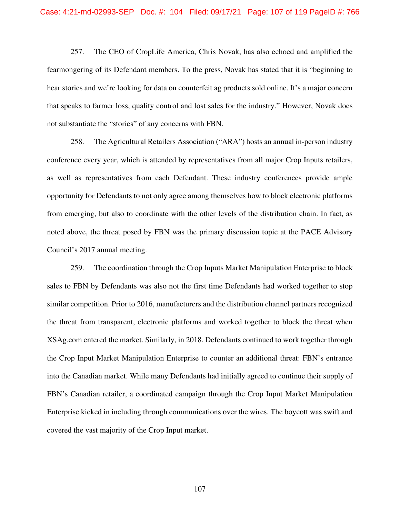257. The CEO of CropLife America, Chris Novak, has also echoed and amplified the fearmongering of its Defendant members. To the press, Novak has stated that it is "beginning to hear stories and we're looking for data on counterfeit ag products sold online. It's a major concern that speaks to farmer loss, quality control and lost sales for the industry." However, Novak does not substantiate the "stories" of any concerns with FBN.

258. The Agricultural Retailers Association ("ARA") hosts an annual in-person industry conference every year, which is attended by representatives from all major Crop Inputs retailers, as well as representatives from each Defendant. These industry conferences provide ample opportunity for Defendants to not only agree among themselves how to block electronic platforms from emerging, but also to coordinate with the other levels of the distribution chain. In fact, as noted above, the threat posed by FBN was the primary discussion topic at the PACE Advisory Council's 2017 annual meeting.

259. The coordination through the Crop Inputs Market Manipulation Enterprise to block sales to FBN by Defendants was also not the first time Defendants had worked together to stop similar competition. Prior to 2016, manufacturers and the distribution channel partners recognized the threat from transparent, electronic platforms and worked together to block the threat when XSAg.com entered the market. Similarly, in 2018, Defendants continued to work together through the Crop Input Market Manipulation Enterprise to counter an additional threat: FBN's entrance into the Canadian market. While many Defendants had initially agreed to continue their supply of FBN's Canadian retailer, a coordinated campaign through the Crop Input Market Manipulation Enterprise kicked in including through communications over the wires. The boycott was swift and covered the vast majority of the Crop Input market.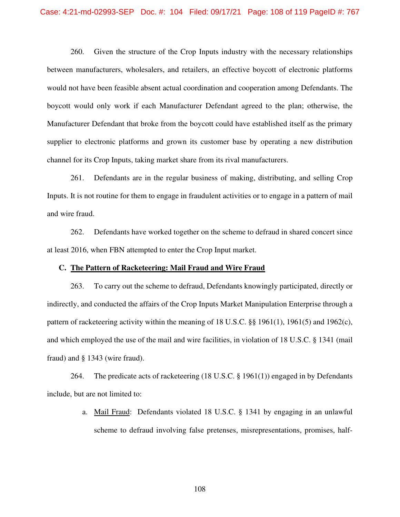260. Given the structure of the Crop Inputs industry with the necessary relationships between manufacturers, wholesalers, and retailers, an effective boycott of electronic platforms would not have been feasible absent actual coordination and cooperation among Defendants. The boycott would only work if each Manufacturer Defendant agreed to the plan; otherwise, the Manufacturer Defendant that broke from the boycott could have established itself as the primary supplier to electronic platforms and grown its customer base by operating a new distribution channel for its Crop Inputs, taking market share from its rival manufacturers.

261. Defendants are in the regular business of making, distributing, and selling Crop Inputs. It is not routine for them to engage in fraudulent activities or to engage in a pattern of mail and wire fraud.

262. Defendants have worked together on the scheme to defraud in shared concert since at least 2016, when FBN attempted to enter the Crop Input market.

#### **C. The Pattern of Racketeering: Mail Fraud and Wire Fraud**

263. To carry out the scheme to defraud, Defendants knowingly participated, directly or indirectly, and conducted the affairs of the Crop Inputs Market Manipulation Enterprise through a pattern of racketeering activity within the meaning of 18 U.S.C. §§ 1961(1), 1961(5) and 1962(c), and which employed the use of the mail and wire facilities, in violation of 18 U.S.C. § 1341 (mail fraud) and § 1343 (wire fraud).

264. The predicate acts of racketeering (18 U.S.C. § 1961(1)) engaged in by Defendants include, but are not limited to:

> a. Mail Fraud: Defendants violated 18 U.S.C. § 1341 by engaging in an unlawful scheme to defraud involving false pretenses, misrepresentations, promises, half-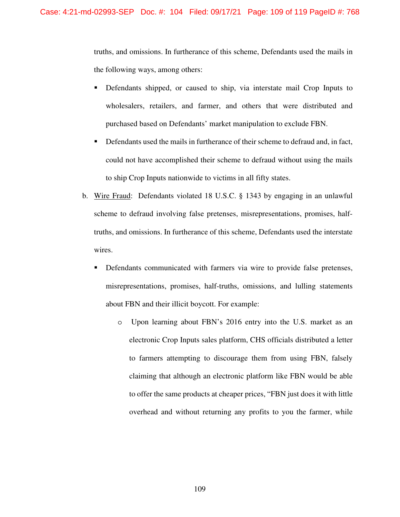truths, and omissions. In furtherance of this scheme, Defendants used the mails in the following ways, among others:

- Defendants shipped, or caused to ship, via interstate mail Crop Inputs to wholesalers, retailers, and farmer, and others that were distributed and purchased based on Defendants' market manipulation to exclude FBN.
- **Defendants used the mails in furtherance of their scheme to defraud and, in fact,** could not have accomplished their scheme to defraud without using the mails to ship Crop Inputs nationwide to victims in all fifty states.
- b. Wire Fraud: Defendants violated 18 U.S.C. § 1343 by engaging in an unlawful scheme to defraud involving false pretenses, misrepresentations, promises, halftruths, and omissions. In furtherance of this scheme, Defendants used the interstate wires.
	- Defendants communicated with farmers via wire to provide false pretenses, misrepresentations, promises, half-truths, omissions, and lulling statements about FBN and their illicit boycott. For example:
		- o Upon learning about FBN's 2016 entry into the U.S. market as an electronic Crop Inputs sales platform, CHS officials distributed a letter to farmers attempting to discourage them from using FBN, falsely claiming that although an electronic platform like FBN would be able to offer the same products at cheaper prices, "FBN just does it with little overhead and without returning any profits to you the farmer, while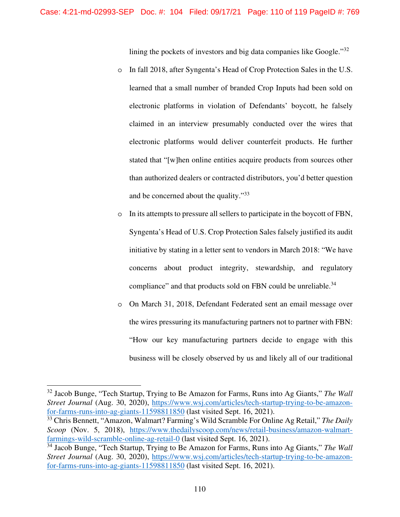lining the pockets of investors and big data companies like Google."<sup>32</sup>

- o In fall 2018, after Syngenta's Head of Crop Protection Sales in the U.S. learned that a small number of branded Crop Inputs had been sold on electronic platforms in violation of Defendants' boycott, he falsely claimed in an interview presumably conducted over the wires that electronic platforms would deliver counterfeit products. He further stated that "[w]hen online entities acquire products from sources other than authorized dealers or contracted distributors, you'd better question and be concerned about the quality."<sup>33</sup>
- o In its attempts to pressure all sellers to participate in the boycott of FBN, Syngenta's Head of U.S. Crop Protection Sales falsely justified its audit initiative by stating in a letter sent to vendors in March 2018: "We have concerns about product integrity, stewardship, and regulatory compliance" and that products sold on FBN could be unreliable. $34$
- o On March 31, 2018, Defendant Federated sent an email message over the wires pressuring its manufacturing partners not to partner with FBN: "How our key manufacturing partners decide to engage with this business will be closely observed by us and likely all of our traditional

<sup>32</sup> Jacob Bunge, "Tech Startup, Trying to Be Amazon for Farms, Runs into Ag Giants," *The Wall Street Journal* (Aug. 30, 2020), https://www.wsj.com/articles/tech-startup-trying-to-be-amazonfor-farms-runs-into-ag-giants-11598811850 (last visited Sept. 16, 2021).

<sup>33</sup> Chris Bennett, "Amazon, Walmart? Farming's Wild Scramble For Online Ag Retail," *The Daily Scoop* (Nov. 5, 2018), https://www.thedailyscoop.com/news/retail-business/amazon-walmartfarmings-wild-scramble-online-ag-retail-0 (last visited Sept. 16, 2021).

<sup>34</sup> Jacob Bunge, "Tech Startup, Trying to Be Amazon for Farms, Runs into Ag Giants," *The Wall Street Journal* (Aug. 30, 2020), https://www.wsj.com/articles/tech-startup-trying-to-be-amazonfor-farms-runs-into-ag-giants-11598811850 (last visited Sept. 16, 2021).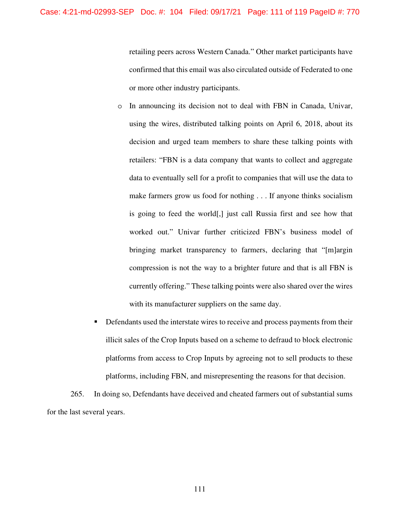retailing peers across Western Canada." Other market participants have confirmed that this email was also circulated outside of Federated to one or more other industry participants.

- o In announcing its decision not to deal with FBN in Canada, Univar, using the wires, distributed talking points on April 6, 2018, about its decision and urged team members to share these talking points with retailers: "FBN is a data company that wants to collect and aggregate data to eventually sell for a profit to companies that will use the data to make farmers grow us food for nothing . . . If anyone thinks socialism is going to feed the world[,] just call Russia first and see how that worked out." Univar further criticized FBN's business model of bringing market transparency to farmers, declaring that "[m]argin compression is not the way to a brighter future and that is all FBN is currently offering." These talking points were also shared over the wires with its manufacturer suppliers on the same day.
- **Defendants used the interstate wires to receive and process payments from their** illicit sales of the Crop Inputs based on a scheme to defraud to block electronic platforms from access to Crop Inputs by agreeing not to sell products to these platforms, including FBN, and misrepresenting the reasons for that decision.

265. In doing so, Defendants have deceived and cheated farmers out of substantial sums for the last several years.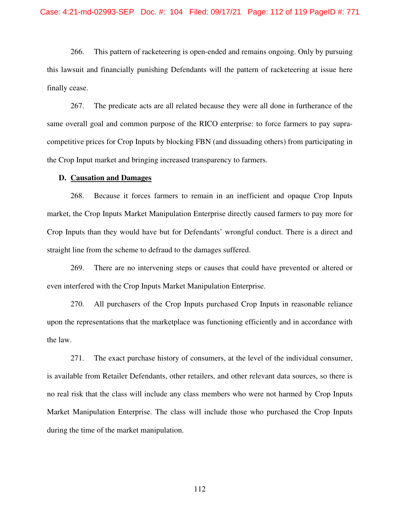266. This pattern of racketeering is open-ended and remains ongoing. Only by pursuing this lawsuit and financially punishing Defendants will the pattern of racketeering at issue here finally cease.

267. The predicate acts are all related because they were all done in furtherance of the same overall goal and common purpose of the RICO enterprise: to force farmers to pay supracompetitive prices for Crop Inputs by blocking FBN (and dissuading others) from participating in the Crop Input market and bringing increased transparency to farmers.

#### **D. Causation and Damages**

268. Because it forces farmers to remain in an inefficient and opaque Crop Inputs market, the Crop Inputs Market Manipulation Enterprise directly caused farmers to pay more for Crop Inputs than they would have but for Defendants' wrongful conduct. There is a direct and straight line from the scheme to defraud to the damages suffered.

269. There are no intervening steps or causes that could have prevented or altered or even interfered with the Crop Inputs Market Manipulation Enterprise.

270. All purchasers of the Crop Inputs purchased Crop Inputs in reasonable reliance upon the representations that the marketplace was functioning efficiently and in accordance with the law.

271. The exact purchase history of consumers, at the level of the individual consumer, is available from Retailer Defendants, other retailers, and other relevant data sources, so there is no real risk that the class will include any class members who were not harmed by Crop Inputs Market Manipulation Enterprise. The class will include those who purchased the Crop Inputs during the time of the market manipulation.

112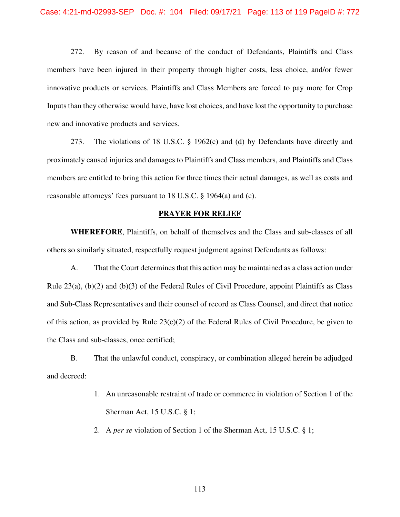272. By reason of and because of the conduct of Defendants, Plaintiffs and Class members have been injured in their property through higher costs, less choice, and/or fewer innovative products or services. Plaintiffs and Class Members are forced to pay more for Crop Inputs than they otherwise would have, have lost choices, and have lost the opportunity to purchase new and innovative products and services.

273. The violations of 18 U.S.C. § 1962(c) and (d) by Defendants have directly and proximately caused injuries and damages to Plaintiffs and Class members, and Plaintiffs and Class members are entitled to bring this action for three times their actual damages, as well as costs and reasonable attorneys' fees pursuant to 18 U.S.C. § 1964(a) and (c).

#### **PRAYER FOR RELIEF**

**WHEREFORE**, Plaintiffs, on behalf of themselves and the Class and sub-classes of all others so similarly situated, respectfully request judgment against Defendants as follows:

A. That the Court determines that this action may be maintained as a class action under Rule  $23(a)$ ,  $(b)(2)$  and  $(b)(3)$  of the Federal Rules of Civil Procedure, appoint Plaintiffs as Class and Sub-Class Representatives and their counsel of record as Class Counsel, and direct that notice of this action, as provided by Rule  $23(c)(2)$  of the Federal Rules of Civil Procedure, be given to the Class and sub-classes, once certified;

B. That the unlawful conduct, conspiracy, or combination alleged herein be adjudged and decreed:

- 1. An unreasonable restraint of trade or commerce in violation of Section 1 of the Sherman Act, 15 U.S.C. § 1;
- 2. A *per se* violation of Section 1 of the Sherman Act, 15 U.S.C. § 1;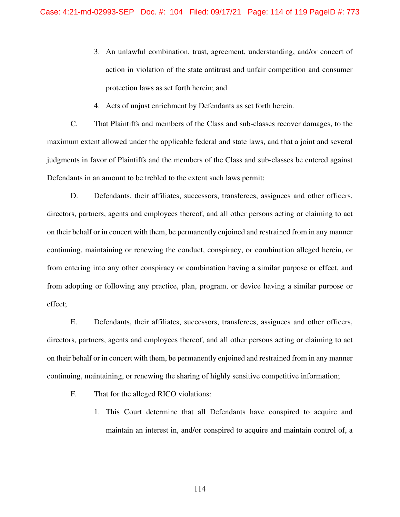- 3. An unlawful combination, trust, agreement, understanding, and/or concert of action in violation of the state antitrust and unfair competition and consumer protection laws as set forth herein; and
- 4. Acts of unjust enrichment by Defendants as set forth herein.

C. That Plaintiffs and members of the Class and sub-classes recover damages, to the maximum extent allowed under the applicable federal and state laws, and that a joint and several judgments in favor of Plaintiffs and the members of the Class and sub-classes be entered against Defendants in an amount to be trebled to the extent such laws permit;

D. Defendants, their affiliates, successors, transferees, assignees and other officers, directors, partners, agents and employees thereof, and all other persons acting or claiming to act on their behalf or in concert with them, be permanently enjoined and restrained from in any manner continuing, maintaining or renewing the conduct, conspiracy, or combination alleged herein, or from entering into any other conspiracy or combination having a similar purpose or effect, and from adopting or following any practice, plan, program, or device having a similar purpose or effect;

E. Defendants, their affiliates, successors, transferees, assignees and other officers, directors, partners, agents and employees thereof, and all other persons acting or claiming to act on their behalf or in concert with them, be permanently enjoined and restrained from in any manner continuing, maintaining, or renewing the sharing of highly sensitive competitive information;

- F. That for the alleged RICO violations:
	- 1. This Court determine that all Defendants have conspired to acquire and maintain an interest in, and/or conspired to acquire and maintain control of, a

114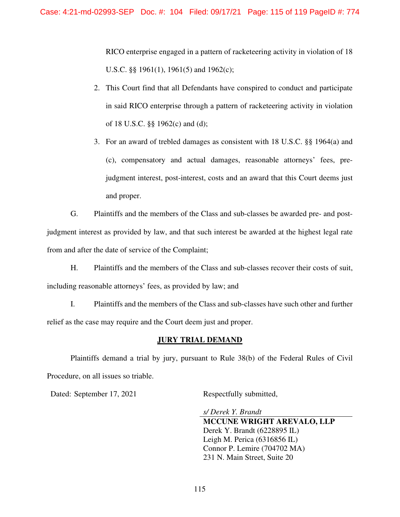RICO enterprise engaged in a pattern of racketeering activity in violation of 18 U.S.C. §§ 1961(1), 1961(5) and 1962(c);

- 2. This Court find that all Defendants have conspired to conduct and participate in said RICO enterprise through a pattern of racketeering activity in violation of 18 U.S.C. §§ 1962(c) and (d);
- 3. For an award of trebled damages as consistent with 18 U.S.C. §§ 1964(a) and (c), compensatory and actual damages, reasonable attorneys' fees, prejudgment interest, post-interest, costs and an award that this Court deems just and proper.

G. Plaintiffs and the members of the Class and sub-classes be awarded pre- and postjudgment interest as provided by law, and that such interest be awarded at the highest legal rate from and after the date of service of the Complaint;

H. Plaintiffs and the members of the Class and sub-classes recover their costs of suit, including reasonable attorneys' fees, as provided by law; and

I. Plaintiffs and the members of the Class and sub-classes have such other and further relief as the case may require and the Court deem just and proper.

#### **JURY TRIAL DEMAND**

Plaintiffs demand a trial by jury, pursuant to Rule 38(b) of the Federal Rules of Civil Procedure, on all issues so triable.

Dated: September 17, 2021 **Respectfully submitted**,

*s/ Derek Y. Brandt* **MCCUNE WRIGHT AREVALO, LLP**  Derek Y. Brandt (6228895 IL) Leigh M. Perica (6316856 IL) Connor P. Lemire (704702 MA) 231 N. Main Street, Suite 20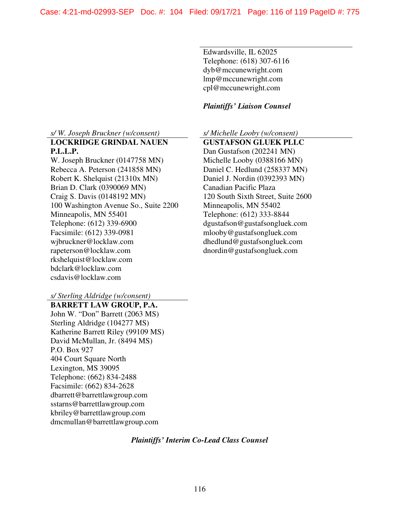Edwardsville, IL 62025 Telephone: (618) 307-6116 dyb@mccunewright.com lmp@mccunewright.com cpl@mccunewright.com

#### *Plaintiffs' Liaison Counsel*

*s/ W. Joseph Bruckner (w/consent) s/ Michelle Looby (w/consent)*

**LOCKRIDGE GRINDAL NAUEN P.L.L.P.** 

W. Joseph Bruckner (0147758 MN) Rebecca A. Peterson (241858 MN) Robert K. Shelquist (21310x MN) Brian D. Clark (0390069 MN) Craig S. Davis (0148192 MN) 100 Washington Avenue So., Suite 2200 Minneapolis, MN 55401 Telephone: (612) 339-6900 Facsimile: (612) 339-0981 wjbruckner@locklaw.com rapeterson@locklaw.com rkshelquist@locklaw.com bdclark@locklaw.com csdavis@locklaw.com

 **GUSTAFSON GLUEK PLLC**  Dan Gustafson (202241 MN) Michelle Looby (0388166 MN) Daniel C. Hedlund (258337 MN) Daniel J. Nordin (0392393 MN) Canadian Pacific Plaza 120 South Sixth Street, Suite 2600 Minneapolis, MN 55402 Telephone: (612) 333-8844 dgustafson@gustafsongluek.com mlooby@gustafsongluek.com dhedlund@gustafsongluek.com dnordin@gustafsongluek.com

*s/ Sterling Aldridge (w/consent)*

**BARRETT LAW GROUP, P.A.**  John W. "Don" Barrett (2063 MS) Sterling Aldridge (104277 MS) Katherine Barrett Riley (99109 MS) David McMullan, Jr. (8494 MS) P.O. Box 927 404 Court Square North Lexington, MS 39095 Telephone: (662) 834-2488 Facsimile: (662) 834-2628 dbarrett@barrettlawgroup.com sstarns@barrettlawgroup.com kbriley@barrettlawgroup.com dmcmullan@barrettlawgroup.com

#### *Plaintiffs' Interim Co-Lead Class Counsel*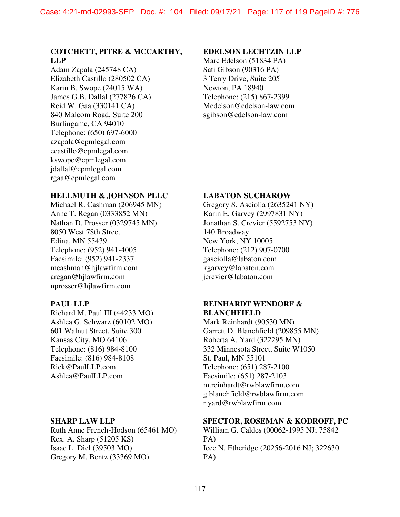## **COTCHETT, PITRE & MCCARTHY, LLP**

Adam Zapala (245748 CA) Elizabeth Castillo (280502 CA) Karin B. Swope (24015 WA) James G.B. Dallal (277826 CA) Reid W. Gaa (330141 CA) 840 Malcom Road, Suite 200 Burlingame, CA 94010 Telephone: (650) 697-6000 azapala@cpmlegal.com ecastillo@cpmlegal.com kswope@cpmlegal.com jdallal@cpmlegal.com rgaa@cpmlegal.com

#### **EDELSON LECHTZIN LLP**

Marc Edelson (51834 PA) Sati Gibson (90316 PA) 3 Terry Drive, Suite 205 Newton, PA 18940 Telephone: (215) 867-2399 Medelson@edelson-law.com sgibson@edelson-law.com

# **HELLMUTH & JOHNSON PLLC**

Michael R. Cashman (206945 MN) Anne T. Regan (0333852 MN) Nathan D. Prosser (0329745 MN) 8050 West 78th Street Edina, MN 55439 Telephone: (952) 941-4005 Facsimile: (952) 941-2337 mcashman@hjlawfirm.com aregan@hjlawfirm.com nprosser@hjlawfirm.com

## **PAUL LLP**

Richard M. Paul III (44233 MO) Ashlea G. Schwarz (60102 MO) 601 Walnut Street, Suite 300 Kansas City, MO 64106 Telephone: (816) 984-8100 Facsimile: (816) 984-8108 Rick@PaulLLP.com Ashlea@PaulLLP.com

## **SHARP LAW LLP**

Ruth Anne French-Hodson (65461 MO) Rex. A. Sharp (51205 KS) Isaac L. Diel (39503 MO) Gregory M. Bentz (33369 MO)

#### **LABATON SUCHAROW**

Gregory S. Asciolla (2635241 NY) Karin E. Garvey (2997831 NY) Jonathan S. Crevier (5592753 NY) 140 Broadway New York, NY 10005 Telephone: (212) 907-0700 gasciolla@labaton.com kgarvey@labaton.com jcrevier@labaton.com

## **REINHARDT WENDORF & BLANCHFIELD**

Mark Reinhardt (90530 MN) Garrett D. Blanchfield (209855 MN) Roberta A. Yard (322295 MN) 332 Minnesota Street, Suite W1050 St. Paul, MN 55101 Telephone: (651) 287-2100 Facsimile: (651) 287-2103 m.reinhardt@rwblawfirm.com g.blanchfield@rwblawfirm.com r.yard@rwblawfirm.com

## **SPECTOR, ROSEMAN & KODROFF, PC**

William G. Caldes (00062-1995 NJ; 75842 PA) Icee N. Etheridge (20256-2016 NJ; 322630 PA)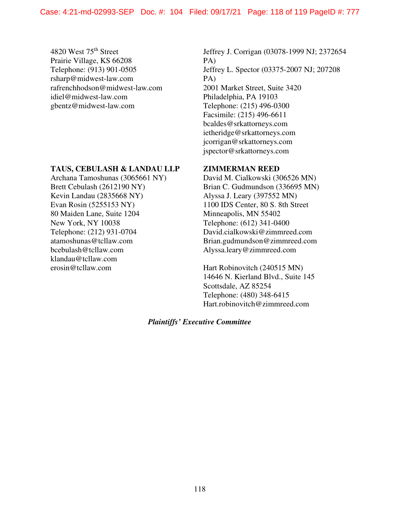4820 West 75th Street Prairie Village, KS 66208 Telephone: (913) 901-0505 rsharp@midwest-law.com rafrenchhodson@midwest-law.com idiel@midwest-law.com gbentz@midwest-law.com

#### **TAUS, CEBULASH & LANDAU LLP**

Archana Tamoshunas (3065661 NY) Brett Cebulash (2612190 NY) Kevin Landau (2835668 NY) Evan Rosin (5255153 NY) 80 Maiden Lane, Suite 1204 New York, NY 10038 Telephone: (212) 931-0704 atamoshunas@tcllaw.com bcebulash@tcllaw.com klandau@tcllaw.com erosin@tcllaw.com

Jeffrey J. Corrigan (03078-1999 NJ; 2372654 PA) Jeffrey L. Spector (03375-2007 NJ; 207208 PA) 2001 Market Street, Suite 3420 Philadelphia, PA 19103 Telephone: (215) 496-0300 Facsimile: (215) 496-6611 bcaldes@srkattorneys.com ietheridge@srkattorneys.com jcorrigan@srkattorneys.com jspector@srkattorneys.com

#### **ZIMMERMAN REED**

David M. Cialkowski (306526 MN) Brian C. Gudmundson (336695 MN) Alyssa J. Leary (397552 MN) 1100 IDS Center, 80 S. 8th Street Minneapolis, MN 55402 Telephone: (612) 341-0400 David.cialkowski@zimmreed.com Brian.gudmundson@zimmreed.com Alyssa.leary@zimmreed.com

Hart Robinovitch (240515 MN) 14646 N. Kierland Blvd., Suite 145 Scottsdale, AZ 85254 Telephone: (480) 348-6415 Hart.robinovitch@zimmreed.com

## *Plaintiffs' Executive Committee*